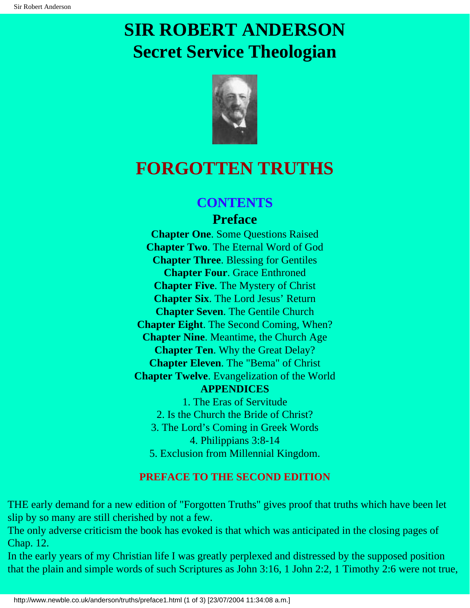

### **FORGOTTEN TRUTHS**

### **CONTENTS**

### **Preface**

**Chapter One**. Some Questions Raised **Chapter Two**. The Eternal Word of God **Chapter Three**. Blessing for Gentiles **Chapter Four**. Grace Enthroned **Chapter Five**. The Mystery of Christ **Chapter Six**. The Lord Jesus' Return **Chapter Seven**. The Gentile Church **Chapter Eight**. The Second Coming, When? **Chapter Nine**. Meantime, the Church Age **Chapter Ten**. Why the Great Delay? **Chapter Eleven**. The "Bema" of Christ **Chapter Twelve**. Evangelization of the World **APPENDICES** 1. The Eras of Servitude 2. Is the Church the Bride of Christ? 3. The Lord's Coming in Greek Words 4. Philippians 3:8-14

5. Exclusion from Millennial Kingdom.

### **PREFACE TO THE SECOND EDITION**

THE early demand for a new edition of "Forgotten Truths" gives proof that truths which have been let slip by so many are still cherished by not a few.

The only adverse criticism the book has evoked is that which was anticipated in the closing pages of Chap. 12.

In the early years of my Christian life I was greatly perplexed and distressed by the supposed position that the plain and simple words of such Scriptures as John 3:16, 1 John 2:2, 1 Timothy 2:6 were not true,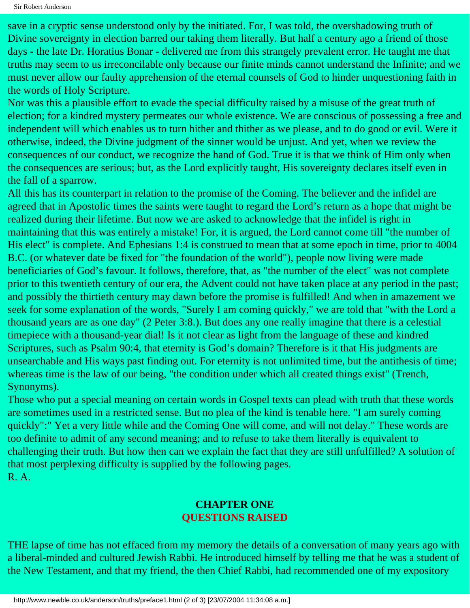save in a cryptic sense understood only by the initiated. For, I was told, the overshadowing truth of Divine sovereignty in election barred our taking them literally. But half a century ago a friend of those days - the late Dr. Horatius Bonar - delivered me from this strangely prevalent error. He taught me that truths may seem to us irreconcilable only because our finite minds cannot understand the Infinite; and we must never allow our faulty apprehension of the eternal counsels of God to hinder unquestioning faith in the words of Holy Scripture.

Nor was this a plausible effort to evade the special difficulty raised by a misuse of the great truth of election; for a kindred mystery permeates our whole existence. We are conscious of possessing a free and independent will which enables us to turn hither and thither as we please, and to do good or evil. Were it otherwise, indeed, the Divine judgment of the sinner would be unjust. And yet, when we review the consequences of our conduct, we recognize the hand of God. True it is that we think of Him only when the consequences are serious; but, as the Lord explicitly taught, His sovereignty declares itself even in the fall of a sparrow.

All this has its counterpart in relation to the promise of the Coming. The believer and the infidel are agreed that in Apostolic times the saints were taught to regard the Lord's return as a hope that might be realized during their lifetime. But now we are asked to acknowledge that the infidel is right in maintaining that this was entirely a mistake! For, it is argued, the Lord cannot come till "the number of His elect" is complete. And Ephesians 1:4 is construed to mean that at some epoch in time, prior to 4004 B.C. (or whatever date be fixed for "the foundation of the world"), people now living were made beneficiaries of God's favour. It follows, therefore, that, as "the number of the elect" was not complete prior to this twentieth century of our era, the Advent could not have taken place at any period in the past; and possibly the thirtieth century may dawn before the promise is fulfilled! And when in amazement we seek for some explanation of the words, "Surely I am coming quickly," we are told that "with the Lord a thousand years are as one day" (2 Peter 3:8.). But does any one really imagine that there is a celestial timepiece with a thousand-year dial! Is it not clear as light from the language of these and kindred Scriptures, such as Psalm 90:4, that eternity is God's domain? Therefore is it that His judgments are unsearchable and His ways past finding out. For eternity is not unlimited time, but the antithesis of time; whereas time is the law of our being, "the condition under which all created things exist" (Trench, Synonyms).

Those who put a special meaning on certain words in Gospel texts can plead with truth that these words are sometimes used in a restricted sense. But no plea of the kind is tenable here. "I am surely coming quickly":" Yet a very little while and the Coming One will come, and will not delay." These words are too definite to admit of any second meaning; and to refuse to take them literally is equivalent to challenging their truth. But how then can we explain the fact that they are still unfulfilled? A solution of that most perplexing difficulty is supplied by the following pages. R. A.

#### **CHAPTER ONE QUESTIONS RAISED**

THE lapse of time has not effaced from my memory the details of a conversation of many years ago with a liberal-minded and cultured Jewish Rabbi. He introduced himself by telling me that he was a student of the New Testament, and that my friend, the then Chief Rabbi, had recommended one of my expository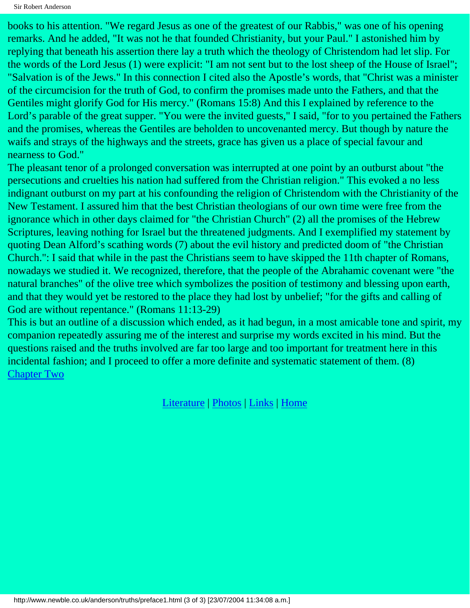Sir Robert Anderson

books to his attention. "We regard Jesus as one of the greatest of our Rabbis," was one of his opening remarks. And he added, "It was not he that founded Christianity, but your Paul." I astonished him by replying that beneath his assertion there lay a truth which the theology of Christendom had let slip. For the words of the Lord Jesus (1) were explicit: "I am not sent but to the lost sheep of the House of Israel"; "Salvation is of the Jews." In this connection I cited also the Apostle's words, that "Christ was a minister of the circumcision for the truth of God, to confirm the promises made unto the Fathers, and that the Gentiles might glorify God for His mercy." (Romans 15:8) And this I explained by reference to the Lord's parable of the great supper. "You were the invited guests," I said, "for to you pertained the Fathers and the promises, whereas the Gentiles are beholden to uncovenanted mercy. But though by nature the waifs and strays of the highways and the streets, grace has given us a place of special favour and nearness to God."

The pleasant tenor of a prolonged conversation was interrupted at one point by an outburst about "the persecutions and cruelties his nation had suffered from the Christian religion." This evoked a no less indignant outburst on my part at his confounding the religion of Christendom with the Christianity of the New Testament. I assured him that the best Christian theologians of our own time were free from the ignorance which in other days claimed for "the Christian Church" (2) all the promises of the Hebrew Scriptures, leaving nothing for Israel but the threatened judgments. And I exemplified my statement by quoting Dean Alford's scathing words (7) about the evil history and predicted doom of "the Christian Church.": I said that while in the past the Christians seem to have skipped the 11th chapter of Romans, nowadays we studied it. We recognized, therefore, that the people of the Abrahamic covenant were "the natural branches" of the olive tree which symbolizes the position of testimony and blessing upon earth, and that they would yet be restored to the place they had lost by unbelief; "for the gifts and calling of God are without repentance." (Romans 11:13-29)

This is but an outline of a discussion which ended, as it had begun, in a most amicable tone and spirit, my companion repeatedly assuring me of the interest and surprise my words excited in his mind. But the questions raised and the truths involved are far too large and too important for treatment here in this incidental fashion; and I proceed to offer a more definite and systematic statement of them. (8) [Chapter Two](#page-3-0)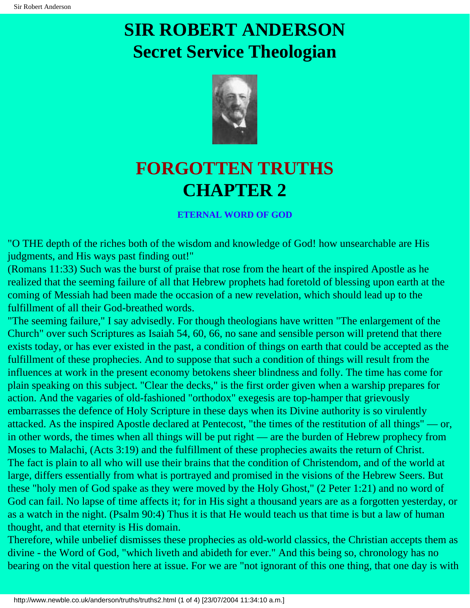

### <span id="page-3-0"></span>**FORGOTTEN TRUTHS CHAPTER 2**

**ETERNAL WORD OF GOD**

"O THE depth of the riches both of the wisdom and knowledge of God! how unsearchable are His judgments, and His ways past finding out!"

(Romans 11:33) Such was the burst of praise that rose from the heart of the inspired Apostle as he realized that the seeming failure of all that Hebrew prophets had foretold of blessing upon earth at the coming of Messiah had been made the occasion of a new revelation, which should lead up to the fulfillment of all their God-breathed words.

"The seeming failure," I say advisedly. For though theologians have written "The enlargement of the Church" over such Scriptures as Isaiah 54, 60, 66, no sane and sensible person will pretend that there exists today, or has ever existed in the past, a condition of things on earth that could be accepted as the fulfillment of these prophecies. And to suppose that such a condition of things will result from the influences at work in the present economy betokens sheer blindness and folly. The time has come for plain speaking on this subject. "Clear the decks," is the first order given when a warship prepares for action. And the vagaries of old-fashioned "orthodox" exegesis are top-hamper that grievously embarrasses the defence of Holy Scripture in these days when its Divine authority is so virulently attacked. As the inspired Apostle declared at Pentecost, "the times of the restitution of all things" — or, in other words, the times when all things will be put right — are the burden of Hebrew prophecy from Moses to Malachi, (Acts 3:19) and the fulfillment of these prophecies awaits the return of Christ. The fact is plain to all who will use their brains that the condition of Christendom, and of the world at large, differs essentially from what is portrayed and promised in the visions of the Hebrew Seers. But these "holy men of God spake as they were moved by the Holy Ghost," (2 Peter 1:21) and no word of God can fail. No lapse of time affects it; for in His sight a thousand years are as a forgotten yesterday, or as a watch in the night. (Psalm 90:4) Thus it is that He would teach us that time is but a law of human thought, and that eternity is His domain.

Therefore, while unbelief dismisses these prophecies as old-world classics, the Christian accepts them as divine - the Word of God, "which liveth and abideth for ever." And this being so, chronology has no bearing on the vital question here at issue. For we are "not ignorant of this one thing, that one day is with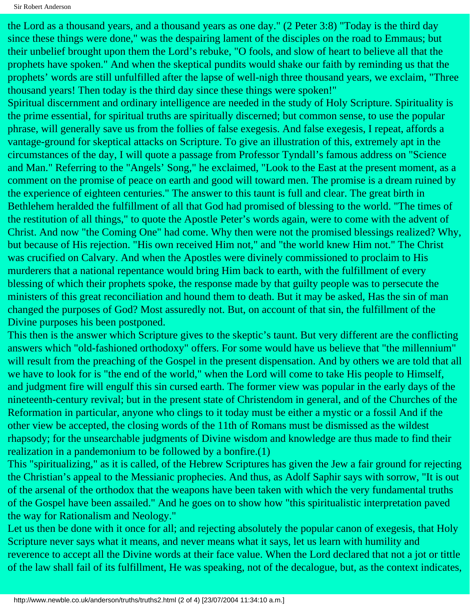the Lord as a thousand years, and a thousand years as one day." (2 Peter 3:8) "Today is the third day since these things were done," was the despairing lament of the disciples on the road to Emmaus; but their unbelief brought upon them the Lord's rebuke, "O fools, and slow of heart to believe all that the prophets have spoken." And when the skeptical pundits would shake our faith by reminding us that the prophets' words are still unfulfilled after the lapse of well-nigh three thousand years, we exclaim, "Three thousand years! Then today is the third day since these things were spoken!"

Spiritual discernment and ordinary intelligence are needed in the study of Holy Scripture. Spirituality is the prime essential, for spiritual truths are spiritually discerned; but common sense, to use the popular phrase, will generally save us from the follies of false exegesis. And false exegesis, I repeat, affords a vantage-ground for skeptical attacks on Scripture. To give an illustration of this, extremely apt in the circumstances of the day, I will quote a passage from Professor Tyndall's famous address on "Science and Man." Referring to the "Angels' Song," he exclaimed, "Look to the East at the present moment, as a comment on the promise of peace on earth and good will toward men. The promise is a dream ruined by the experience of eighteen centuries." The answer to this taunt is full and clear. The great birth in Bethlehem heralded the fulfillment of all that God had promised of blessing to the world. "The times of the restitution of all things," to quote the Apostle Peter's words again, were to come with the advent of Christ. And now "the Coming One" had come. Why then were not the promised blessings realized? Why, but because of His rejection. "His own received Him not," and "the world knew Him not." The Christ was crucified on Calvary. And when the Apostles were divinely commissioned to proclaim to His murderers that a national repentance would bring Him back to earth, with the fulfillment of every blessing of which their prophets spoke, the response made by that guilty people was to persecute the ministers of this great reconciliation and hound them to death. But it may be asked, Has the sin of man changed the purposes of God? Most assuredly not. But, on account of that sin, the fulfillment of the Divine purposes his been postponed.

This then is the answer which Scripture gives to the skeptic's taunt. But very different are the conflicting answers which "old-fashioned orthodoxy" offers. For some would have us believe that "the millennium" will result from the preaching of the Gospel in the present dispensation. And by others we are told that all we have to look for is "the end of the world," when the Lord will come to take His people to Himself, and judgment fire will engulf this sin cursed earth. The former view was popular in the early days of the nineteenth-century revival; but in the present state of Christendom in general, and of the Churches of the Reformation in particular, anyone who clings to it today must be either a mystic or a fossil And if the other view be accepted, the closing words of the 11th of Romans must be dismissed as the wildest rhapsody; for the unsearchable judgments of Divine wisdom and knowledge are thus made to find their realization in a pandemonium to be followed by a bonfire.(1)

This "spiritualizing," as it is called, of the Hebrew Scriptures has given the Jew a fair ground for rejecting the Christian's appeal to the Messianic prophecies. And thus, as Adolf Saphir says with sorrow, "It is out of the arsenal of the orthodox that the weapons have been taken with which the very fundamental truths of the Gospel have been assailed." And he goes on to show how "this spiritualistic interpretation paved the way for Rationalism and Neology."

Let us then be done with it once for all; and rejecting absolutely the popular canon of exegesis, that Holy Scripture never says what it means, and never means what it says, let us learn with humility and reverence to accept all the Divine words at their face value. When the Lord declared that not a jot or tittle of the law shall fail of its fulfillment, He was speaking, not of the decalogue, but, as the context indicates,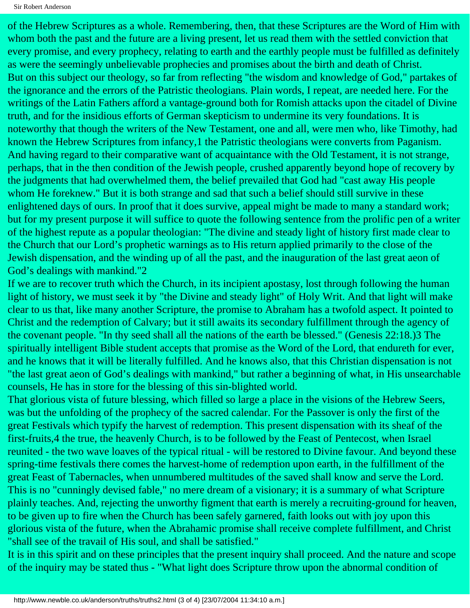of the Hebrew Scriptures as a whole. Remembering, then, that these Scriptures are the Word of Him with whom both the past and the future are a living present, let us read them with the settled conviction that every promise, and every prophecy, relating to earth and the earthly people must be fulfilled as definitely as were the seemingly unbelievable prophecies and promises about the birth and death of Christ. But on this subject our theology, so far from reflecting "the wisdom and knowledge of God," partakes of the ignorance and the errors of the Patristic theologians. Plain words, I repeat, are needed here. For the writings of the Latin Fathers afford a vantage-ground both for Romish attacks upon the citadel of Divine truth, and for the insidious efforts of German skepticism to undermine its very foundations. It is noteworthy that though the writers of the New Testament, one and all, were men who, like Timothy, had known the Hebrew Scriptures from infancy,1 the Patristic theologians were converts from Paganism. And having regard to their comparative want of acquaintance with the Old Testament, it is not strange, perhaps, that in the then condition of the Jewish people, crushed apparently beyond hope of recovery by the judgments that had overwhelmed them, the belief prevailed that God had "cast away His people whom He foreknew." But it is both strange and sad that such a belief should still survive in these enlightened days of ours. In proof that it does survive, appeal might be made to many a standard work; but for my present purpose it will suffice to quote the following sentence from the prolific pen of a writer of the highest repute as a popular theologian: "The divine and steady light of history first made clear to the Church that our Lord's prophetic warnings as to His return applied primarily to the close of the Jewish dispensation, and the winding up of all the past, and the inauguration of the last great aeon of God's dealings with mankind."2

If we are to recover truth which the Church, in its incipient apostasy, lost through following the human light of history, we must seek it by "the Divine and steady light" of Holy Writ. And that light will make clear to us that, like many another Scripture, the promise to Abraham has a twofold aspect. It pointed to Christ and the redemption of Calvary; but it still awaits its secondary fulfillment through the agency of the covenant people. "In thy seed shall all the nations of the earth be blessed." (Genesis 22:18.)3 The spiritually intelligent Bible student accepts that promise as the Word of the Lord, that endureth for ever, and he knows that it will be literally fulfilled. And he knows also, that this Christian dispensation is not "the last great aeon of God's dealings with mankind," but rather a beginning of what, in His unsearchable counsels, He has in store for the blessing of this sin-blighted world.

That glorious vista of future blessing, which filled so large a place in the visions of the Hebrew Seers, was but the unfolding of the prophecy of the sacred calendar. For the Passover is only the first of the great Festivals which typify the harvest of redemption. This present dispensation with its sheaf of the first-fruits,4 the true, the heavenly Church, is to be followed by the Feast of Pentecost, when Israel reunited - the two wave loaves of the typical ritual - will be restored to Divine favour. And beyond these spring-time festivals there comes the harvest-home of redemption upon earth, in the fulfillment of the great Feast of Tabernacles, when unnumbered multitudes of the saved shall know and serve the Lord. This is no "cunningly devised fable," no mere dream of a visionary; it is a summary of what Scripture plainly teaches. And, rejecting the unworthy figment that earth is merely a recruiting-ground for heaven, to be given up to fire when the Church has been safely garnered, faith looks out with joy upon this glorious vista of the future, when the Abrahamic promise shall receive complete fulfillment, and Christ "shall see of the travail of His soul, and shall be satisfied."

It is in this spirit and on these principles that the present inquiry shall proceed. And the nature and scope of the inquiry may be stated thus - "What light does Scripture throw upon the abnormal condition of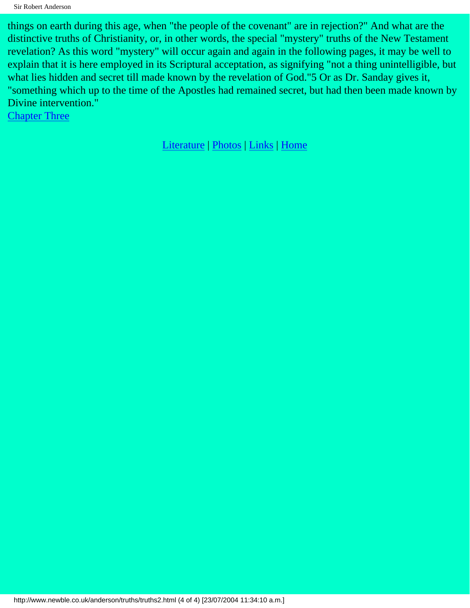things on earth during this age, when "the people of the covenant" are in rejection?" And what are the distinctive truths of Christianity, or, in other words, the special "mystery" truths of the New Testament revelation? As this word "mystery" will occur again and again in the following pages, it may be well to explain that it is here employed in its Scriptural acceptation, as signifying "not a thing unintelligible, but what lies hidden and secret till made known by the revelation of God."5 Or as Dr. Sanday gives it, "something which up to the time of the Apostles had remained secret, but had then been made known by Divine intervention."

[Chapter Three](#page-7-0)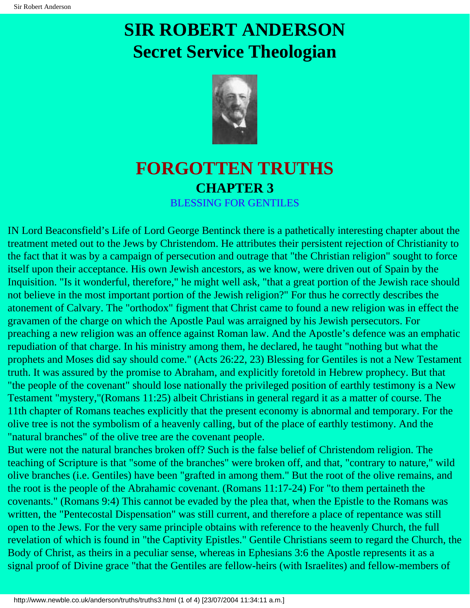

### <span id="page-7-0"></span>**FORGOTTEN TRUTHS CHAPTER 3**

BLESSING FOR GENTILES

IN Lord Beaconsfield's Life of Lord George Bentinck there is a pathetically interesting chapter about the treatment meted out to the Jews by Christendom. He attributes their persistent rejection of Christianity to the fact that it was by a campaign of persecution and outrage that "the Christian religion" sought to force itself upon their acceptance. His own Jewish ancestors, as we know, were driven out of Spain by the Inquisition. "Is it wonderful, therefore," he might well ask, "that a great portion of the Jewish race should not believe in the most important portion of the Jewish religion?" For thus he correctly describes the atonement of Calvary. The "orthodox" figment that Christ came to found a new religion was in effect the gravamen of the charge on which the Apostle Paul was arraigned by his Jewish persecutors. For preaching a new religion was an offence against Roman law. And the Apostle's defence was an emphatic repudiation of that charge. In his ministry among them, he declared, he taught "nothing but what the prophets and Moses did say should come." (Acts 26:22, 23) Blessing for Gentiles is not a New Testament truth. It was assured by the promise to Abraham, and explicitly foretold in Hebrew prophecy. But that "the people of the covenant" should lose nationally the privileged position of earthly testimony is a New Testament "mystery,"(Romans 11:25) albeit Christians in general regard it as a matter of course. The 11th chapter of Romans teaches explicitly that the present economy is abnormal and temporary. For the olive tree is not the symbolism of a heavenly calling, but of the place of earthly testimony. And the "natural branches" of the olive tree are the covenant people.

But were not the natural branches broken off? Such is the false belief of Christendom religion. The teaching of Scripture is that "some of the branches" were broken off, and that, "contrary to nature," wild olive branches (i.e. Gentiles) have been "grafted in among them." But the root of the olive remains, and the root is the people of the Abrahamic covenant. (Romans 11:17-24) For "to them pertaineth the covenants." (Romans 9:4) This cannot be evaded by the plea that, when the Epistle to the Romans was written, the "Pentecostal Dispensation" was still current, and therefore a place of repentance was still open to the Jews. For the very same principle obtains with reference to the heavenly Church, the full revelation of which is found in "the Captivity Epistles." Gentile Christians seem to regard the Church, the Body of Christ, as theirs in a peculiar sense, whereas in Ephesians 3:6 the Apostle represents it as a signal proof of Divine grace "that the Gentiles are fellow-heirs (with Israelites) and fellow-members of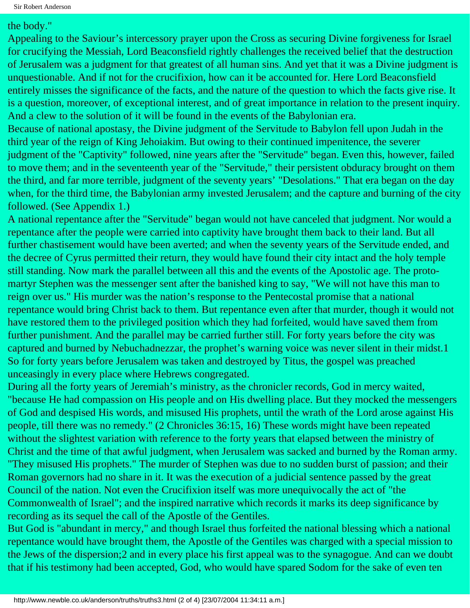the body."

Appealing to the Saviour's intercessory prayer upon the Cross as securing Divine forgiveness for Israel for crucifying the Messiah, Lord Beaconsfield rightly challenges the received belief that the destruction of Jerusalem was a judgment for that greatest of all human sins. And yet that it was a Divine judgment is unquestionable. And if not for the crucifixion, how can it be accounted for. Here Lord Beaconsfield entirely misses the significance of the facts, and the nature of the question to which the facts give rise. It is a question, moreover, of exceptional interest, and of great importance in relation to the present inquiry. And a clew to the solution of it will be found in the events of the Babylonian era.

Because of national apostasy, the Divine judgment of the Servitude to Babylon fell upon Judah in the third year of the reign of King Jehoiakim. But owing to their continued impenitence, the severer judgment of the "Captivity" followed, nine years after the "Servitude" began. Even this, however, failed to move them; and in the seventeenth year of the "Servitude," their persistent obduracy brought on them the third, and far more terrible, judgment of the seventy years' "Desolations." That era began on the day when, for the third time, the Babylonian army invested Jerusalem; and the capture and burning of the city followed. (See Appendix 1.)

A national repentance after the "Servitude" began would not have canceled that judgment. Nor would a repentance after the people were carried into captivity have brought them back to their land. But all further chastisement would have been averted; and when the seventy years of the Servitude ended, and the decree of Cyrus permitted their return, they would have found their city intact and the holy temple still standing. Now mark the parallel between all this and the events of the Apostolic age. The protomartyr Stephen was the messenger sent after the banished king to say, "We will not have this man to reign over us." His murder was the nation's response to the Pentecostal promise that a national repentance would bring Christ back to them. But repentance even after that murder, though it would not have restored them to the privileged position which they had forfeited, would have saved them from further punishment. And the parallel may be carried further still. For forty years before the city was captured and burned by Nebuchadnezzar, the prophet's warning voice was never silent in their midst.1 So for forty years before Jerusalem was taken and destroyed by Titus, the gospel was preached unceasingly in every place where Hebrews congregated.

During all the forty years of Jeremiah's ministry, as the chronicler records, God in mercy waited, "because He had compassion on His people and on His dwelling place. But they mocked the messengers of God and despised His words, and misused His prophets, until the wrath of the Lord arose against His people, till there was no remedy." (2 Chronicles 36:15, 16) These words might have been repeated without the slightest variation with reference to the forty years that elapsed between the ministry of Christ and the time of that awful judgment, when Jerusalem was sacked and burned by the Roman army. "They misused His prophets." The murder of Stephen was due to no sudden burst of passion; and their Roman governors had no share in it. It was the execution of a judicial sentence passed by the great Council of the nation. Not even the Crucifixion itself was more unequivocally the act of "the Commonwealth of Israel"; and the inspired narrative which records it marks its deep significance by recording as its sequel the call of the Apostle of the Gentiles.

But God is "abundant in mercy," and though Israel thus forfeited the national blessing which a national repentance would have brought them, the Apostle of the Gentiles was charged with a special mission to the Jews of the dispersion;2 and in every place his first appeal was to the synagogue. And can we doubt that if his testimony had been accepted, God, who would have spared Sodom for the sake of even ten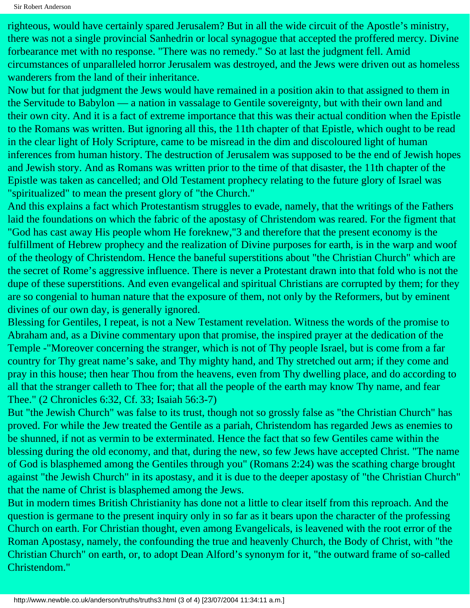righteous, would have certainly spared Jerusalem? But in all the wide circuit of the Apostle's ministry, there was not a single provincial Sanhedrin or local synagogue that accepted the proffered mercy. Divine forbearance met with no response. "There was no remedy." So at last the judgment fell. Amid circumstances of unparalleled horror Jerusalem was destroyed, and the Jews were driven out as homeless wanderers from the land of their inheritance.

Now but for that judgment the Jews would have remained in a position akin to that assigned to them in the Servitude to Babylon — a nation in vassalage to Gentile sovereignty, but with their own land and their own city. And it is a fact of extreme importance that this was their actual condition when the Epistle to the Romans was written. But ignoring all this, the 11th chapter of that Epistle, which ought to be read in the clear light of Holy Scripture, came to be misread in the dim and discoloured light of human inferences from human history. The destruction of Jerusalem was supposed to be the end of Jewish hopes and Jewish story. And as Romans was written prior to the time of that disaster, the 11th chapter of the Epistle was taken as cancelled; and Old Testament prophecy relating to the future glory of Israel was "spiritualized" to mean the present glory of "the Church."

And this explains a fact which Protestantism struggles to evade, namely, that the writings of the Fathers laid the foundations on which the fabric of the apostasy of Christendom was reared. For the figment that "God has cast away His people whom He foreknew,"3 and therefore that the present economy is the fulfillment of Hebrew prophecy and the realization of Divine purposes for earth, is in the warp and woof of the theology of Christendom. Hence the baneful superstitions about "the Christian Church" which are the secret of Rome's aggressive influence. There is never a Protestant drawn into that fold who is not the dupe of these superstitions. And even evangelical and spiritual Christians are corrupted by them; for they are so congenial to human nature that the exposure of them, not only by the Reformers, but by eminent divines of our own day, is generally ignored.

Blessing for Gentiles, I repeat, is not a New Testament revelation. Witness the words of the promise to Abraham and, as a Divine commentary upon that promise, the inspired prayer at the dedication of the Temple -"Moreover concerning the stranger, which is not of Thy people Israel, but is come from a far country for Thy great name's sake, and Thy mighty hand, and Thy stretched out arm; if they come and pray in this house; then hear Thou from the heavens, even from Thy dwelling place, and do according to all that the stranger calleth to Thee for; that all the people of the earth may know Thy name, and fear Thee." (2 Chronicles 6:32, Cf. 33; Isaiah 56:3-7)

But "the Jewish Church" was false to its trust, though not so grossly false as "the Christian Church" has proved. For while the Jew treated the Gentile as a pariah, Christendom has regarded Jews as enemies to be shunned, if not as vermin to be exterminated. Hence the fact that so few Gentiles came within the blessing during the old economy, and that, during the new, so few Jews have accepted Christ. "The name of God is blasphemed among the Gentiles through you" (Romans 2:24) was the scathing charge brought against "the Jewish Church" in its apostasy, and it is due to the deeper apostasy of "the Christian Church" that the name of Christ is blasphemed among the Jews.

But in modern times British Christianity has done not a little to clear itself from this reproach. And the question is germane to the present inquiry only in so far as it bears upon the character of the professing Church on earth. For Christian thought, even among Evangelicals, is leavened with the root error of the Roman Apostasy, namely, the confounding the true and heavenly Church, the Body of Christ, with "the Christian Church" on earth, or, to adopt Dean Alford's synonym for it, "the outward frame of so-called Christendom."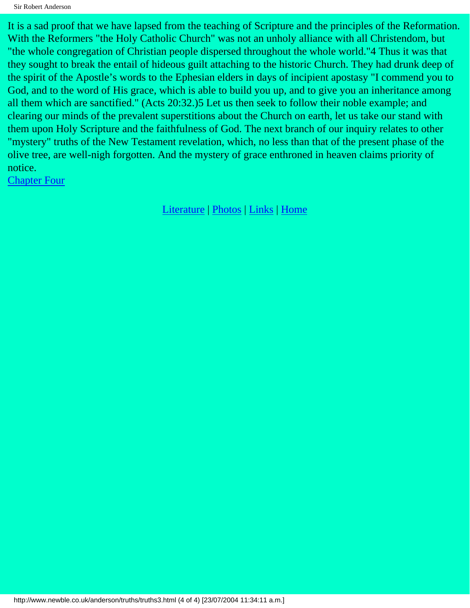It is a sad proof that we have lapsed from the teaching of Scripture and the principles of the Reformation. With the Reformers "the Holy Catholic Church" was not an unholy alliance with all Christendom, but "the whole congregation of Christian people dispersed throughout the whole world."4 Thus it was that they sought to break the entail of hideous guilt attaching to the historic Church. They had drunk deep of the spirit of the Apostle's words to the Ephesian elders in days of incipient apostasy "I commend you to God, and to the word of His grace, which is able to build you up, and to give you an inheritance among all them which are sanctified." (Acts 20:32.)5 Let us then seek to follow their noble example; and clearing our minds of the prevalent superstitions about the Church on earth, let us take our stand with them upon Holy Scripture and the faithfulness of God. The next branch of our inquiry relates to other "mystery" truths of the New Testament revelation, which, no less than that of the present phase of the olive tree, are well-nigh forgotten. And the mystery of grace enthroned in heaven claims priority of notice.

[Chapter Four](#page-11-0)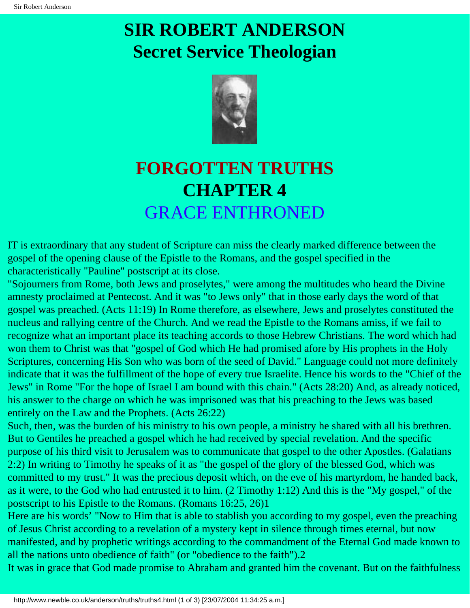

# <span id="page-11-0"></span>**FORGOTTEN TRUTHS CHAPTER 4** GRACE ENTHRONED

IT is extraordinary that any student of Scripture can miss the clearly marked difference between the gospel of the opening clause of the Epistle to the Romans, and the gospel specified in the characteristically "Pauline" postscript at its close.

"Sojourners from Rome, both Jews and proselytes," were among the multitudes who heard the Divine amnesty proclaimed at Pentecost. And it was "to Jews only" that in those early days the word of that gospel was preached. (Acts 11:19) In Rome therefore, as elsewhere, Jews and proselytes constituted the nucleus and rallying centre of the Church. And we read the Epistle to the Romans amiss, if we fail to recognize what an important place its teaching accords to those Hebrew Christians. The word which had won them to Christ was that "gospel of God which He had promised afore by His prophets in the Holy Scriptures, concerning His Son who was born of the seed of David." Language could not more definitely indicate that it was the fulfillment of the hope of every true Israelite. Hence his words to the "Chief of the Jews" in Rome "For the hope of Israel I am bound with this chain." (Acts 28:20) And, as already noticed, his answer to the charge on which he was imprisoned was that his preaching to the Jews was based entirely on the Law and the Prophets. (Acts 26:22)

Such, then, was the burden of his ministry to his own people, a ministry he shared with all his brethren. But to Gentiles he preached a gospel which he had received by special revelation. And the specific purpose of his third visit to Jerusalem was to communicate that gospel to the other Apostles. (Galatians 2:2) In writing to Timothy he speaks of it as "the gospel of the glory of the blessed God, which was committed to my trust." It was the precious deposit which, on the eve of his martyrdom, he handed back, as it were, to the God who had entrusted it to him. (2 Timothy 1:12) And this is the "My gospel," of the postscript to his Epistle to the Romans. (Romans 16:25, 26)1

Here are his words' "Now to Him that is able to stablish you according to my gospel, even the preaching of Jesus Christ according to a revelation of a mystery kept in silence through times eternal, but now manifested, and by prophetic writings according to the commandment of the Eternal God made known to all the nations unto obedience of faith" (or "obedience to the faith").2

It was in grace that God made promise to Abraham and granted him the covenant. But on the faithfulness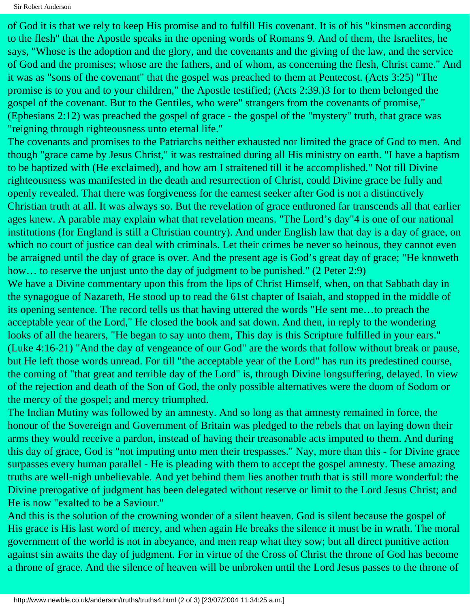of God it is that we rely to keep His promise and to fulfill His covenant. It is of his "kinsmen according to the flesh" that the Apostle speaks in the opening words of Romans 9. And of them, the Israelites, he says, "Whose is the adoption and the glory, and the covenants and the giving of the law, and the service of God and the promises; whose are the fathers, and of whom, as concerning the flesh, Christ came." And it was as "sons of the covenant" that the gospel was preached to them at Pentecost. (Acts 3:25) "The promise is to you and to your children," the Apostle testified; (Acts 2:39.)3 for to them belonged the gospel of the covenant. But to the Gentiles, who were" strangers from the covenants of promise," (Ephesians 2:12) was preached the gospel of grace - the gospel of the "mystery" truth, that grace was "reigning through righteousness unto eternal life."

The covenants and promises to the Patriarchs neither exhausted nor limited the grace of God to men. And though "grace came by Jesus Christ," it was restrained during all His ministry on earth. "I have a baptism to be baptized with (He exclaimed), and how am I straitened till it be accomplished." Not till Divine righteousness was manifested in the death and resurrection of Christ, could Divine grace be fully and openly revealed. That there was forgiveness for the earnest seeker after God is not a distinctively Christian truth at all. It was always so. But the revelation of grace enthroned far transcends all that earlier ages knew. A parable may explain what that revelation means. "The Lord's day"4 is one of our national institutions (for England is still a Christian country). And under English law that day is a day of grace, on which no court of justice can deal with criminals. Let their crimes be never so heinous, they cannot even be arraigned until the day of grace is over. And the present age is God's great day of grace; "He knoweth how... to reserve the unjust unto the day of judgment to be punished." (2 Peter 2:9)

We have a Divine commentary upon this from the lips of Christ Himself, when, on that Sabbath day in the synagogue of Nazareth, He stood up to read the 61st chapter of Isaiah, and stopped in the middle of its opening sentence. The record tells us that having uttered the words "He sent me…to preach the acceptable year of the Lord," He closed the book and sat down. And then, in reply to the wondering looks of all the hearers, "He began to say unto them, This day is this Scripture fulfilled in your ears." (Luke 4:16-21) "And the day of vengeance of our God" are the words that follow without break or pause, but He left those words unread. For till "the acceptable year of the Lord" has run its predestined course, the coming of "that great and terrible day of the Lord" is, through Divine longsuffering, delayed. In view of the rejection and death of the Son of God, the only possible alternatives were the doom of Sodom or the mercy of the gospel; and mercy triumphed.

The Indian Mutiny was followed by an amnesty. And so long as that amnesty remained in force, the honour of the Sovereign and Government of Britain was pledged to the rebels that on laying down their arms they would receive a pardon, instead of having their treasonable acts imputed to them. And during this day of grace, God is "not imputing unto men their trespasses." Nay, more than this - for Divine grace surpasses every human parallel - He is pleading with them to accept the gospel amnesty. These amazing truths are well-nigh unbelievable. And yet behind them lies another truth that is still more wonderful: the Divine prerogative of judgment has been delegated without reserve or limit to the Lord Jesus Christ; and He is now "exalted to be a Saviour."

And this is the solution of the crowning wonder of a silent heaven. God is silent because the gospel of His grace is His last word of mercy, and when again He breaks the silence it must be in wrath. The moral government of the world is not in abeyance, and men reap what they sow; but all direct punitive action against sin awaits the day of judgment. For in virtue of the Cross of Christ the throne of God has become a throne of grace. And the silence of heaven will be unbroken until the Lord Jesus passes to the throne of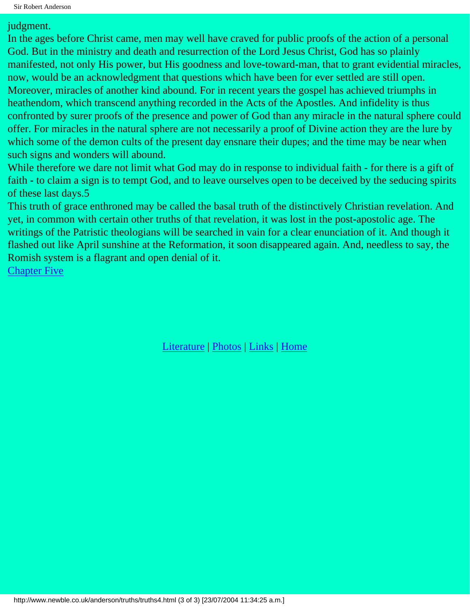```
Sir Robert Anderson
```
#### judgment.

In the ages before Christ came, men may well have craved for public proofs of the action of a personal God. But in the ministry and death and resurrection of the Lord Jesus Christ, God has so plainly manifested, not only His power, but His goodness and love-toward-man, that to grant evidential miracles, now, would be an acknowledgment that questions which have been for ever settled are still open. Moreover, miracles of another kind abound. For in recent years the gospel has achieved triumphs in heathendom, which transcend anything recorded in the Acts of the Apostles. And infidelity is thus confronted by surer proofs of the presence and power of God than any miracle in the natural sphere could offer. For miracles in the natural sphere are not necessarily a proof of Divine action they are the lure by which some of the demon cults of the present day ensnare their dupes; and the time may be near when such signs and wonders will abound.

While therefore we dare not limit what God may do in response to individual faith - for there is a gift of faith - to claim a sign is to tempt God, and to leave ourselves open to be deceived by the seducing spirits of these last days.5

This truth of grace enthroned may be called the basal truth of the distinctively Christian revelation. And yet, in common with certain other truths of that revelation, it was lost in the post-apostolic age. The writings of the Patristic theologians will be searched in vain for a clear enunciation of it. And though it flashed out like April sunshine at the Reformation, it soon disappeared again. And, needless to say, the Romish system is a flagrant and open denial of it.

[Chapter Five](#page-14-0)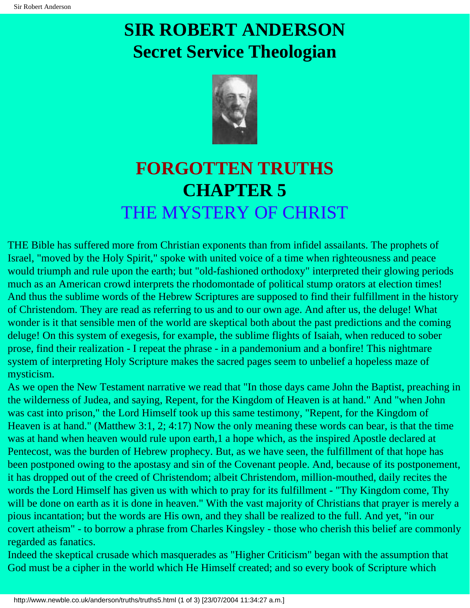

# <span id="page-14-0"></span>**FORGOTTEN TRUTHS CHAPTER 5** THE MYSTERY OF CHRIST

THE Bible has suffered more from Christian exponents than from infidel assailants. The prophets of Israel, "moved by the Holy Spirit," spoke with united voice of a time when righteousness and peace would triumph and rule upon the earth; but "old-fashioned orthodoxy" interpreted their glowing periods much as an American crowd interprets the rhodomontade of political stump orators at election times! And thus the sublime words of the Hebrew Scriptures are supposed to find their fulfillment in the history of Christendom. They are read as referring to us and to our own age. And after us, the deluge! What wonder is it that sensible men of the world are skeptical both about the past predictions and the coming deluge! On this system of exegesis, for example, the sublime flights of Isaiah, when reduced to sober prose, find their realization - I repeat the phrase - in a pandemonium and a bonfire! This nightmare system of interpreting Holy Scripture makes the sacred pages seem to unbelief a hopeless maze of mysticism.

As we open the New Testament narrative we read that "In those days came John the Baptist, preaching in the wilderness of Judea, and saying, Repent, for the Kingdom of Heaven is at hand." And "when John was cast into prison," the Lord Himself took up this same testimony, "Repent, for the Kingdom of Heaven is at hand." (Matthew 3:1, 2; 4:17) Now the only meaning these words can bear, is that the time was at hand when heaven would rule upon earth,1 a hope which, as the inspired Apostle declared at Pentecost, was the burden of Hebrew prophecy. But, as we have seen, the fulfillment of that hope has been postponed owing to the apostasy and sin of the Covenant people. And, because of its postponement, it has dropped out of the creed of Christendom; albeit Christendom, million-mouthed, daily recites the words the Lord Himself has given us with which to pray for its fulfillment - "Thy Kingdom come, Thy will be done on earth as it is done in heaven." With the vast majority of Christians that prayer is merely a pious incantation; but the words are His own, and they shall be realized to the full. And yet, "in our covert atheism" - to borrow a phrase from Charles Kingsley - those who cherish this belief are commonly regarded as fanatics.

Indeed the skeptical crusade which masquerades as "Higher Criticism" began with the assumption that God must be a cipher in the world which He Himself created; and so every book of Scripture which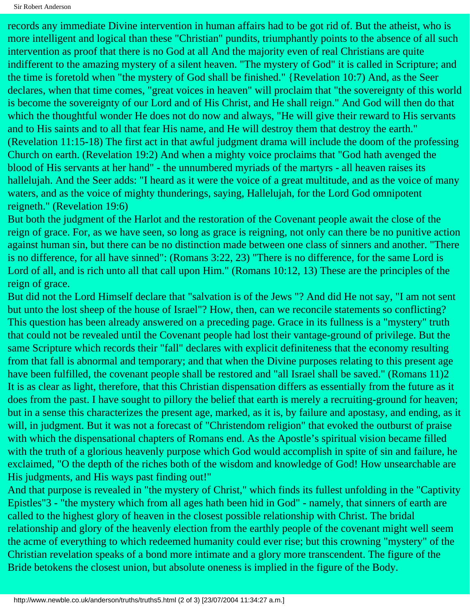records any immediate Divine intervention in human affairs had to be got rid of. But the atheist, who is more intelligent and logical than these "Christian" pundits, triumphantly points to the absence of all such intervention as proof that there is no God at all And the majority even of real Christians are quite indifferent to the amazing mystery of a silent heaven. "The mystery of God" it is called in Scripture; and the time is foretold when "the mystery of God shall be finished." {Revelation 10:7) And, as the Seer declares, when that time comes, "great voices in heaven" will proclaim that "the sovereignty of this world is become the sovereignty of our Lord and of His Christ, and He shall reign." And God will then do that which the thoughtful wonder He does not do now and always, "He will give their reward to His servants and to His saints and to all that fear His name, and He will destroy them that destroy the earth." (Revelation 11:15-18) The first act in that awful judgment drama will include the doom of the professing Church on earth. (Revelation 19:2) And when a mighty voice proclaims that "God hath avenged the blood of His servants at her hand" - the unnumbered myriads of the martyrs - all heaven raises its hallelujah. And the Seer adds: "I heard as it were the voice of a great multitude, and as the voice of many waters, and as the voice of mighty thunderings, saying, Hallelujah, for the Lord God omnipotent reigneth." (Revelation 19:6)

But both the judgment of the Harlot and the restoration of the Covenant people await the close of the reign of grace. For, as we have seen, so long as grace is reigning, not only can there be no punitive action against human sin, but there can be no distinction made between one class of sinners and another. "There is no difference, for all have sinned": (Romans 3:22, 23) "There is no difference, for the same Lord is Lord of all, and is rich unto all that call upon Him." (Romans 10:12, 13) These are the principles of the reign of grace.

But did not the Lord Himself declare that "salvation is of the Jews "? And did He not say, "I am not sent but unto the lost sheep of the house of Israel"? How, then, can we reconcile statements so conflicting? This question has been already answered on a preceding page. Grace in its fullness is a "mystery" truth that could not be revealed until the Covenant people had lost their vantage-ground of privilege. But the same Scripture which records their "fall" declares with explicit definiteness that the economy resulting from that fall is abnormal and temporary; and that when the Divine purposes relating to this present age have been fulfilled, the covenant people shall be restored and "all Israel shall be saved." (Romans 11)2 It is as clear as light, therefore, that this Christian dispensation differs as essentially from the future as it does from the past. I have sought to pillory the belief that earth is merely a recruiting-ground for heaven; but in a sense this characterizes the present age, marked, as it is, by failure and apostasy, and ending, as it will, in judgment. But it was not a forecast of "Christendom religion" that evoked the outburst of praise with which the dispensational chapters of Romans end. As the Apostle's spiritual vision became filled with the truth of a glorious heavenly purpose which God would accomplish in spite of sin and failure, he exclaimed, "O the depth of the riches both of the wisdom and knowledge of God! How unsearchable are His judgments, and His ways past finding out!"

And that purpose is revealed in "the mystery of Christ," which finds its fullest unfolding in the "Captivity Epistles"3 - "the mystery which from all ages hath been hid in God" - namely, that sinners of earth are called to the highest glory of heaven in the closest possible relationship with Christ. The bridal relationship and glory of the heavenly election from the earthly people of the covenant might well seem the acme of everything to which redeemed humanity could ever rise; but this crowning "mystery" of the Christian revelation speaks of a bond more intimate and a glory more transcendent. The figure of the Bride betokens the closest union, but absolute oneness is implied in the figure of the Body.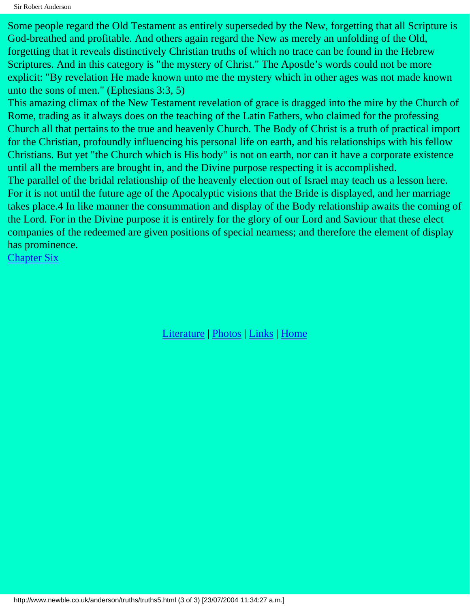Sir Robert Anderson

Some people regard the Old Testament as entirely superseded by the New, forgetting that all Scripture is God-breathed and profitable. And others again regard the New as merely an unfolding of the Old, forgetting that it reveals distinctively Christian truths of which no trace can be found in the Hebrew Scriptures. And in this category is "the mystery of Christ." The Apostle's words could not be more explicit: "By revelation He made known unto me the mystery which in other ages was not made known unto the sons of men." (Ephesians 3:3, 5)

This amazing climax of the New Testament revelation of grace is dragged into the mire by the Church of Rome, trading as it always does on the teaching of the Latin Fathers, who claimed for the professing Church all that pertains to the true and heavenly Church. The Body of Christ is a truth of practical import for the Christian, profoundly influencing his personal life on earth, and his relationships with his fellow Christians. But yet "the Church which is His body" is not on earth, nor can it have a corporate existence until all the members are brought in, and the Divine purpose respecting it is accomplished. The parallel of the bridal relationship of the heavenly election out of Israel may teach us a lesson here. For it is not until the future age of the Apocalyptic visions that the Bride is displayed, and her marriage takes place.4 In like manner the consummation and display of the Body relationship awaits the coming of the Lord. For in the Divine purpose it is entirely for the glory of our Lord and Saviour that these elect companies of the redeemed are given positions of special nearness; and therefore the element of display has prominence.

[Chapter Six](#page-17-0)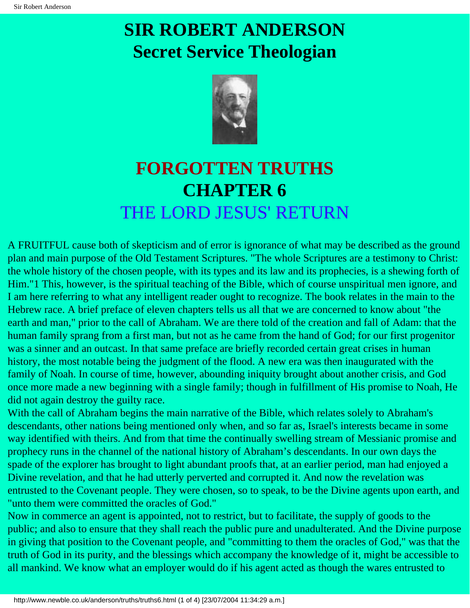

# <span id="page-17-0"></span>**FORGOTTEN TRUTHS CHAPTER 6** THE LORD JESUS' RETURN

A FRUITFUL cause both of skepticism and of error is ignorance of what may be described as the ground plan and main purpose of the Old Testament Scriptures. "The whole Scriptures are a testimony to Christ: the whole history of the chosen people, with its types and its law and its prophecies, is a shewing forth of Him."1 This, however, is the spiritual teaching of the Bible, which of course unspiritual men ignore, and I am here referring to what any intelligent reader ought to recognize. The book relates in the main to the Hebrew race. A brief preface of eleven chapters tells us all that we are concerned to know about "the earth and man," prior to the call of Abraham. We are there told of the creation and fall of Adam: that the human family sprang from a first man, but not as he came from the hand of God; for our first progenitor was a sinner and an outcast. In that same preface are briefly recorded certain great crises in human history, the most notable being the judgment of the flood. A new era was then inaugurated with the family of Noah. In course of time, however, abounding iniquity brought about another crisis, and God once more made a new beginning with a single family; though in fulfillment of His promise to Noah, He did not again destroy the guilty race.

With the call of Abraham begins the main narrative of the Bible, which relates solely to Abraham's descendants, other nations being mentioned only when, and so far as, Israel's interests became in some way identified with theirs. And from that time the continually swelling stream of Messianic promise and prophecy runs in the channel of the national history of Abraham's descendants. In our own days the spade of the explorer has brought to light abundant proofs that, at an earlier period, man had enjoyed a Divine revelation, and that he had utterly perverted and corrupted it. And now the revelation was entrusted to the Covenant people. They were chosen, so to speak, to be the Divine agents upon earth, and "unto them were committed the oracles of God."

Now in commerce an agent is appointed, not to restrict, but to facilitate, the supply of goods to the public; and also to ensure that they shall reach the public pure and unadulterated. And the Divine purpose in giving that position to the Covenant people, and "committing to them the oracles of God," was that the truth of God in its purity, and the blessings which accompany the knowledge of it, might be accessible to all mankind. We know what an employer would do if his agent acted as though the wares entrusted to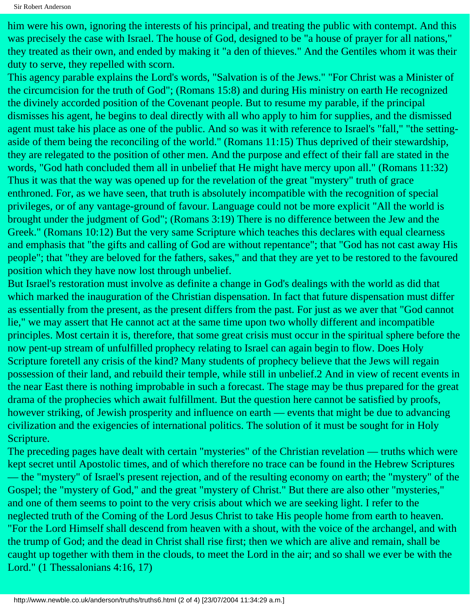him were his own, ignoring the interests of his principal, and treating the public with contempt. And this was precisely the case with Israel. The house of God, designed to be "a house of prayer for all nations," they treated as their own, and ended by making it "a den of thieves." And the Gentiles whom it was their duty to serve, they repelled with scorn.

This agency parable explains the Lord's words, "Salvation is of the Jews." "For Christ was a Minister of the circumcision for the truth of God"; (Romans 15:8) and during His ministry on earth He recognized the divinely accorded position of the Covenant people. But to resume my parable, if the principal dismisses his agent, he begins to deal directly with all who apply to him for supplies, and the dismissed agent must take his place as one of the public. And so was it with reference to Israel's "fall," "the settingaside of them being the reconciling of the world." (Romans 11:15) Thus deprived of their stewardship, they are relegated to the position of other men. And the purpose and effect of their fall are stated in the words, "God hath concluded them all in unbelief that He might have mercy upon all." (Romans 11:32) Thus it was that the way was opened up for the revelation of the great "mystery" truth of grace enthroned. For, as we have seen, that truth is absolutely incompatible with the recognition of special privileges, or of any vantage-ground of favour. Language could not be more explicit "All the world is brought under the judgment of God"; (Romans 3:19) There is no difference between the Jew and the Greek." (Romans 10:12) But the very same Scripture which teaches this declares with equal clearness and emphasis that "the gifts and calling of God are without repentance"; that "God has not cast away His people"; that "they are beloved for the fathers, sakes," and that they are yet to be restored to the favoured position which they have now lost through unbelief.

But Israel's restoration must involve as definite a change in God's dealings with the world as did that which marked the inauguration of the Christian dispensation. In fact that future dispensation must differ as essentially from the present, as the present differs from the past. For just as we aver that "God cannot lie," we may assert that He cannot act at the same time upon two wholly different and incompatible principles. Most certain it is, therefore, that some great crisis must occur in the spiritual sphere before the now pent-up stream of unfulfilled prophecy relating to Israel can again begin to flow. Does Holy Scripture foretell any crisis of the kind? Many students of prophecy believe that the Jews will regain possession of their land, and rebuild their temple, while still in unbelief.2 And in view of recent events in the near East there is nothing improbable in such a forecast. The stage may be thus prepared for the great drama of the prophecies which await fulfillment. But the question here cannot be satisfied by proofs, however striking, of Jewish prosperity and influence on earth — events that might be due to advancing civilization and the exigencies of international politics. The solution of it must be sought for in Holy Scripture.

The preceding pages have dealt with certain "mysteries" of the Christian revelation — truths which were kept secret until Apostolic times, and of which therefore no trace can be found in the Hebrew Scriptures — the "mystery" of Israel's present rejection, and of the resulting economy on earth; the "mystery" of the Gospel; the "mystery of God," and the great "mystery of Christ." But there are also other "mysteries," and one of them seems to point to the very crisis about which we are seeking light. I refer to the neglected truth of the Coming of the Lord Jesus Christ to take His people home from earth to heaven. "For the Lord Himself shall descend from heaven with a shout, with the voice of the archangel, and with the trump of God; and the dead in Christ shall rise first; then we which are alive and remain, shall be caught up together with them in the clouds, to meet the Lord in the air; and so shall we ever be with the Lord." (1 Thessalonians 4:16, 17)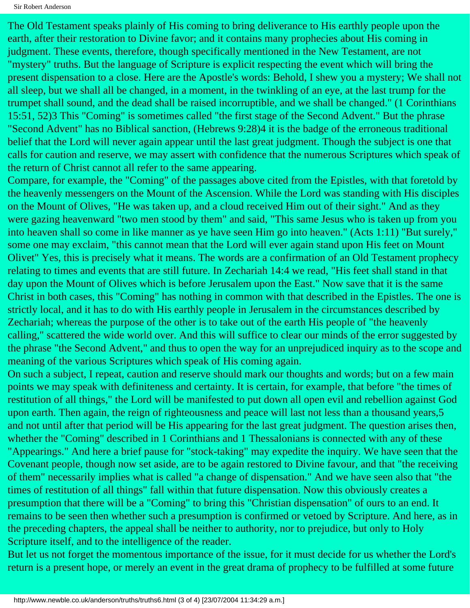The Old Testament speaks plainly of His coming to bring deliverance to His earthly people upon the earth, after their restoration to Divine favor; and it contains many prophecies about His coming in judgment. These events, therefore, though specifically mentioned in the New Testament, are not "mystery" truths. But the language of Scripture is explicit respecting the event which will bring the present dispensation to a close. Here are the Apostle's words: Behold, I shew you a mystery; We shall not all sleep, but we shall all be changed, in a moment, in the twinkling of an eye, at the last trump for the trumpet shall sound, and the dead shall be raised incorruptible, and we shall be changed." (1 Corinthians 15:51, 52)3 This "Coming" is sometimes called "the first stage of the Second Advent." But the phrase "Second Advent" has no Biblical sanction, (Hebrews 9:28)4 it is the badge of the erroneous traditional belief that the Lord will never again appear until the last great judgment. Though the subject is one that calls for caution and reserve, we may assert with confidence that the numerous Scriptures which speak of the return of Christ cannot all refer to the same appearing.

Compare, for example, the "Coming" of the passages above cited from the Epistles, with that foretold by the heavenly messengers on the Mount of the Ascension. While the Lord was standing with His disciples on the Mount of Olives, "He was taken up, and a cloud received Him out of their sight." And as they were gazing heavenward "two men stood by them" and said, "This same Jesus who is taken up from you into heaven shall so come in like manner as ye have seen Him go into heaven." (Acts 1:11) "But surely," some one may exclaim, "this cannot mean that the Lord will ever again stand upon His feet on Mount Olivet" Yes, this is precisely what it means. The words are a confirmation of an Old Testament prophecy relating to times and events that are still future. In Zechariah 14:4 we read, "His feet shall stand in that day upon the Mount of Olives which is before Jerusalem upon the East." Now save that it is the same Christ in both cases, this "Coming" has nothing in common with that described in the Epistles. The one is strictly local, and it has to do with His earthly people in Jerusalem in the circumstances described by Zechariah; whereas the purpose of the other is to take out of the earth His people of "the heavenly calling," scattered the wide world over. And this will suffice to clear our minds of the error suggested by the phrase "the Second Advent," and thus to open the way for an unprejudiced inquiry as to the scope and meaning of the various Scriptures which speak of His coming again.

On such a subject, I repeat, caution and reserve should mark our thoughts and words; but on a few main points we may speak with definiteness and certainty. It is certain, for example, that before "the times of restitution of all things," the Lord will be manifested to put down all open evil and rebellion against God upon earth. Then again, the reign of righteousness and peace will last not less than a thousand years,5 and not until after that period will be His appearing for the last great judgment. The question arises then, whether the "Coming" described in 1 Corinthians and 1 Thessalonians is connected with any of these "Appearings." And here a brief pause for "stock-taking" may expedite the inquiry. We have seen that the Covenant people, though now set aside, are to be again restored to Divine favour, and that "the receiving of them" necessarily implies what is called "a change of dispensation." And we have seen also that "the times of restitution of all things" fall within that future dispensation. Now this obviously creates a presumption that there will be a "Coming" to bring this "Christian dispensation" of ours to an end. It remains to be seen then whether such a presumption is confirmed or vetoed by Scripture. And here, as in the preceding chapters, the appeal shall be neither to authority, nor to prejudice, but only to Holy Scripture itself, and to the intelligence of the reader.

But let us not forget the momentous importance of the issue, for it must decide for us whether the Lord's return is a present hope, or merely an event in the great drama of prophecy to be fulfilled at some future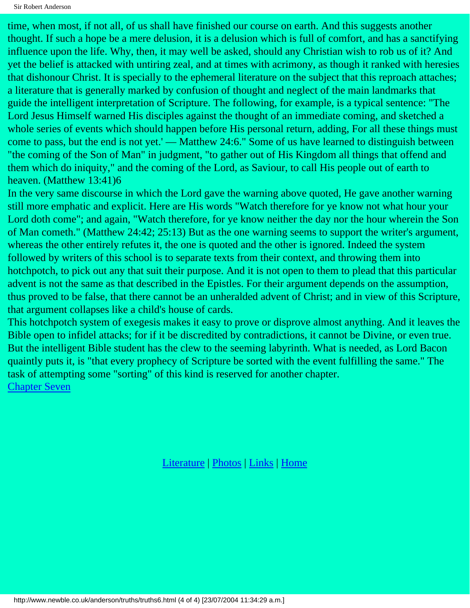Sir Robert Anderson

time, when most, if not all, of us shall have finished our course on earth. And this suggests another thought. If such a hope be a mere delusion, it is a delusion which is full of comfort, and has a sanctifying influence upon the life. Why, then, it may well be asked, should any Christian wish to rob us of it? And yet the belief is attacked with untiring zeal, and at times with acrimony, as though it ranked with heresies that dishonour Christ. It is specially to the ephemeral literature on the subject that this reproach attaches; a literature that is generally marked by confusion of thought and neglect of the main landmarks that guide the intelligent interpretation of Scripture. The following, for example, is a typical sentence: "The Lord Jesus Himself warned His disciples against the thought of an immediate coming, and sketched a whole series of events which should happen before His personal return, adding, For all these things must come to pass, but the end is not yet.' — Matthew 24:6." Some of us have learned to distinguish between "the coming of the Son of Man" in judgment, "to gather out of His Kingdom all things that offend and them which do iniquity," and the coming of the Lord, as Saviour, to call His people out of earth to heaven. (Matthew 13:41)6

In the very same discourse in which the Lord gave the warning above quoted, He gave another warning still more emphatic and explicit. Here are His words "Watch therefore for ye know not what hour your Lord doth come"; and again, "Watch therefore, for ye know neither the day nor the hour wherein the Son of Man cometh." (Matthew 24:42; 25:13) But as the one warning seems to support the writer's argument, whereas the other entirely refutes it, the one is quoted and the other is ignored. Indeed the system followed by writers of this school is to separate texts from their context, and throwing them into hotchpotch, to pick out any that suit their purpose. And it is not open to them to plead that this particular advent is not the same as that described in the Epistles. For their argument depends on the assumption, thus proved to be false, that there cannot be an unheralded advent of Christ; and in view of this Scripture, that argument collapses like a child's house of cards.

This hotchpotch system of exegesis makes it easy to prove or disprove almost anything. And it leaves the Bible open to infidel attacks; for if it be discredited by contradictions, it cannot be Divine, or even true. But the intelligent Bible student has the clew to the seeming labyrinth. What is needed, as Lord Bacon quaintly puts it, is "that every prophecy of Scripture be sorted with the event fulfilling the same." The task of attempting some "sorting" of this kind is reserved for another chapter. [Chapter Seven](#page-21-0)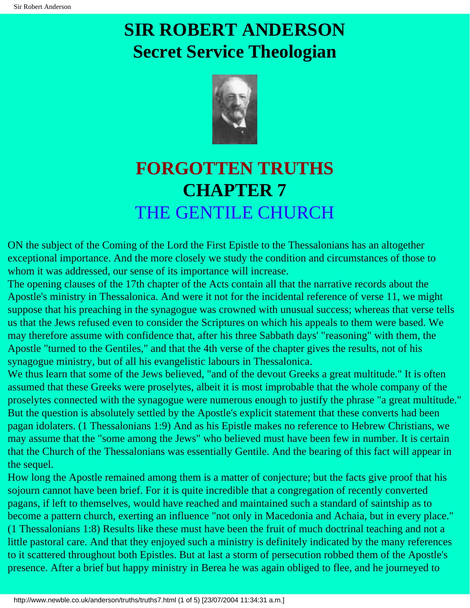

# <span id="page-21-0"></span>**FORGOTTEN TRUTHS CHAPTER 7** THE GENTILE CHURCH

ON the subject of the Coming of the Lord the First Epistle to the Thessalonians has an altogether exceptional importance. And the more closely we study the condition and circumstances of those to whom it was addressed, our sense of its importance will increase.

The opening clauses of the 17th chapter of the Acts contain all that the narrative records about the Apostle's ministry in Thessalonica. And were it not for the incidental reference of verse 11, we might suppose that his preaching in the synagogue was crowned with unusual success; whereas that verse tells us that the Jews refused even to consider the Scriptures on which his appeals to them were based. We may therefore assume with confidence that, after his three Sabbath days' "reasoning" with them, the Apostle "turned to the Gentiles," and that the 4th verse of the chapter gives the results, not of his synagogue ministry, but of all his evangelistic labours in Thessalonica.

We thus learn that some of the Jews believed, "and of the devout Greeks a great multitude." It is often assumed that these Greeks were proselytes, albeit it is most improbable that the whole company of the proselytes connected with the synagogue were numerous enough to justify the phrase "a great multitude." But the question is absolutely settled by the Apostle's explicit statement that these converts had been pagan idolaters. (1 Thessalonians 1:9) And as his Epistle makes no reference to Hebrew Christians, we may assume that the "some among the Jews" who believed must have been few in number. It is certain that the Church of the Thessalonians was essentially Gentile. And the bearing of this fact will appear in the sequel.

How long the Apostle remained among them is a matter of conjecture; but the facts give proof that his sojourn cannot have been brief. For it is quite incredible that a congregation of recently converted pagans, if left to themselves, would have reached and maintained such a standard of saintship as to become a pattern church, exerting an influence "not only in Macedonia and Achaia, but in every place." (1 Thessalonians 1:8) Results like these must have been the fruit of much doctrinal teaching and not a little pastoral care. And that they enjoyed such a ministry is definitely indicated by the many references to it scattered throughout both Epistles. But at last a storm of persecution robbed them of the Apostle's presence. After a brief but happy ministry in Berea he was again obliged to flee, and he journeyed to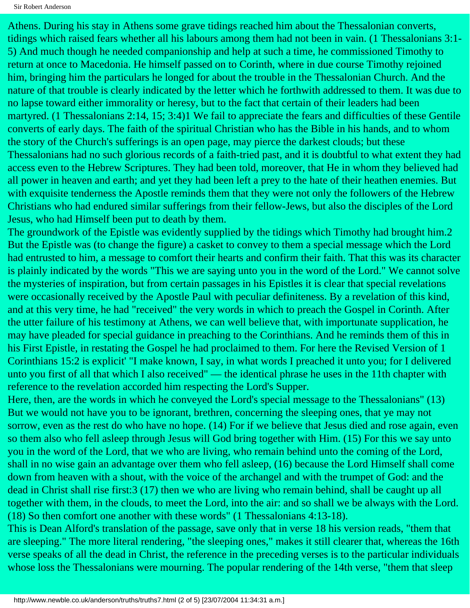Athens. During his stay in Athens some grave tidings reached him about the Thessalonian converts, tidings which raised fears whether all his labours among them had not been in vain. (1 Thessalonians 3:1- 5) And much though he needed companionship and help at such a time, he commissioned Timothy to return at once to Macedonia. He himself passed on to Corinth, where in due course Timothy rejoined him, bringing him the particulars he longed for about the trouble in the Thessalonian Church. And the nature of that trouble is clearly indicated by the letter which he forthwith addressed to them. It was due to no lapse toward either immorality or heresy, but to the fact that certain of their leaders had been martyred. (1 Thessalonians 2:14, 15; 3:4)1 We fail to appreciate the fears and difficulties of these Gentile converts of early days. The faith of the spiritual Christian who has the Bible in his hands, and to whom the story of the Church's sufferings is an open page, may pierce the darkest clouds; but these Thessalonians had no such glorious records of a faith-tried past, and it is doubtful to what extent they had access even to the Hebrew Scriptures. They had been told, moreover, that He in whom they believed had all power in heaven and earth; and yet they had been left a prey to the hate of their heathen enemies. But with exquisite tenderness the Apostle reminds them that they were not only the followers of the Hebrew Christians who had endured similar sufferings from their fellow-Jews, but also the disciples of the Lord Jesus, who had Himself been put to death by them.

The groundwork of the Epistle was evidently supplied by the tidings which Timothy had brought him.2 But the Epistle was (to change the figure) a casket to convey to them a special message which the Lord had entrusted to him, a message to comfort their hearts and confirm their faith. That this was its character is plainly indicated by the words "This we are saying unto you in the word of the Lord." We cannot solve the mysteries of inspiration, but from certain passages in his Epistles it is clear that special revelations were occasionally received by the Apostle Paul with peculiar definiteness. By a revelation of this kind, and at this very time, he had "received" the very words in which to preach the Gospel in Corinth. After the utter failure of his testimony at Athens, we can well believe that, with importunate supplication, he may have pleaded for special guidance in preaching to the Corinthians. And he reminds them of this in his First Epistle, in restating the Gospel he had proclaimed to them. For here the Revised Version of 1 Corinthians 15:2 is explicit' "I make known, I say, in what words I preached it unto you; for I delivered unto you first of all that which I also received" — the identical phrase he uses in the 11th chapter with reference to the revelation accorded him respecting the Lord's Supper.

Here, then, are the words in which he conveyed the Lord's special message to the Thessalonians" (13) But we would not have you to be ignorant, brethren, concerning the sleeping ones, that ye may not sorrow, even as the rest do who have no hope. (14) For if we believe that Jesus died and rose again, even so them also who fell asleep through Jesus will God bring together with Him. (15) For this we say unto you in the word of the Lord, that we who are living, who remain behind unto the coming of the Lord, shall in no wise gain an advantage over them who fell asleep, (16) because the Lord Himself shall come down from heaven with a shout, with the voice of the archangel and with the trumpet of God: and the dead in Christ shall rise first:3 (17) then we who are living who remain behind, shall be caught up all together with them, in the clouds, to meet the Lord, into the air: and so shall we be always with the Lord. (18) So then comfort one another with these words" (1 Thessalonians 4:13-18).

This is Dean Alford's translation of the passage, save only that in verse 18 his version reads, "them that are sleeping." The more literal rendering, "the sleeping ones," makes it still clearer that, whereas the 16th verse speaks of all the dead in Christ, the reference in the preceding verses is to the particular individuals whose loss the Thessalonians were mourning. The popular rendering of the 14th verse, "them that sleep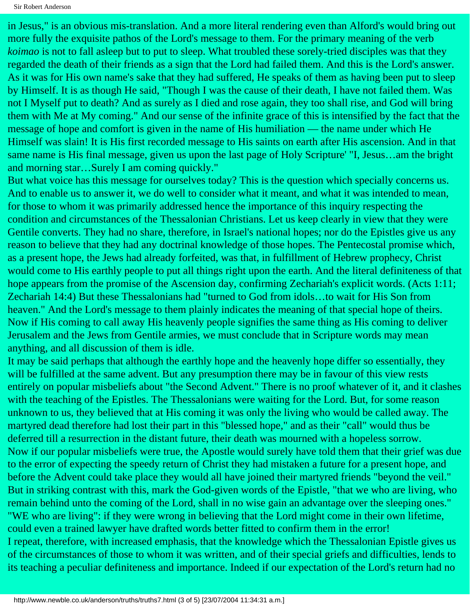in Jesus," is an obvious mis-translation. And a more literal rendering even than Alford's would bring out more fully the exquisite pathos of the Lord's message to them. For the primary meaning of the verb *koimao* is not to fall asleep but to put to sleep. What troubled these sorely-tried disciples was that they regarded the death of their friends as a sign that the Lord had failed them. And this is the Lord's answer. As it was for His own name's sake that they had suffered, He speaks of them as having been put to sleep by Himself. It is as though He said, "Though I was the cause of their death, I have not failed them. Was not I Myself put to death? And as surely as I died and rose again, they too shall rise, and God will bring them with Me at My coming." And our sense of the infinite grace of this is intensified by the fact that the message of hope and comfort is given in the name of His humiliation — the name under which He Himself was slain! It is His first recorded message to His saints on earth after His ascension. And in that same name is His final message, given us upon the last page of Holy Scripture' "I, Jesus…am the bright and morning star…Surely I am coming quickly."

But what voice has this message for ourselves today? This is the question which specially concerns us. And to enable us to answer it, we do well to consider what it meant, and what it was intended to mean, for those to whom it was primarily addressed hence the importance of this inquiry respecting the condition and circumstances of the Thessalonian Christians. Let us keep clearly in view that they were Gentile converts. They had no share, therefore, in Israel's national hopes; nor do the Epistles give us any reason to believe that they had any doctrinal knowledge of those hopes. The Pentecostal promise which, as a present hope, the Jews had already forfeited, was that, in fulfillment of Hebrew prophecy, Christ would come to His earthly people to put all things right upon the earth. And the literal definiteness of that hope appears from the promise of the Ascension day, confirming Zechariah's explicit words. (Acts 1:11; Zechariah 14:4) But these Thessalonians had "turned to God from idols…to wait for His Son from heaven." And the Lord's message to them plainly indicates the meaning of that special hope of theirs. Now if His coming to call away His heavenly people signifies the same thing as His coming to deliver Jerusalem and the Jews from Gentile armies, we must conclude that in Scripture words may mean anything, and all discussion of them is idle.

It may be said perhaps that although the earthly hope and the heavenly hope differ so essentially, they will be fulfilled at the same advent. But any presumption there may be in favour of this view rests entirely on popular misbeliefs about "the Second Advent." There is no proof whatever of it, and it clashes with the teaching of the Epistles. The Thessalonians were waiting for the Lord. But, for some reason unknown to us, they believed that at His coming it was only the living who would be called away. The martyred dead therefore had lost their part in this "blessed hope," and as their "call" would thus be deferred till a resurrection in the distant future, their death was mourned with a hopeless sorrow. Now if our popular misbeliefs were true, the Apostle would surely have told them that their grief was due to the error of expecting the speedy return of Christ they had mistaken a future for a present hope, and before the Advent could take place they would all have joined their martyred friends "beyond the veil." But in striking contrast with this, mark the God-given words of the Epistle, "that we who are living, who remain behind unto the coming of the Lord, shall in no wise gain an advantage over the sleeping ones." "WE who are living": if they were wrong in believing that the Lord might come in their own lifetime, could even a trained lawyer have drafted words better fitted to confirm them in the error! I repeat, therefore, with increased emphasis, that the knowledge which the Thessalonian Epistle gives us of the circumstances of those to whom it was written, and of their special griefs and difficulties, lends to its teaching a peculiar definiteness and importance. Indeed if our expectation of the Lord's return had no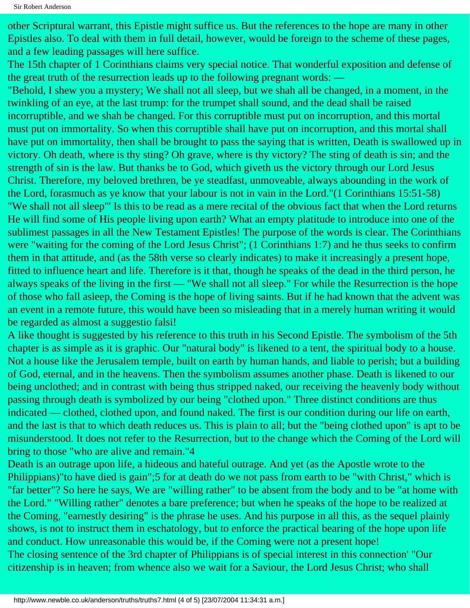other Scriptural warrant, this Epistle might suffice us. But the references to the hope are many in other Epistles also. To deal with them in full detail, however, would be foreign to the scheme of these pages, and a few leading passages will here suffice.

The 15th chapter of 1 Corinthians claims very special notice. That wonderful exposition and defense of the great truth of the resurrection leads up to the following pregnant words: —

"Behold, I shew you a mystery; We shall not all sleep, but we shah all be changed, in a moment, in the twinkling of an eye, at the last trump: for the trumpet shall sound, and the dead shall be raised incorruptible, and we shah be changed. For this corruptible must put on incorruption, and this mortal must put on immortality. So when this corruptible shall have put on incorruption, and this mortal shall have put on immortality, then shall be brought to pass the saying that is written, Death is swallowed up in victory. Oh death, where is thy sting? Oh grave, where is thy victory? The sting of death is sin; and the strength of sin is the law. But thanks be to God, which giveth us the victory through our Lord Jesus Christ. Therefore, my beloved brethren, be ye steadfast, unmoveable, always abounding in the work of the Lord, forasmuch as ye know that your labour is not in vain in the Lord."(1 Corinthians 15:51-58) "We shall not all sleep"' Is this to be read as a mere recital of the obvious fact that when the Lord returns He will find some of His people living upon earth? What an empty platitude to introduce into one of the sublimest passages in all the New Testament Epistles! The purpose of the words is clear. The Corinthians were "waiting for the coming of the Lord Jesus Christ"; (1 Corinthians 1:7) and he thus seeks to confirm them in that attitude, and (as the 58th verse so clearly indicates) to make it increasingly a present hope, fitted to influence heart and life. Therefore is it that, though he speaks of the dead in the third person, he always speaks of the living in the first — "We shall not all sleep." For while the Resurrection is the hope of those who fall asleep, the Coming is the hope of living saints. But if he had known that the advent was an event in a remote future, this would have been so misleading that in a merely human writing it would be regarded as almost a suggestio falsi!

A like thought is suggested by his reference to this truth in his Second Epistle. The symbolism of the 5th chapter is as simple as it is graphic. Our "natural body" is likened to a tent, the spiritual body to a house. Not a house like the Jerusalem temple, built on earth by human hands, and liable to perish; but a building of God, eternal, and in the heavens. Then the symbolism assumes another phase. Death is likened to our being unclothed; and in contrast with being thus stripped naked, our receiving the heavenly body without passing through death is symbolized by our being "clothed upon." Three distinct conditions are thus indicated — clothed, clothed upon, and found naked. The first is our condition during our life on earth, and the last is that to which death reduces us. This is plain to all; but the "being clothed upon" is apt to be misunderstood. It does not refer to the Resurrection, but to the change which the Coming of the Lord will bring to those "who are alive and remain."4

Death is an outrage upon life, a hideous and hateful outrage. And yet (as the Apostle wrote to the Philippians)"to have died is gain";5 for at death do we not pass from earth to be "with Christ," which is "far better"? So here he says, We are "willing rather" to be absent from the body and to be "at home with the Lord." "Willing rather" denotes a bare preference; but when he speaks of the hope to be realized at the Coming, "earnestly desiring" is the phrase he uses. And his purpose in all this, as the sequel plainly shows, is not to instruct them in eschatology, but to enforce the practical bearing of the hope upon life and conduct. How unreasonable this would be, if the Coming were not a present hope! The closing sentence of the 3rd chapter of Philippians is of special interest in this connection' "Our citizenship is in heaven; from whence also we wait for a Saviour, the Lord Jesus Christ; who shall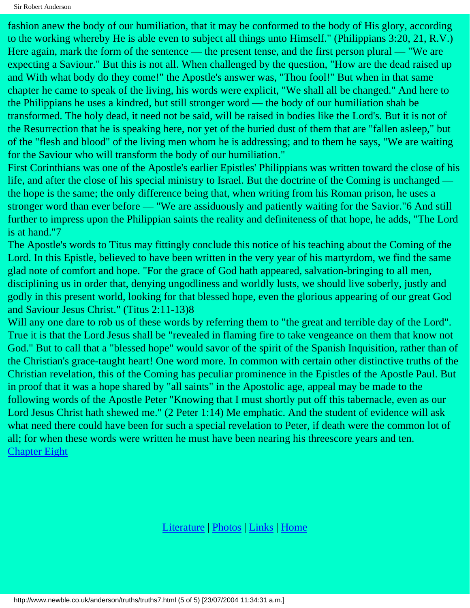Sir Robert Anderson

fashion anew the body of our humiliation, that it may be conformed to the body of His glory, according to the working whereby He is able even to subject all things unto Himself." (Philippians 3:20, 21, R.V.) Here again, mark the form of the sentence — the present tense, and the first person plural — "We are expecting a Saviour." But this is not all. When challenged by the question, "How are the dead raised up and With what body do they come!" the Apostle's answer was, "Thou fool!" But when in that same chapter he came to speak of the living, his words were explicit, "We shall all be changed." And here to the Philippians he uses a kindred, but still stronger word — the body of our humiliation shah be transformed. The holy dead, it need not be said, will be raised in bodies like the Lord's. But it is not of the Resurrection that he is speaking here, nor yet of the buried dust of them that are "fallen asleep," but of the "flesh and blood" of the living men whom he is addressing; and to them he says, "We are waiting for the Saviour who will transform the body of our humiliation."

First Corinthians was one of the Apostle's earlier Epistles' Philippians was written toward the close of his life, and after the close of his special ministry to Israel. But the doctrine of the Coming is unchanged the hope is the same; the only difference being that, when writing from his Roman prison, he uses a stronger word than ever before — "We are assiduously and patiently waiting for the Savior."6 And still further to impress upon the Philippian saints the reality and definiteness of that hope, he adds, "The Lord is at hand."7

The Apostle's words to Titus may fittingly conclude this notice of his teaching about the Coming of the Lord. In this Epistle, believed to have been written in the very year of his martyrdom, we find the same glad note of comfort and hope. "For the grace of God hath appeared, salvation-bringing to all men, disciplining us in order that, denying ungodliness and worldly lusts, we should live soberly, justly and godly in this present world, looking for that blessed hope, even the glorious appearing of our great God and Saviour Jesus Christ." (Titus 2:11-13)8

Will any one dare to rob us of these words by referring them to "the great and terrible day of the Lord". True it is that the Lord Jesus shall be "revealed in flaming fire to take vengeance on them that know not God." But to call that a "blessed hope" would savor of the spirit of the Spanish Inquisition, rather than of the Christian's grace-taught heart! One word more. In common with certain other distinctive truths of the Christian revelation, this of the Coming has peculiar prominence in the Epistles of the Apostle Paul. But in proof that it was a hope shared by "all saints" in the Apostolic age, appeal may be made to the following words of the Apostle Peter "Knowing that I must shortly put off this tabernacle, even as our Lord Jesus Christ hath shewed me." (2 Peter 1:14) Me emphatic. And the student of evidence will ask what need there could have been for such a special revelation to Peter, if death were the common lot of all; for when these words were written he must have been nearing his threescore years and ten. [Chapter Eight](#page-26-0)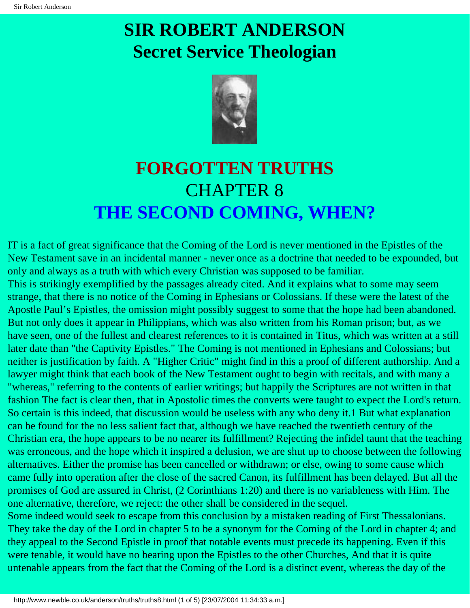

# <span id="page-26-0"></span>**FORGOTTEN TRUTHS**  CHAPTER 8 **THE SECOND COMING, WHEN?**

IT is a fact of great significance that the Coming of the Lord is never mentioned in the Epistles of the New Testament save in an incidental manner - never once as a doctrine that needed to be expounded, but only and always as a truth with which every Christian was supposed to be familiar.

This is strikingly exemplified by the passages already cited. And it explains what to some may seem strange, that there is no notice of the Coming in Ephesians or Colossians. If these were the latest of the Apostle Paul's Epistles, the omission might possibly suggest to some that the hope had been abandoned. But not only does it appear in Philippians, which was also written from his Roman prison; but, as we have seen, one of the fullest and clearest references to it is contained in Titus, which was written at a still later date than "the Captivity Epistles." The Coming is not mentioned in Ephesians and Colossians; but neither is justification by faith. A "Higher Critic" might find in this a proof of different authorship. And a lawyer might think that each book of the New Testament ought to begin with recitals, and with many a "whereas," referring to the contents of earlier writings; but happily the Scriptures are not written in that fashion The fact is clear then, that in Apostolic times the converts were taught to expect the Lord's return. So certain is this indeed, that discussion would be useless with any who deny it.1 But what explanation can be found for the no less salient fact that, although we have reached the twentieth century of the Christian era, the hope appears to be no nearer its fulfillment? Rejecting the infidel taunt that the teaching was erroneous, and the hope which it inspired a delusion, we are shut up to choose between the following alternatives. Either the promise has been cancelled or withdrawn; or else, owing to some cause which came fully into operation after the close of the sacred Canon, its fulfillment has been delayed. But all the promises of God are assured in Christ, (2 Corinthians 1:20) and there is no variableness with Him. The one alternative, therefore, we reject: the other shall be considered in the sequel.

Some indeed would seek to escape from this conclusion by a mistaken reading of First Thessalonians. They take the day of the Lord in chapter 5 to be a synonym for the Coming of the Lord in chapter 4; and they appeal to the Second Epistle in proof that notable events must precede its happening. Even if this were tenable, it would have no bearing upon the Epistles to the other Churches, And that it is quite untenable appears from the fact that the Coming of the Lord is a distinct event, whereas the day of the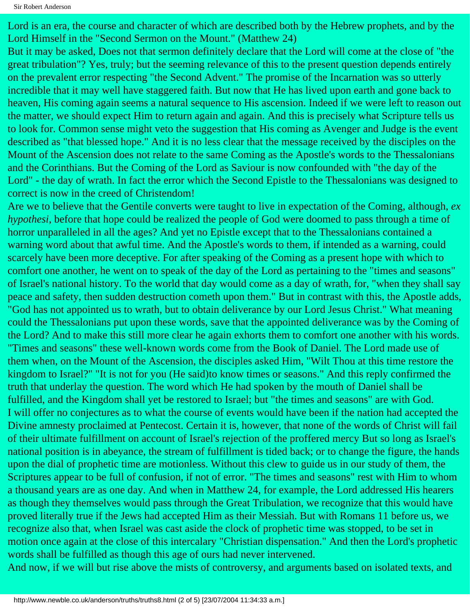Lord is an era, the course and character of which are described both by the Hebrew prophets, and by the Lord Himself in the "Second Sermon on the Mount." (Matthew 24)

But it may be asked, Does not that sermon definitely declare that the Lord will come at the close of "the great tribulation"? Yes, truly; but the seeming relevance of this to the present question depends entirely on the prevalent error respecting "the Second Advent." The promise of the Incarnation was so utterly incredible that it may well have staggered faith. But now that He has lived upon earth and gone back to heaven, His coming again seems a natural sequence to His ascension. Indeed if we were left to reason out the matter, we should expect Him to return again and again. And this is precisely what Scripture tells us to look for. Common sense might veto the suggestion that His coming as Avenger and Judge is the event described as "that blessed hope." And it is no less clear that the message received by the disciples on the Mount of the Ascension does not relate to the same Coming as the Apostle's words to the Thessalonians and the Corinthians. But the Coming of the Lord as Saviour is now confounded with "the day of the Lord" - the day of wrath. In fact the error which the Second Epistle to the Thessalonians was designed to correct is now in the creed of Christendom!

Are we to believe that the Gentile converts were taught to live in expectation of the Coming, although, *ex hypothesi,* before that hope could be realized the people of God were doomed to pass through a time of horror unparalleled in all the ages? And yet no Epistle except that to the Thessalonians contained a warning word about that awful time. And the Apostle's words to them, if intended as a warning, could scarcely have been more deceptive. For after speaking of the Coming as a present hope with which to comfort one another, he went on to speak of the day of the Lord as pertaining to the "times and seasons" of Israel's national history. To the world that day would come as a day of wrath, for, "when they shall say peace and safety, then sudden destruction cometh upon them." But in contrast with this, the Apostle adds, "God has not appointed us to wrath, but to obtain deliverance by our Lord Jesus Christ." What meaning could the Thessalonians put upon these words, save that the appointed deliverance was by the Coming of the Lord? And to make this still more clear he again exhorts them to comfort one another with his words. "Times and seasons" these well-known words come from the Book of Daniel. The Lord made use of them when, on the Mount of the Ascension, the disciples asked Him, "Wilt Thou at this time restore the kingdom to Israel?" "It is not for you (He said)to know times or seasons." And this reply confirmed the truth that underlay the question. The word which He had spoken by the mouth of Daniel shall be fulfilled, and the Kingdom shall yet be restored to Israel; but "the times and seasons" are with God. I will offer no conjectures as to what the course of events would have been if the nation had accepted the Divine amnesty proclaimed at Pentecost. Certain it is, however, that none of the words of Christ will fail of their ultimate fulfillment on account of Israel's rejection of the proffered mercy But so long as Israel's national position is in abeyance, the stream of fulfillment is tided back; or to change the figure, the hands upon the dial of prophetic time are motionless. Without this clew to guide us in our study of them, the Scriptures appear to be full of confusion, if not of error. "The times and seasons" rest with Him to whom a thousand years are as one day. And when in Matthew 24, for example, the Lord addressed His hearers as though they themselves would pass through the Great Tribulation, we recognize that this would have proved literally true if the Jews had accepted Him as their Messiah. But with Romans 11 before us, we recognize also that, when Israel was cast aside the clock of prophetic time was stopped, to be set in motion once again at the close of this intercalary "Christian dispensation." And then the Lord's prophetic words shall be fulfilled as though this age of ours had never intervened.

And now, if we will but rise above the mists of controversy, and arguments based on isolated texts, and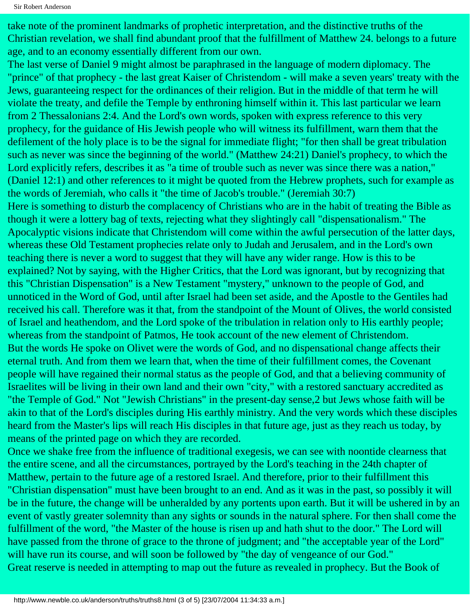take note of the prominent landmarks of prophetic interpretation, and the distinctive truths of the Christian revelation, we shall find abundant proof that the fulfillment of Matthew 24. belongs to a future age, and to an economy essentially different from our own.

The last verse of Daniel 9 might almost be paraphrased in the language of modern diplomacy. The "prince" of that prophecy - the last great Kaiser of Christendom - will make a seven years' treaty with the Jews, guaranteeing respect for the ordinances of their religion. But in the middle of that term he will violate the treaty, and defile the Temple by enthroning himself within it. This last particular we learn from 2 Thessalonians 2:4. And the Lord's own words, spoken with express reference to this very prophecy, for the guidance of His Jewish people who will witness its fulfillment, warn them that the defilement of the holy place is to be the signal for immediate flight; "for then shall be great tribulation such as never was since the beginning of the world." (Matthew 24:21) Daniel's prophecy, to which the Lord explicitly refers, describes it as "a time of trouble such as never was since there was a nation," (Daniel 12:1) and other references to it might be quoted from the Hebrew prophets, such for example as the words of Jeremiah, who calls it "the time of Jacob's trouble." (Jeremiah 30:7) Here is something to disturb the complacency of Christians who are in the habit of treating the Bible as though it were a lottery bag of texts, rejecting what they slightingly call "dispensationalism." The Apocalyptic visions indicate that Christendom will come within the awful persecution of the latter days, whereas these Old Testament prophecies relate only to Judah and Jerusalem, and in the Lord's own teaching there is never a word to suggest that they will have any wider range. How is this to be explained? Not by saying, with the Higher Critics, that the Lord was ignorant, but by recognizing that this "Christian Dispensation" is a New Testament "mystery," unknown to the people of God, and unnoticed in the Word of God, until after Israel had been set aside, and the Apostle to the Gentiles had received his call. Therefore was it that, from the standpoint of the Mount of Olives, the world consisted of Israel and heathendom, and the Lord spoke of the tribulation in relation only to His earthly people; whereas from the standpoint of Patmos, He took account of the new element of Christendom. But the words He spoke on Olivet were the words of God, and no dispensational change affects their eternal truth. And from them we learn that, when the time of their fulfillment comes, the Covenant people will have regained their normal status as the people of God, and that a believing community of Israelites will be living in their own land and their own "city," with a restored sanctuary accredited as "the Temple of God." Not "Jewish Christians" in the present-day sense,2 but Jews whose faith will be akin to that of the Lord's disciples during His earthly ministry. And the very words which these disciples heard from the Master's lips will reach His disciples in that future age, just as they reach us today, by means of the printed page on which they are recorded.

Once we shake free from the influence of traditional exegesis, we can see with noontide clearness that the entire scene, and all the circumstances, portrayed by the Lord's teaching in the 24th chapter of Matthew, pertain to the future age of a restored Israel. And therefore, prior to their fulfillment this "Christian dispensation" must have been brought to an end. And as it was in the past, so possibly it will be in the future, the change will be unheralded by any portents upon earth. But it will be ushered in by an event of vastly greater solemnity than any sights or sounds in the natural sphere. For then shall come the fulfillment of the word, "the Master of the house is risen up and hath shut to the door." The Lord will have passed from the throne of grace to the throne of judgment; and "the acceptable year of the Lord" will have run its course, and will soon be followed by "the day of vengeance of our God." Great reserve is needed in attempting to map out the future as revealed in prophecy. But the Book of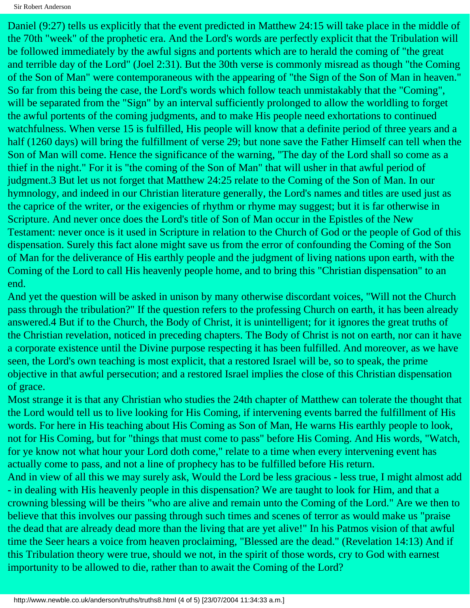Daniel (9:27) tells us explicitly that the event predicted in Matthew 24:15 will take place in the middle of the 70th "week" of the prophetic era. And the Lord's words are perfectly explicit that the Tribulation will be followed immediately by the awful signs and portents which are to herald the coming of "the great and terrible day of the Lord" (Joel 2:31). But the 30th verse is commonly misread as though "the Coming of the Son of Man" were contemporaneous with the appearing of "the Sign of the Son of Man in heaven." So far from this being the case, the Lord's words which follow teach unmistakably that the "Coming", will be separated from the "Sign" by an interval sufficiently prolonged to allow the worldling to forget the awful portents of the coming judgments, and to make His people need exhortations to continued watchfulness. When verse 15 is fulfilled, His people will know that a definite period of three years and a half (1260 days) will bring the fulfillment of verse 29; but none save the Father Himself can tell when the Son of Man will come. Hence the significance of the warning, "The day of the Lord shall so come as a thief in the night." For it is "the coming of the Son of Man" that will usher in that awful period of judgment.3 But let us not forget that Matthew 24:25 relate to the Coming of the Son of Man. In our hymnology, and indeed in our Christian literature generally, the Lord's names and titles are used just as the caprice of the writer, or the exigencies of rhythm or rhyme may suggest; but it is far otherwise in Scripture. And never once does the Lord's title of Son of Man occur in the Epistles of the New Testament: never once is it used in Scripture in relation to the Church of God or the people of God of this dispensation. Surely this fact alone might save us from the error of confounding the Coming of the Son of Man for the deliverance of His earthly people and the judgment of living nations upon earth, with the Coming of the Lord to call His heavenly people home, and to bring this "Christian dispensation" to an end.

And yet the question will be asked in unison by many otherwise discordant voices, "Will not the Church pass through the tribulation?" If the question refers to the professing Church on earth, it has been already answered.4 But if to the Church, the Body of Christ, it is unintelligent; for it ignores the great truths of the Christian revelation, noticed in preceding chapters. The Body of Christ is not on earth, nor can it have a corporate existence until the Divine purpose respecting it has been fulfilled. And moreover, as we have seen, the Lord's own teaching is most explicit, that a restored Israel will be, so to speak, the prime objective in that awful persecution; and a restored Israel implies the close of this Christian dispensation of grace.

Most strange it is that any Christian who studies the 24th chapter of Matthew can tolerate the thought that the Lord would tell us to live looking for His Coming, if intervening events barred the fulfillment of His words. For here in His teaching about His Coming as Son of Man, He warns His earthly people to look, not for His Coming, but for "things that must come to pass" before His Coming. And His words, "Watch, for ye know not what hour your Lord doth come," relate to a time when every intervening event has actually come to pass, and not a line of prophecy has to be fulfilled before His return.

And in view of all this we may surely ask, Would the Lord be less gracious - less true, I might almost add - in dealing with His heavenly people in this dispensation? We are taught to look for Him, and that a crowning blessing will be theirs "who are alive and remain unto the Coming of the Lord." Are we then to believe that this involves our passing through such times and scenes of terror as would make us "praise the dead that are already dead more than the living that are yet alive!" In his Patmos vision of that awful time the Seer hears a voice from heaven proclaiming, "Blessed are the dead." (Revelation 14:13) And if this Tribulation theory were true, should we not, in the spirit of those words, cry to God with earnest importunity to be allowed to die, rather than to await the Coming of the Lord?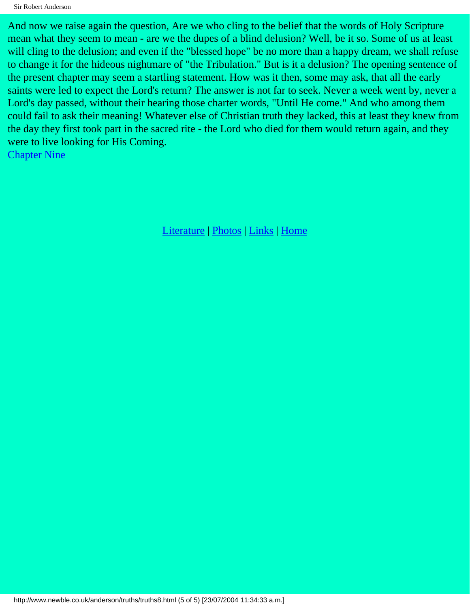And now we raise again the question, Are we who cling to the belief that the words of Holy Scripture mean what they seem to mean - are we the dupes of a blind delusion? Well, be it so. Some of us at least will cling to the delusion; and even if the "blessed hope" be no more than a happy dream, we shall refuse to change it for the hideous nightmare of "the Tribulation." But is it a delusion? The opening sentence of the present chapter may seem a startling statement. How was it then, some may ask, that all the early saints were led to expect the Lord's return? The answer is not far to seek. Never a week went by, never a Lord's day passed, without their hearing those charter words, "Until He come." And who among them could fail to ask their meaning! Whatever else of Christian truth they lacked, this at least they knew from the day they first took part in the sacred rite - the Lord who died for them would return again, and they were to live looking for His Coming.

**[Chapter Nine](#page-31-0)**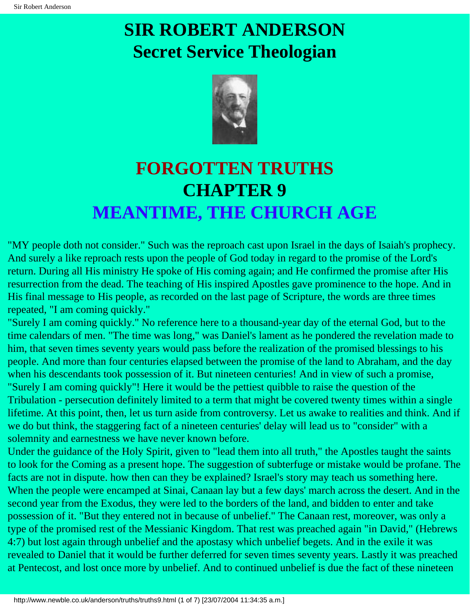

# <span id="page-31-0"></span>**FORGOTTEN TRUTHS CHAPTER 9 MEANTIME, THE CHURCH AGE**

"MY people doth not consider." Such was the reproach cast upon Israel in the days of Isaiah's prophecy. And surely a like reproach rests upon the people of God today in regard to the promise of the Lord's return. During all His ministry He spoke of His coming again; and He confirmed the promise after His resurrection from the dead. The teaching of His inspired Apostles gave prominence to the hope. And in His final message to His people, as recorded on the last page of Scripture, the words are three times repeated, "I am coming quickly."

"Surely I am coming quickly." No reference here to a thousand-year day of the eternal God, but to the time calendars of men. "The time was long," was Daniel's lament as he pondered the revelation made to him, that seven times seventy years would pass before the realization of the promised blessings to his people. And more than four centuries elapsed between the promise of the land to Abraham, and the day when his descendants took possession of it. But nineteen centuries! And in view of such a promise, "Surely I am coming quickly"! Here it would be the pettiest quibble to raise the question of the Tribulation - persecution definitely limited to a term that might be covered twenty times within a single lifetime. At this point, then, let us turn aside from controversy. Let us awake to realities and think. And if we do but think, the staggering fact of a nineteen centuries' delay will lead us to "consider" with a solemnity and earnestness we have never known before.

Under the guidance of the Holy Spirit, given to "lead them into all truth," the Apostles taught the saints to look for the Coming as a present hope. The suggestion of subterfuge or mistake would be profane. The facts are not in dispute. how then can they be explained? Israel's story may teach us something here. When the people were encamped at Sinai, Canaan lay but a few days' march across the desert. And in the second year from the Exodus, they were led to the borders of the land, and bidden to enter and take possession of it. "But they entered not in because of unbelief." The Canaan rest, moreover, was only a type of the promised rest of the Messianic Kingdom. That rest was preached again "in David," (Hebrews 4:7) but lost again through unbelief and the apostasy which unbelief begets. And in the exile it was revealed to Daniel that it would be further deferred for seven times seventy years. Lastly it was preached at Pentecost, and lost once more by unbelief. And to continued unbelief is due the fact of these nineteen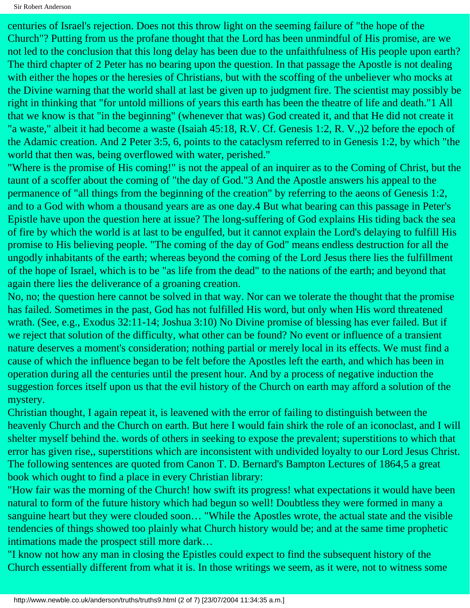Sir Robert Anderson

centuries of Israel's rejection. Does not this throw light on the seeming failure of "the hope of the Church"? Putting from us the profane thought that the Lord has been unmindful of His promise, are we not led to the conclusion that this long delay has been due to the unfaithfulness of His people upon earth? The third chapter of 2 Peter has no bearing upon the question. In that passage the Apostle is not dealing with either the hopes or the heresies of Christians, but with the scoffing of the unbeliever who mocks at the Divine warning that the world shall at last be given up to judgment fire. The scientist may possibly be right in thinking that "for untold millions of years this earth has been the theatre of life and death."1 All that we know is that "in the beginning" (whenever that was) God created it, and that He did not create it "a waste," albeit it had become a waste (Isaiah 45:18, R.V. Cf. Genesis 1:2, R. V.,)2 before the epoch of the Adamic creation. And 2 Peter 3:5, 6, points to the cataclysm referred to in Genesis 1:2, by which "the world that then was, being overflowed with water, perished."

"Where is the promise of His coming!" is not the appeal of an inquirer as to the Coming of Christ, but the taunt of a scoffer about the coming of "the day of God."3 And the Apostle answers his appeal to the permanence of "all things from the beginning of the creation" by referring to the aeons of Genesis 1:2, and to a God with whom a thousand years are as one day.4 But what bearing can this passage in Peter's Epistle have upon the question here at issue? The long-suffering of God explains His tiding back the sea of fire by which the world is at last to be engulfed, but it cannot explain the Lord's delaying to fulfill His promise to His believing people. "The coming of the day of God" means endless destruction for all the ungodly inhabitants of the earth; whereas beyond the coming of the Lord Jesus there lies the fulfillment of the hope of Israel, which is to be "as life from the dead" to the nations of the earth; and beyond that again there lies the deliverance of a groaning creation.

No, no; the question here cannot be solved in that way. Nor can we tolerate the thought that the promise has failed. Sometimes in the past, God has not fulfilled His word, but only when His word threatened wrath. (See, e.g., Exodus 32:11-14; Joshua 3:10) No Divine promise of blessing has ever failed. But if we reject that solution of the difficulty, what other can be found? No event or influence of a transient nature deserves a moment's consideration; nothing partial or merely local in its effects. We must find a cause of which the influence began to be felt before the Apostles left the earth, and which has been in operation during all the centuries until the present hour. And by a process of negative induction the suggestion forces itself upon us that the evil history of the Church on earth may afford a solution of the mystery.

Christian thought, I again repeat it, is leavened with the error of failing to distinguish between the heavenly Church and the Church on earth. But here I would fain shirk the role of an iconoclast, and I will shelter myself behind the. words of others in seeking to expose the prevalent; superstitions to which that error has given rise,, superstitions which are inconsistent with undivided loyalty to our Lord Jesus Christ. The following sentences are quoted from Canon T. D. Bernard's Bampton Lectures of 1864,5 a great book which ought to find a place in every Christian library:

"How fair was the morning of the Church! how swift its progress! what expectations it would have been natural to form of the future history which had begun so well! Doubtless they were formed in many a sanguine heart but they were clouded soon… "While the Apostles wrote, the actual state and the visible tendencies of things showed too plainly what Church history would be; and at the same time prophetic intimations made the prospect still more dark…

"I know not how any man in closing the Epistles could expect to find the subsequent history of the Church essentially different from what it is. In those writings we seem, as it were, not to witness some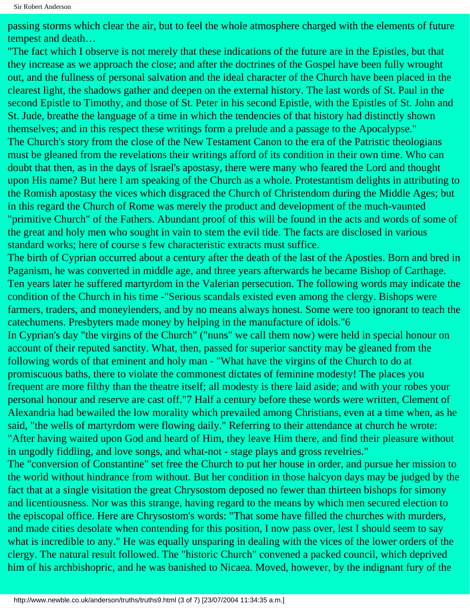passing storms which clear the air, but to feel the whole atmosphere charged with the elements of future tempest and death…

"The fact which I observe is not merely that these indications of the future are in the Epistles, but that they increase as we approach the close; and after the doctrines of the Gospel have been fully wrought out, and the fullness of personal salvation and the ideal character of the Church have been placed in the clearest light, the shadows gather and deepen on the external history. The last words of St. Paul in the second Epistle to Timothy, and those of St. Peter in his second Epistle, with the Epistles of St. John and St. Jude, breathe the language of a time in which the tendencies of that history had distinctly shown themselves; and in this respect these writings form a prelude and a passage to the Apocalypse." The Church's story from the close of the New Testament Canon to the era of the Patristic theologians must be gleaned from the revelations their writings afford of its condition in their own time. Who can doubt that then, as in the days of Israel's apostasy, there were many who feared the Lord and thought upon His name? But here I am speaking of the Church as a whole. Protestantism delights in attributing to the Romish apostasy the vices which disgraced the Church of Christendom during the Middle Ages; but in this regard the Church of Rome was merely the product and development of the much-vaunted "primitive Church" of the Fathers. Abundant proof of this will be found in the acts and words of some of the great and holy men who sought in vain to stem the evil tide. The facts are disclosed in various standard works; here of course s few characteristic extracts must suffice.

The birth of Cyprian occurred about a century after the death of the last of the Apostles. Born and bred in Paganism, he was converted in middle age, and three years afterwards he became Bishop of Carthage. Ten years later he suffered martyrdom in the Valerian persecution. The following words may indicate the condition of the Church in his time -"Serious scandals existed even among the clergy. Bishops were farmers, traders, and moneylenders, and by no means always honest. Some were too ignorant to teach the catechumens. Presbyters made money by helping in the manufacture of idols."6

In Cyprian's day "the virgins of the Church" ("nuns" we call them now) were held in special honour on account of their reputed sanctity. What, then, passed for superior sanctity may be gleaned from the following words of that eminent and holy man - "What have the virgins of the Church to do at promiscuous baths, there to violate the commonest dictates of feminine modesty! The places you frequent are more filthy than the theatre itself; all modesty is there laid aside; and with your robes your personal honour and reserve are cast off."7 Half a century before these words were written, Clement of Alexandria had bewailed the low morality which prevailed among Christians, even at a time when, as he said, "the wells of martyrdom were flowing daily." Referring to their attendance at church he wrote: "After having waited upon God and heard of Him, they leave Him there, and find their pleasure without in ungodly fiddling, and love songs, and what-not - stage plays and gross revelries."

The "conversion of Constantine" set free the Church to put her house in order, and pursue her mission to the world without hindrance from without. But her condition in those halcyon days may be judged by the fact that at a single visitation the great Chrysostom deposed no fewer than thirteen bishops for simony and licentiousness. Nor was this strange, having regard to the means by which men secured election to the episcopal office. Here are Chrysostom's words: "That some have filled the churches with murders, and made cities desolate when contending for this position, I now pass over, lest I should seem to say what is incredible to any." He was equally unsparing in dealing with the vices of the lower orders of the clergy. The natural result followed. The "historic Church" convened a packed council, which deprived him of his archbishopric, and he was banished to Nicaea. Moved, however, by the indignant fury of the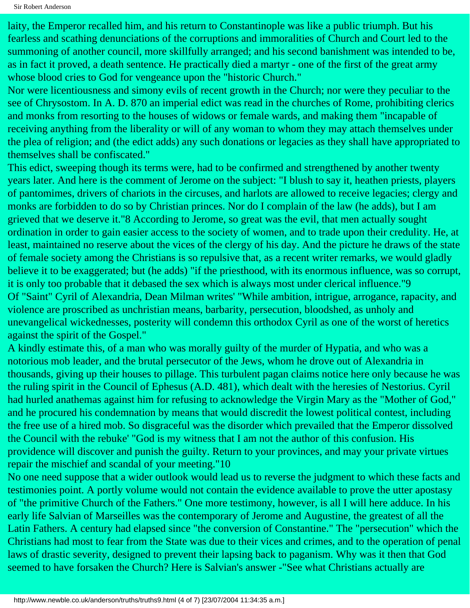laity, the Emperor recalled him, and his return to Constantinople was like a public triumph. But his fearless and scathing denunciations of the corruptions and immoralities of Church and Court led to the summoning of another council, more skillfully arranged; and his second banishment was intended to be, as in fact it proved, a death sentence. He practically died a martyr - one of the first of the great army whose blood cries to God for vengeance upon the "historic Church."

Nor were licentiousness and simony evils of recent growth in the Church; nor were they peculiar to the see of Chrysostom. In A. D. 870 an imperial edict was read in the churches of Rome, prohibiting clerics and monks from resorting to the houses of widows or female wards, and making them "incapable of receiving anything from the liberality or will of any woman to whom they may attach themselves under the plea of religion; and (the edict adds) any such donations or legacies as they shall have appropriated to themselves shall be confiscated."

This edict, sweeping though its terms were, had to be confirmed and strengthened by another twenty years later. And here is the comment of Jerome on the subject: "I blush to say it, heathen priests, players of pantomimes, drivers of chariots in the circuses, and harlots are allowed to receive legacies; clergy and monks are forbidden to do so by Christian princes. Nor do I complain of the law (he adds), but I am grieved that we deserve it."8 According to Jerome, so great was the evil, that men actually sought ordination in order to gain easier access to the society of women, and to trade upon their credulity. He, at least, maintained no reserve about the vices of the clergy of his day. And the picture he draws of the state of female society among the Christians is so repulsive that, as a recent writer remarks, we would gladly believe it to be exaggerated; but (he adds) "if the priesthood, with its enormous influence, was so corrupt, it is only too probable that it debased the sex which is always most under clerical influence."9 Of "Saint" Cyril of Alexandria, Dean Milman writes' "While ambition, intrigue, arrogance, rapacity, and violence are proscribed as unchristian means, barbarity, persecution, bloodshed, as unholy and unevangelical wickednesses, posterity will condemn this orthodox Cyril as one of the worst of heretics against the spirit of the Gospel."

A kindly estimate this, of a man who was morally guilty of the murder of Hypatia, and who was a notorious mob leader, and the brutal persecutor of the Jews, whom he drove out of Alexandria in thousands, giving up their houses to pillage. This turbulent pagan claims notice here only because he was the ruling spirit in the Council of Ephesus (A.D. 481), which dealt with the heresies of Nestorius. Cyril had hurled anathemas against him for refusing to acknowledge the Virgin Mary as the "Mother of God," and he procured his condemnation by means that would discredit the lowest political contest, including the free use of a hired mob. So disgraceful was the disorder which prevailed that the Emperor dissolved the Council with the rebuke' "God is my witness that I am not the author of this confusion. His providence will discover and punish the guilty. Return to your provinces, and may your private virtues repair the mischief and scandal of your meeting."10

No one need suppose that a wider outlook would lead us to reverse the judgment to which these facts and testimonies point. A portly volume would not contain the evidence available to prove the utter apostasy of "the primitive Church of the Fathers." One more testimony, however, is all I will here adduce. In his early life Salvian of Marseilles was the contemporary of Jerome and Augustine, the greatest of all the Latin Fathers. A century had elapsed since "the conversion of Constantine." The "persecution" which the Christians had most to fear from the State was due to their vices and crimes, and to the operation of penal laws of drastic severity, designed to prevent their lapsing back to paganism. Why was it then that God seemed to have forsaken the Church? Here is Salvian's answer -"See what Christians actually are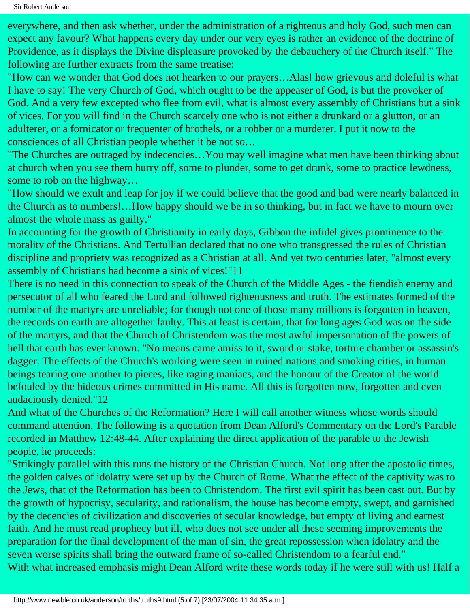everywhere, and then ask whether, under the administration of a righteous and holy God, such men can expect any favour? What happens every day under our very eyes is rather an evidence of the doctrine of Providence, as it displays the Divine displeasure provoked by the debauchery of the Church itself." The following are further extracts from the same treatise:

"How can we wonder that God does not hearken to our prayers…Alas! how grievous and doleful is what I have to say! The very Church of God, which ought to be the appeaser of God, is but the provoker of God. And a very few excepted who flee from evil, what is almost every assembly of Christians but a sink of vices. For you will find in the Church scarcely one who is not either a drunkard or a glutton, or an adulterer, or a fornicator or frequenter of brothels, or a robber or a murderer. I put it now to the consciences of all Christian people whether it be not so…

"The Churches are outraged by indecencies…You may well imagine what men have been thinking about at church when you see them hurry off, some to plunder, some to get drunk, some to practice lewdness, some to rob on the highway…

"How should we exult and leap for joy if we could believe that the good and bad were nearly balanced in the Church as to numbers!…How happy should we be in so thinking, but in fact we have to mourn over almost the whole mass as guilty."

In accounting for the growth of Christianity in early days, Gibbon the infidel gives prominence to the morality of the Christians. And Tertullian declared that no one who transgressed the rules of Christian discipline and propriety was recognized as a Christian at all. And yet two centuries later, "almost every assembly of Christians had become a sink of vices!"11

There is no need in this connection to speak of the Church of the Middle Ages - the fiendish enemy and persecutor of all who feared the Lord and followed righteousness and truth. The estimates formed of the number of the martyrs are unreliable; for though not one of those many millions is forgotten in heaven, the records on earth are altogether faulty. This at least is certain, that for long ages God was on the side of the martyrs, and that the Church of Christendom was the most awful impersonation of the powers of hell that earth has ever known. "No means came amiss to it, sword or stake, torture chamber or assassin's dagger. The effects of the Church's working were seen in ruined nations and smoking cities, in human beings tearing one another to pieces, like raging maniacs, and the honour of the Creator of the world befouled by the hideous crimes committed in His name. All this is forgotten now, forgotten and even audaciously denied."12

And what of the Churches of the Reformation? Here I will call another witness whose words should command attention. The following is a quotation from Dean Alford's Commentary on the Lord's Parable recorded in Matthew 12:48-44. After explaining the direct application of the parable to the Jewish people, he proceeds:

"Strikingly parallel with this runs the history of the Christian Church. Not long after the apostolic times, the golden calves of idolatry were set up by the Church of Rome. What the effect of the captivity was to the Jews, that of the Reformation has been to Christendom. The first evil spirit has been cast out. But by the growth of hypocrisy, secularity, and rationalism, the house has become empty, swept, and garnished by the decencies of civilization and discoveries of secular knowledge, but empty of living and earnest faith. And he must read prophecy but ill, who does not see under all these seeming improvements the preparation for the final development of the man of sin, the great repossession when idolatry and the seven worse spirits shall bring the outward frame of so-called Christendom to a fearful end." With what increased emphasis might Dean Alford write these words today if he were still with us! Half a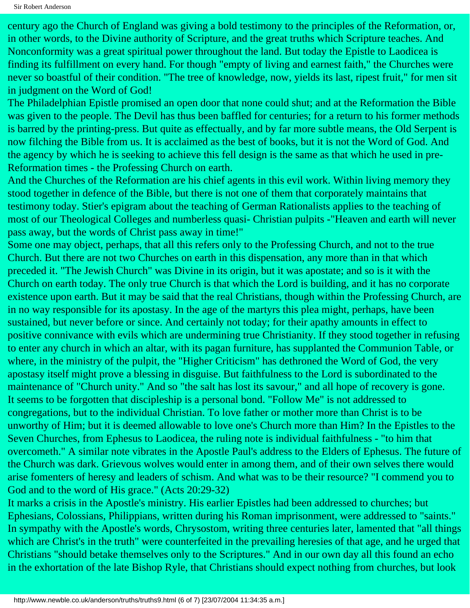century ago the Church of England was giving a bold testimony to the principles of the Reformation, or, in other words, to the Divine authority of Scripture, and the great truths which Scripture teaches. And Nonconformity was a great spiritual power throughout the land. But today the Epistle to Laodicea is finding its fulfillment on every hand. For though "empty of living and earnest faith," the Churches were never so boastful of their condition. "The tree of knowledge, now, yields its last, ripest fruit," for men sit in judgment on the Word of God!

The Philadelphian Epistle promised an open door that none could shut; and at the Reformation the Bible was given to the people. The Devil has thus been baffled for centuries; for a return to his former methods is barred by the printing-press. But quite as effectually, and by far more subtle means, the Old Serpent is now filching the Bible from us. It is acclaimed as the best of books, but it is not the Word of God. And the agency by which he is seeking to achieve this fell design is the same as that which he used in pre-Reformation times - the Professing Church on earth.

And the Churches of the Reformation are his chief agents in this evil work. Within living memory they stood together in defence of the Bible, but there is not one of them that corporately maintains that testimony today. Stier's epigram about the teaching of German Rationalists applies to the teaching of most of our Theological Colleges and numberless quasi- Christian pulpits -"Heaven and earth will never pass away, but the words of Christ pass away in time!"

Some one may object, perhaps, that all this refers only to the Professing Church, and not to the true Church. But there are not two Churches on earth in this dispensation, any more than in that which preceded it. "The Jewish Church" was Divine in its origin, but it was apostate; and so is it with the Church on earth today. The only true Church is that which the Lord is building, and it has no corporate existence upon earth. But it may be said that the real Christians, though within the Professing Church, are in no way responsible for its apostasy. In the age of the martyrs this plea might, perhaps, have been sustained, but never before or since. And certainly not today; for their apathy amounts in effect to positive connivance with evils which are undermining true Christianity. If they stood together in refusing to enter any church in which an altar, with its pagan furniture, has supplanted the Communion Table, or where, in the ministry of the pulpit, the "Higher Criticism" has dethroned the Word of God, the very apostasy itself might prove a blessing in disguise. But faithfulness to the Lord is subordinated to the maintenance of "Church unity." And so "the salt has lost its savour," and all hope of recovery is gone. It seems to be forgotten that discipleship is a personal bond. "Follow Me" is not addressed to congregations, but to the individual Christian. To love father or mother more than Christ is to be unworthy of Him; but it is deemed allowable to love one's Church more than Him? In the Epistles to the Seven Churches, from Ephesus to Laodicea, the ruling note is individual faithfulness - "to him that overcometh." A similar note vibrates in the Apostle Paul's address to the Elders of Ephesus. The future of the Church was dark. Grievous wolves would enter in among them, and of their own selves there would arise fomenters of heresy and leaders of schism. And what was to be their resource? "I commend you to God and to the word of His grace." (Acts 20:29-32)

It marks a crisis in the Apostle's ministry. His earlier Epistles had been addressed to churches; but Ephesians, Colossians, Philippians, written during his Roman imprisonment, were addressed to "saints." In sympathy with the Apostle's words, Chrysostom, writing three centuries later, lamented that "all things which are Christ's in the truth" were counterfeited in the prevailing heresies of that age, and he urged that Christians "should betake themselves only to the Scriptures." And in our own day all this found an echo in the exhortation of the late Bishop Ryle, that Christians should expect nothing from churches, but look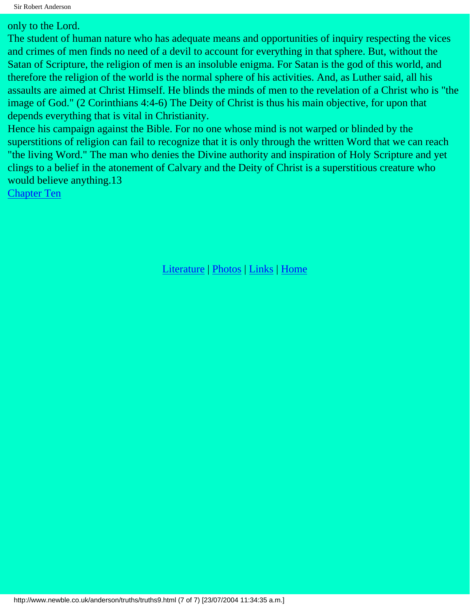Sir Robert Anderson

### only to the Lord.

The student of human nature who has adequate means and opportunities of inquiry respecting the vices and crimes of men finds no need of a devil to account for everything in that sphere. But, without the Satan of Scripture, the religion of men is an insoluble enigma. For Satan is the god of this world, and therefore the religion of the world is the normal sphere of his activities. And, as Luther said, all his assaults are aimed at Christ Himself. He blinds the minds of men to the revelation of a Christ who is "the image of God." (2 Corinthians 4:4-6) The Deity of Christ is thus his main objective, for upon that depends everything that is vital in Christianity.

Hence his campaign against the Bible. For no one whose mind is not warped or blinded by the superstitions of religion can fail to recognize that it is only through the written Word that we can reach "the living Word." The man who denies the Divine authority and inspiration of Holy Scripture and yet clings to a belief in the atonement of Calvary and the Deity of Christ is a superstitious creature who would believe anything.13

[Chapter Ten](#page-38-0)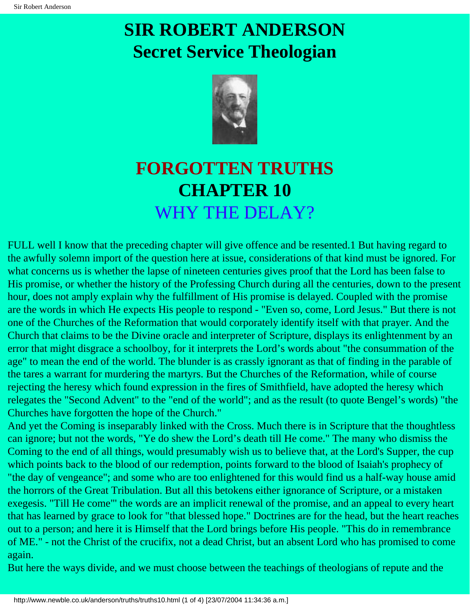

# <span id="page-38-0"></span>**FORGOTTEN TRUTHS CHAPTER 10** WHY THE DELAY?

FULL well I know that the preceding chapter will give offence and be resented.1 But having regard to the awfully solemn import of the question here at issue, considerations of that kind must be ignored. For what concerns us is whether the lapse of nineteen centuries gives proof that the Lord has been false to His promise, or whether the history of the Professing Church during all the centuries, down to the present hour, does not amply explain why the fulfillment of His promise is delayed. Coupled with the promise are the words in which He expects His people to respond - "Even so, come, Lord Jesus." But there is not one of the Churches of the Reformation that would corporately identify itself with that prayer. And the Church that claims to be the Divine oracle and interpreter of Scripture, displays its enlightenment by an error that might disgrace a schoolboy, for it interprets the Lord's words about "the consummation of the age" to mean the end of the world. The blunder is as crassly ignorant as that of finding in the parable of the tares a warrant for murdering the martyrs. But the Churches of the Reformation, while of course rejecting the heresy which found expression in the fires of Smithfield, have adopted the heresy which relegates the "Second Advent" to the "end of the world"; and as the result (to quote Bengel's words) "the Churches have forgotten the hope of the Church."

And yet the Coming is inseparably linked with the Cross. Much there is in Scripture that the thoughtless can ignore; but not the words, "Ye do shew the Lord's death till He come." The many who dismiss the Coming to the end of all things, would presumably wish us to believe that, at the Lord's Supper, the cup which points back to the blood of our redemption, points forward to the blood of Isaiah's prophecy of "the day of vengeance"; and some who are too enlightened for this would find us a half-way house amid the horrors of the Great Tribulation. But all this betokens either ignorance of Scripture, or a mistaken exegesis. "Till He come"' the words are an implicit renewal of the promise, and an appeal to every heart that has learned by grace to look for "that blessed hope." Doctrines are for the head, but the heart reaches out to a person; and here it is Himself that the Lord brings before His people. "This do in remembrance of ME." - not the Christ of the crucifix, not a dead Christ, but an absent Lord who has promised to come again.

But here the ways divide, and we must choose between the teachings of theologians of repute and the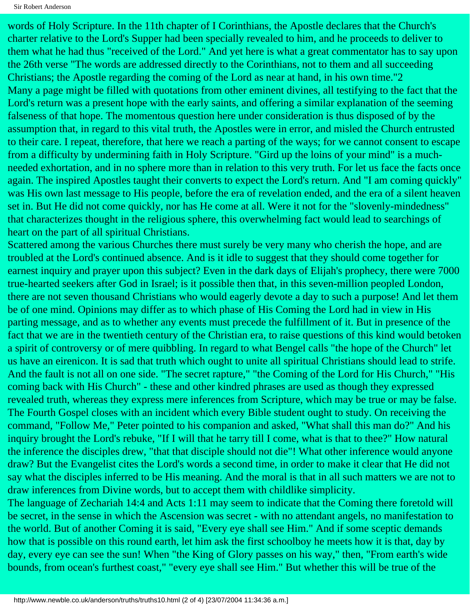words of Holy Scripture. In the 11th chapter of I Corinthians, the Apostle declares that the Church's charter relative to the Lord's Supper had been specially revealed to him, and he proceeds to deliver to them what he had thus "received of the Lord." And yet here is what a great commentator has to say upon the 26th verse "The words are addressed directly to the Corinthians, not to them and all succeeding Christians; the Apostle regarding the coming of the Lord as near at hand, in his own time."2 Many a page might be filled with quotations from other eminent divines, all testifying to the fact that the Lord's return was a present hope with the early saints, and offering a similar explanation of the seeming falseness of that hope. The momentous question here under consideration is thus disposed of by the assumption that, in regard to this vital truth, the Apostles were in error, and misled the Church entrusted to their care. I repeat, therefore, that here we reach a parting of the ways; for we cannot consent to escape from a difficulty by undermining faith in Holy Scripture. "Gird up the loins of your mind" is a muchneeded exhortation, and in no sphere more than in relation to this very truth. For let us face the facts once again. The inspired Apostles taught their converts to expect the Lord's return. And "I am coming quickly" was His own last message to His people, before the era of revelation ended, and the era of a silent heaven set in. But He did not come quickly, nor has He come at all. Were it not for the "slovenly-mindedness" that characterizes thought in the religious sphere, this overwhelming fact would lead to searchings of heart on the part of all spiritual Christians.

Scattered among the various Churches there must surely be very many who cherish the hope, and are troubled at the Lord's continued absence. And is it idle to suggest that they should come together for earnest inquiry and prayer upon this subject? Even in the dark days of Elijah's prophecy, there were 7000 true-hearted seekers after God in Israel; is it possible then that, in this seven-million peopled London, there are not seven thousand Christians who would eagerly devote a day to such a purpose! And let them be of one mind. Opinions may differ as to which phase of His Coming the Lord had in view in His parting message, and as to whether any events must precede the fulfillment of it. But in presence of the fact that we are in the twentieth century of the Christian era, to raise questions of this kind would betoken a spirit of controversy or of mere quibbling. In regard to what Bengel calls "the hope of the Church" let us have an eirenicon. It is sad that truth which ought to unite all spiritual Christians should lead to strife. And the fault is not all on one side. "The secret rapture," "the Coming of the Lord for His Church," "His coming back with His Church" - these and other kindred phrases are used as though they expressed revealed truth, whereas they express mere inferences from Scripture, which may be true or may be false. The Fourth Gospel closes with an incident which every Bible student ought to study. On receiving the command, "Follow Me," Peter pointed to his companion and asked, "What shall this man do?" And his inquiry brought the Lord's rebuke, "If I will that he tarry till I come, what is that to thee?" How natural the inference the disciples drew, "that that disciple should not die"! What other inference would anyone draw? But the Evangelist cites the Lord's words a second time, in order to make it clear that He did not say what the disciples inferred to be His meaning. And the moral is that in all such matters we are not to draw inferences from Divine words, but to accept them with childlike simplicity.

The language of Zechariah 14:4 and Acts 1:11 may seem to indicate that the Coming there foretold will be secret, in the sense in which the Ascension was secret - with no attendant angels, no manifestation to the world. But of another Coming it is said, "Every eye shall see Him." And if some sceptic demands how that is possible on this round earth, let him ask the first schoolboy he meets how it is that, day by day, every eye can see the sun! When "the King of Glory passes on his way," then, "From earth's wide bounds, from ocean's furthest coast," "every eye shall see Him." But whether this will be true of the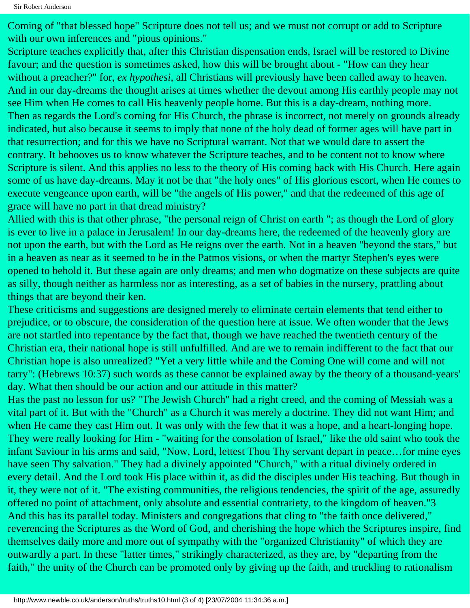Coming of "that blessed hope" Scripture does not tell us; and we must not corrupt or add to Scripture with our own inferences and "pious opinions."

Scripture teaches explicitly that, after this Christian dispensation ends, Israel will be restored to Divine favour; and the question is sometimes asked, how this will be brought about - "How can they hear without a preacher?" for, *ex hypothesi,* all Christians will previously have been called away to heaven. And in our day-dreams the thought arises at times whether the devout among His earthly people may not see Him when He comes to call His heavenly people home. But this is a day-dream, nothing more. Then as regards the Lord's coming for His Church, the phrase is incorrect, not merely on grounds already indicated, but also because it seems to imply that none of the holy dead of former ages will have part in that resurrection; and for this we have no Scriptural warrant. Not that we would dare to assert the contrary. It behooves us to know whatever the Scripture teaches, and to be content not to know where Scripture is silent. And this applies no less to the theory of His coming back with His Church. Here again some of us have day-dreams. May it not be that "the holy ones" of His glorious escort, when He comes to execute vengeance upon earth, will be "the angels of His power," and that the redeemed of this age of grace will have no part in that dread ministry?

Allied with this is that other phrase, "the personal reign of Christ on earth "; as though the Lord of glory is ever to live in a palace in Jerusalem! In our day-dreams here, the redeemed of the heavenly glory are not upon the earth, but with the Lord as He reigns over the earth. Not in a heaven "beyond the stars," but in a heaven as near as it seemed to be in the Patmos visions, or when the martyr Stephen's eyes were opened to behold it. But these again are only dreams; and men who dogmatize on these subjects are quite as silly, though neither as harmless nor as interesting, as a set of babies in the nursery, prattling about things that are beyond their ken.

These criticisms and suggestions are designed merely to eliminate certain elements that tend either to prejudice, or to obscure, the consideration of the question here at issue. We often wonder that the Jews are not startled into repentance by the fact that, though we have reached the twentieth century of the Christian era, their national hope is still unfulfilled. And are we to remain indifferent to the fact that our Christian hope is also unrealized? "Yet a very little while and the Coming One will come and will not tarry": (Hebrews 10:37) such words as these cannot be explained away by the theory of a thousand-years' day. What then should be our action and our attitude in this matter?

Has the past no lesson for us? "The Jewish Church" had a right creed, and the coming of Messiah was a vital part of it. But with the "Church" as a Church it was merely a doctrine. They did not want Him; and when He came they cast Him out. It was only with the few that it was a hope, and a heart-longing hope. They were really looking for Him - "waiting for the consolation of Israel," like the old saint who took the infant Saviour in his arms and said, "Now, Lord, lettest Thou Thy servant depart in peace…for mine eyes have seen Thy salvation." They had a divinely appointed "Church," with a ritual divinely ordered in every detail. And the Lord took His place within it, as did the disciples under His teaching. But though in it, they were not of it. "The existing communities, the religious tendencies, the spirit of the age, assuredly offered no point of attachment, only absolute and essential contrariety, to the kingdom of heaven."3 And this has its parallel today. Ministers and congregations that cling to "the faith once delivered," reverencing the Scriptures as the Word of God, and cherishing the hope which the Scriptures inspire, find themselves daily more and more out of sympathy with the "organized Christianity" of which they are outwardly a part. In these "latter times," strikingly characterized, as they are, by "departing from the faith," the unity of the Church can be promoted only by giving up the faith, and truckling to rationalism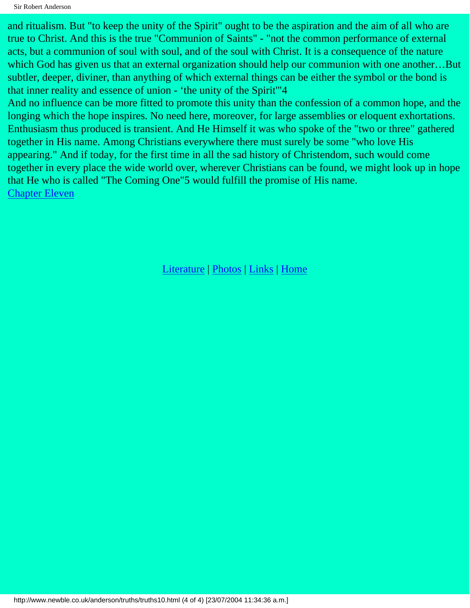and ritualism. But "to keep the unity of the Spirit" ought to be the aspiration and the aim of all who are true to Christ. And this is the true "Communion of Saints" - "not the common performance of external acts, but a communion of soul with soul, and of the soul with Christ. It is a consequence of the nature which God has given us that an external organization should help our communion with one another...But subtler, deeper, diviner, than anything of which external things can be either the symbol or the bond is that inner reality and essence of union - 'the unity of the Spirit'"4

And no influence can be more fitted to promote this unity than the confession of a common hope, and the longing which the hope inspires. No need here, moreover, for large assemblies or eloquent exhortations. Enthusiasm thus produced is transient. And He Himself it was who spoke of the "two or three" gathered together in His name. Among Christians everywhere there must surely be some "who love His appearing." And if today, for the first time in all the sad history of Christendom, such would come together in every place the wide world over, wherever Christians can be found, we might look up in hope that He who is called "The Coming One"5 would fulfill the promise of His name. [Chapter Eleven](#page-42-0)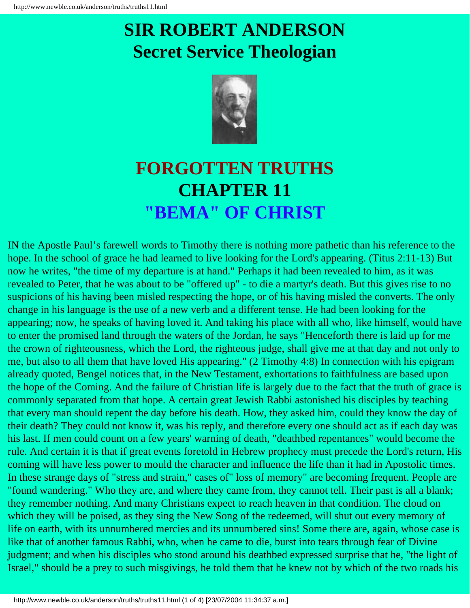

# <span id="page-42-0"></span>**FORGOTTEN TRUTHS CHAPTER 11 "BEMA" OF CHRIST**

IN the Apostle Paul's farewell words to Timothy there is nothing more pathetic than his reference to the hope. In the school of grace he had learned to live looking for the Lord's appearing. (Titus 2:11-13) But now he writes, "the time of my departure is at hand." Perhaps it had been revealed to him, as it was revealed to Peter, that he was about to be "offered up" - to die a martyr's death. But this gives rise to no suspicions of his having been misled respecting the hope, or of his having misled the converts. The only change in his language is the use of a new verb and a different tense. He had been looking for the appearing; now, he speaks of having loved it. And taking his place with all who, like himself, would have to enter the promised land through the waters of the Jordan, he says "Henceforth there is laid up for me the crown of righteousness, which the Lord, the righteous judge, shall give me at that day and not only to me, but also to all them that have loved His appearing." (2 Timothy 4:8) In connection with his epigram already quoted, Bengel notices that, in the New Testament, exhortations to faithfulness are based upon the hope of the Coming. And the failure of Christian life is largely due to the fact that the truth of grace is commonly separated from that hope. A certain great Jewish Rabbi astonished his disciples by teaching that every man should repent the day before his death. How, they asked him, could they know the day of their death? They could not know it, was his reply, and therefore every one should act as if each day was his last. If men could count on a few years' warning of death, "deathbed repentances" would become the rule. And certain it is that if great events foretold in Hebrew prophecy must precede the Lord's return, His coming will have less power to mould the character and influence the life than it had in Apostolic times. In these strange days of "stress and strain," cases of" loss of memory" are becoming frequent. People are "found wandering." Who they are, and where they came from, they cannot tell. Their past is all a blank; they remember nothing. And many Christians expect to reach heaven in that condition. The cloud on which they will be poised, as they sing the New Song of the redeemed, will shut out every memory of life on earth, with its unnumbered mercies and its unnumbered sins! Some there are, again, whose case is like that of another famous Rabbi, who, when he came to die, burst into tears through fear of Divine judgment; and when his disciples who stood around his deathbed expressed surprise that he, "the light of Israel," should be a prey to such misgivings, he told them that he knew not by which of the two roads his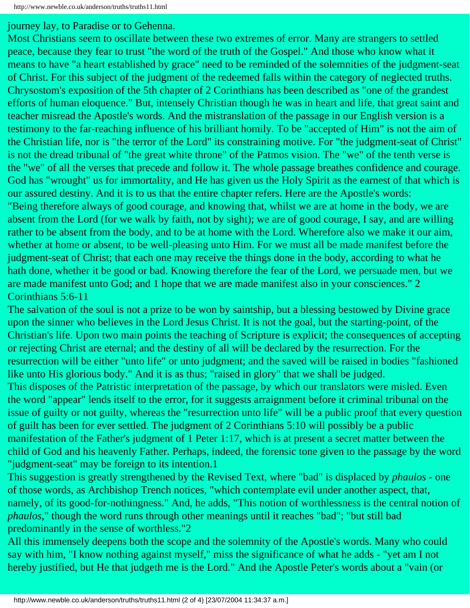journey lay, to Paradise or to Gehenna.

Most Christians seem to oscillate between these two extremes of error. Many are strangers to settled peace, because they fear to trust "the word of the truth of the Gospel." And those who know what it means to have "a heart established by grace" need to be reminded of the solemnities of the judgment-seat of Christ. For this subject of the judgment of the redeemed falls within the category of neglected truths. Chrysostom's exposition of the 5th chapter of 2 Corinthians has been described as "one of the grandest efforts of human eloquence." But, intensely Christian though he was in heart and life, that great saint and teacher misread the Apostle's words. And the mistranslation of the passage in our English version is a testimony to the far-reaching influence of his brilliant homily. To be "accepted of Him" is not the aim of the Christian life, nor is "the terror of the Lord" its constraining motive. For "the judgment-seat of Christ" is not the dread tribunal of "the great white throne" of the Patmos vision. The "we" of the tenth verse is the "we" of all the verses that precede and follow it. The whole passage breathes confidence and courage. God has "wrought" us for immortality, and He has given us the Holy Spirit as the earnest of that which is our assured destiny. And it is to us that the entire chapter refers. Here are the Apostle's words: "Being therefore always of good courage, and knowing that, whilst we are at home in the body, we are absent from the Lord (for we walk by faith, not by sight); we are of good courage, I say, and are willing rather to be absent from the body, and to be at home with the Lord. Wherefore also we make it our aim, whether at home or absent, to be well-pleasing unto Him. For we must all be made manifest before the judgment-seat of Christ; that each one may receive the things done in the body, according to what he hath done, whether it be good or bad. Knowing therefore the fear of the Lord, we persuade men, but we are made manifest unto God; and 1 hope that we are made manifest also in your consciences." 2 Corinthians 5:6-11

The salvation of the soul is not a prize to be won by saintship, but a blessing bestowed by Divine grace upon the sinner who believes in the Lord Jesus Christ. It is not the goal, but the starting-point, of the Christian's life. Upon two main points the teaching of Scripture is explicit; the consequences of accepting or rejecting Christ are eternal; and the destiny of all will be declared by the resurrection. For the resurrection will be either "unto life" or unto judgment; and the saved will be raised in bodies "fashioned like unto His glorious body." And it is as thus; "raised in glory" that we shall be judged.

This disposes of the Patristic interpretation of the passage, by which our translators were misled. Even the word "appear" lends itself to the error, for it suggests arraignment before it criminal tribunal on the issue of guilty or not guilty, whereas the "resurrection unto life" will be a public proof that every question of guilt has been for ever settled. The judgment of 2 Corinthians 5:10 will possibly be a public manifestation of the Father's judgment of 1 Peter 1:17, which is at present a secret matter between the child of God and his heavenly Father. Perhaps, indeed, the forensic tone given to the passage by the word "judgment-seat" may be foreign to its intention.1

This suggestion is greatly strengthened by the Revised Text, where "bad" is displaced by *phaulos* - one of those words, as Archbishop Trench notices, "which contemplate evil under another aspect, that, namely, of its good-for-nothingness." And, he adds, "This notion of worthlessness is the central notion of *phaulos*," though the word runs through other meanings until it reaches "bad"; "but still bad predominantly in the sense of worthless."2

All this immensely deepens both the scope and the solemnity of the Apostle's words. Many who could say with him, "I know nothing against myself," miss the significance of what he adds - "yet am I not hereby justified, but He that judgeth me is the Lord." And the Apostle Peter's words about a "vain (or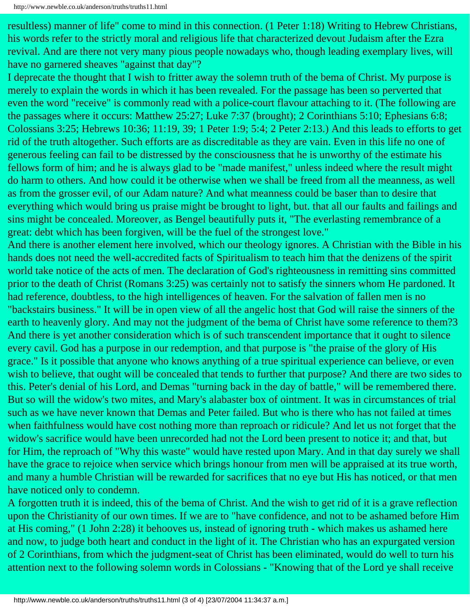resultless) manner of life" come to mind in this connection. (1 Peter 1:18) Writing to Hebrew Christians, his words refer to the strictly moral and religious life that characterized devout Judaism after the Ezra revival. And are there not very many pious people nowadays who, though leading exemplary lives, will have no garnered sheaves "against that day"?

I deprecate the thought that I wish to fritter away the solemn truth of the bema of Christ. My purpose is merely to explain the words in which it has been revealed. For the passage has been so perverted that even the word "receive" is commonly read with a police-court flavour attaching to it. (The following are the passages where it occurs: Matthew 25:27; Luke 7:37 (brought); 2 Corinthians 5:10; Ephesians 6:8; Colossians 3:25; Hebrews 10:36; 11:19, 39; 1 Peter 1:9; 5:4; 2 Peter 2:13.) And this leads to efforts to get rid of the truth altogether. Such efforts are as discreditable as they are vain. Even in this life no one of generous feeling can fail to be distressed by the consciousness that he is unworthy of the estimate his fellows form of him; and he is always glad to be "made manifest," unless indeed where the result might do harm to others. And how could it be otherwise when we shall be freed from all the meanness, as well as from the grosser evil, of our Adam nature? And what meanness could be baser than to desire that everything which would bring us praise might be brought to light, but. that all our faults and failings and sins might be concealed. Moreover, as Bengel beautifully puts it, "The everlasting remembrance of a great: debt which has been forgiven, will be the fuel of the strongest love."

And there is another element here involved, which our theology ignores. A Christian with the Bible in his hands does not need the well-accredited facts of Spiritualism to teach him that the denizens of the spirit world take notice of the acts of men. The declaration of God's righteousness in remitting sins committed prior to the death of Christ (Romans 3:25) was certainly not to satisfy the sinners whom He pardoned. It had reference, doubtless, to the high intelligences of heaven. For the salvation of fallen men is no "backstairs business." It will be in open view of all the angelic host that God will raise the sinners of the earth to heavenly glory. And may not the judgment of the bema of Christ have some reference to them?3 And there is yet another consideration which is of such transcendent importance that it ought to silence every cavil. God has a purpose in our redemption, and that purpose is "the praise of the glory of His grace." Is it possible that anyone who knows anything of a true spiritual experience can believe, or even wish to believe, that ought will be concealed that tends to further that purpose? And there are two sides to this. Peter's denial of his Lord, and Demas "turning back in the day of battle," will be remembered there. But so will the widow's two mites, and Mary's alabaster box of ointment. It was in circumstances of trial such as we have never known that Demas and Peter failed. But who is there who has not failed at times when faithfulness would have cost nothing more than reproach or ridicule? And let us not forget that the widow's sacrifice would have been unrecorded had not the Lord been present to notice it; and that, but for Him, the reproach of "Why this waste" would have rested upon Mary. And in that day surely we shall have the grace to rejoice when service which brings honour from men will be appraised at its true worth, and many a humble Christian will be rewarded for sacrifices that no eye but His has noticed, or that men have noticed only to condemn.

A forgotten truth it is indeed, this of the bema of Christ. And the wish to get rid of it is a grave reflection upon the Christianity of our own times. If we are to "have confidence, and not to be ashamed before Him at His coming," (1 John 2:28) it behooves us, instead of ignoring truth - which makes us ashamed here and now, to judge both heart and conduct in the light of it. The Christian who has an expurgated version of 2 Corinthians, from which the judgment-seat of Christ has been eliminated, would do well to turn his attention next to the following solemn words in Colossians - "Knowing that of the Lord ye shall receive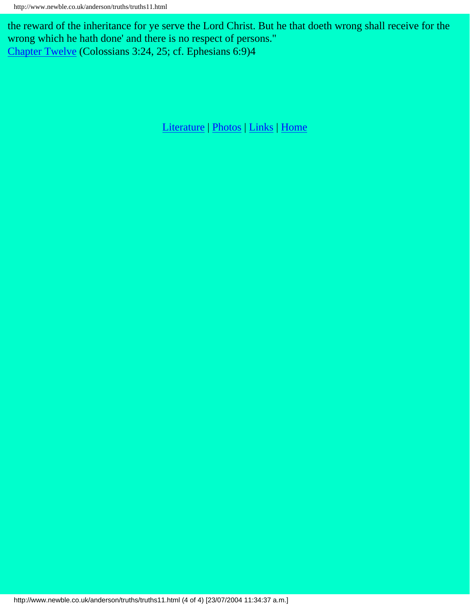the reward of the inheritance for ye serve the Lord Christ. But he that doeth wrong shall receive for the wrong which he hath done' and there is no respect of persons." [Chapter Twelve](#page-46-0) (Colossians 3:24, 25; cf. Ephesians 6:9)4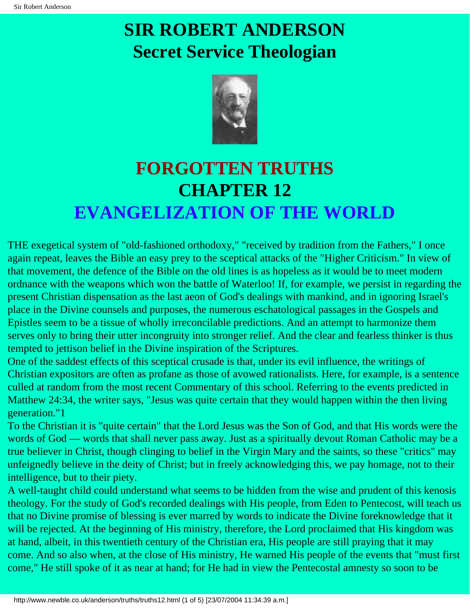

# <span id="page-46-0"></span>**FORGOTTEN TRUTHS CHAPTER 12 EVANGELIZATION OF THE WORLD**

THE exegetical system of "old-fashioned orthodoxy," "received by tradition from the Fathers," I once again repeat, leaves the Bible an easy prey to the sceptical attacks of the "Higher Criticism." In view of that movement, the defence of the Bible on the old lines is as hopeless as it would be to meet modern ordnance with the weapons which won the battle of Waterloo! If, for example, we persist in regarding the present Christian dispensation as the last aeon of God's dealings with mankind, and in ignoring Israel's place in the Divine counsels and purposes, the numerous eschatological passages in the Gospels and Epistles seem to be a tissue of wholly irreconcilable predictions. And an attempt to harmonize them serves only to bring their utter incongruity into stronger relief. And the clear and fearless thinker is thus tempted to jettison belief in the Divine inspiration of the Scriptures.

One of the saddest effects of this sceptical crusade is that, under its evil influence, the writings of Christian expositors are often as profane as those of avowed rationalists. Here, for example, is a sentence culled at random from the most recent Commentary of this school. Referring to the events predicted in Matthew 24:34, the writer says, "Jesus was quite certain that they would happen within the then living generation."1

To the Christian it is "quite certain" that the Lord Jesus was the Son of God, and that His words were the words of God — words that shall never pass away. Just as a spiritually devout Roman Catholic may be a true believer in Christ, though clinging to belief in the Virgin Mary and the saints, so these "critics" may unfeignedly believe in the deity of Christ; but in freely acknowledging this, we pay homage, not to their intelligence, but to their piety.

A well-taught child could understand what seems to be hidden from the wise and prudent of this kenosis theology. For the study of God's recorded dealings with His people, from Eden to Pentecost, will teach us that no Divine promise of blessing is ever marred by words to indicate the Divine foreknowledge that it will be rejected. At the beginning of His ministry, therefore, the Lord proclaimed that His kingdom was at hand, albeit, in this twentieth century of the Christian era, His people are still praying that it may come. And so also when, at the close of His ministry, He warned His people of the events that "must first come," He still spoke of it as near at hand; for He had in view the Pentecostal amnesty so soon to be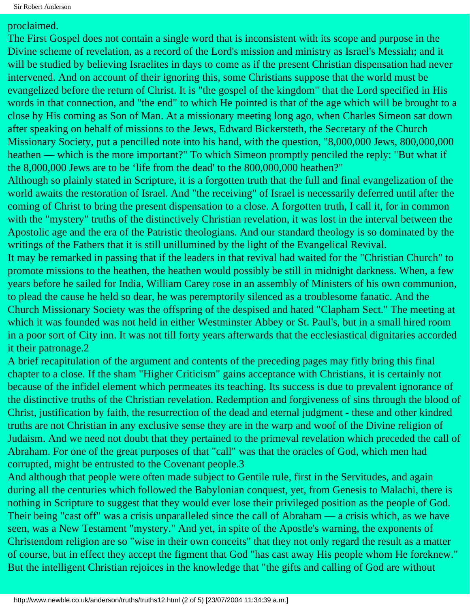#### proclaimed.

The First Gospel does not contain a single word that is inconsistent with its scope and purpose in the Divine scheme of revelation, as a record of the Lord's mission and ministry as Israel's Messiah; and it will be studied by believing Israelites in days to come as if the present Christian dispensation had never intervened. And on account of their ignoring this, some Christians suppose that the world must be evangelized before the return of Christ. It is "the gospel of the kingdom" that the Lord specified in His words in that connection, and "the end" to which He pointed is that of the age which will be brought to a close by His coming as Son of Man. At a missionary meeting long ago, when Charles Simeon sat down after speaking on behalf of missions to the Jews, Edward Bickersteth, the Secretary of the Church Missionary Society, put a pencilled note into his hand, with the question, "8,000,000 Jews, 800,000,000 heathen — which is the more important?" To which Simeon promptly penciled the reply: "But what if the 8,000,000 Jews are to be 'life from the dead' to the 800,000,000 heathen?"

Although so plainly stated in Scripture, it is a forgotten truth that the full and final evangelization of the world awaits the restoration of Israel. And "the receiving" of Israel is necessarily deferred until after the coming of Christ to bring the present dispensation to a close. A forgotten truth, I call it, for in common with the "mystery" truths of the distinctively Christian revelation, it was lost in the interval between the Apostolic age and the era of the Patristic theologians. And our standard theology is so dominated by the writings of the Fathers that it is still unillumined by the light of the Evangelical Revival.

It may be remarked in passing that if the leaders in that revival had waited for the "Christian Church" to promote missions to the heathen, the heathen would possibly be still in midnight darkness. When, a few years before he sailed for India, William Carey rose in an assembly of Ministers of his own communion, to plead the cause he held so dear, he was peremptorily silenced as a troublesome fanatic. And the Church Missionary Society was the offspring of the despised and hated "Clapham Sect." The meeting at which it was founded was not held in either Westminster Abbey or St. Paul's, but in a small hired room in a poor sort of City inn. It was not till forty years afterwards that the ecclesiastical dignitaries accorded it their patronage.2

A brief recapitulation of the argument and contents of the preceding pages may fitly bring this final chapter to a close. If the sham "Higher Criticism" gains acceptance with Christians, it is certainly not because of the infidel element which permeates its teaching. Its success is due to prevalent ignorance of the distinctive truths of the Christian revelation. Redemption and forgiveness of sins through the blood of Christ, justification by faith, the resurrection of the dead and eternal judgment - these and other kindred truths are not Christian in any exclusive sense they are in the warp and woof of the Divine religion of Judaism. And we need not doubt that they pertained to the primeval revelation which preceded the call of Abraham. For one of the great purposes of that "call" was that the oracles of God, which men had corrupted, might be entrusted to the Covenant people.3

And although that people were often made subject to Gentile rule, first in the Servitudes, and again during all the centuries which followed the Babylonian conquest, yet, from Genesis to Malachi, there is nothing in Scripture to suggest that they would ever lose their privileged position as the people of God. Their being "cast off" was a crisis unparalleled since the call of Abraham — a crisis which, as we have seen, was a New Testament "mystery." And yet, in spite of the Apostle's warning, the exponents of Christendom religion are so "wise in their own conceits" that they not only regard the result as a matter of course, but in effect they accept the figment that God "has cast away His people whom He foreknew." But the intelligent Christian rejoices in the knowledge that "the gifts and calling of God are without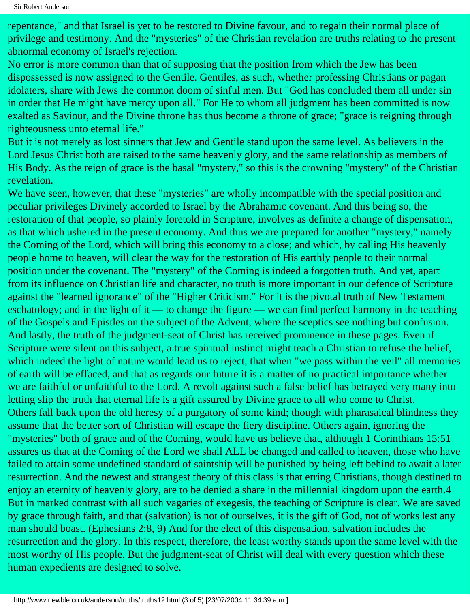repentance," and that Israel is yet to be restored to Divine favour, and to regain their normal place of privilege and testimony. And the "mysteries" of the Christian revelation are truths relating to the present abnormal economy of Israel's rejection.

No error is more common than that of supposing that the position from which the Jew has been dispossessed is now assigned to the Gentile. Gentiles, as such, whether professing Christians or pagan idolaters, share with Jews the common doom of sinful men. But "God has concluded them all under sin in order that He might have mercy upon all." For He to whom all judgment has been committed is now exalted as Saviour, and the Divine throne has thus become a throne of grace; "grace is reigning through righteousness unto eternal life."

But it is not merely as lost sinners that Jew and Gentile stand upon the same level. As believers in the Lord Jesus Christ both are raised to the same heavenly glory, and the same relationship as members of His Body. As the reign of grace is the basal "mystery," so this is the crowning "mystery" of the Christian revelation.

We have seen, however, that these "mysteries" are wholly incompatible with the special position and peculiar privileges Divinely accorded to Israel by the Abrahamic covenant. And this being so, the restoration of that people, so plainly foretold in Scripture, involves as definite a change of dispensation, as that which ushered in the present economy. And thus we are prepared for another "mystery," namely the Coming of the Lord, which will bring this economy to a close; and which, by calling His heavenly people home to heaven, will clear the way for the restoration of His earthly people to their normal position under the covenant. The "mystery" of the Coming is indeed a forgotten truth. And yet, apart from its influence on Christian life and character, no truth is more important in our defence of Scripture against the "learned ignorance" of the "Higher Criticism." For it is the pivotal truth of New Testament eschatology; and in the light of it — to change the figure — we can find perfect harmony in the teaching of the Gospels and Epistles on the subject of the Advent, where the sceptics see nothing but confusion. And lastly, the truth of the judgment-seat of Christ has received prominence in these pages. Even if Scripture were silent on this subject, a true spiritual instinct might teach a Christian to refuse the belief, which indeed the light of nature would lead us to reject, that when "we pass within the veil" all memories of earth will be effaced, and that as regards our future it is a matter of no practical importance whether we are faithful or unfaithful to the Lord. A revolt against such a false belief has betrayed very many into letting slip the truth that eternal life is a gift assured by Divine grace to all who come to Christ. Others fall back upon the old heresy of a purgatory of some kind; though with pharasaical blindness they assume that the better sort of Christian will escape the fiery discipline. Others again, ignoring the "mysteries" both of grace and of the Coming, would have us believe that, although 1 Corinthians 15:51 assures us that at the Coming of the Lord we shall ALL be changed and called to heaven, those who have failed to attain some undefined standard of saintship will be punished by being left behind to await a later resurrection. And the newest and strangest theory of this class is that erring Christians, though destined to enjoy an eternity of heavenly glory, are to be denied a share in the millennial kingdom upon the earth.4 But in marked contrast with all such vagaries of exegesis, the teaching of Scripture is clear. We are saved by grace through faith, and that (salvation) is not of ourselves, it is the gift of God, not of works lest any man should boast. (Ephesians 2:8, 9) And for the elect of this dispensation, salvation includes the resurrection and the glory. In this respect, therefore, the least worthy stands upon the same level with the most worthy of His people. But the judgment-seat of Christ will deal with every question which these human expedients are designed to solve.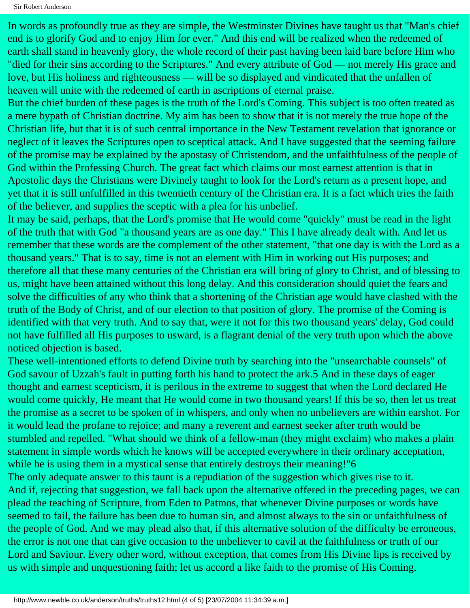In words as profoundly true as they are simple, the Westminster Divines have taught us that "Man's chief end is to glorify God and to enjoy Him for ever." And this end will be realized when the redeemed of earth shall stand in heavenly glory, the whole record of their past having been laid bare before Him who "died for their sins according to the Scriptures." And every attribute of God — not merely His grace and love, but His holiness and righteousness — will be so displayed and vindicated that the unfallen of heaven will unite with the redeemed of earth in ascriptions of eternal praise.

But the chief burden of these pages is the truth of the Lord's Coming. This subject is too often treated as a mere bypath of Christian doctrine. My aim has been to show that it is not merely the true hope of the Christian life, but that it is of such central importance in the New Testament revelation that ignorance or neglect of it leaves the Scriptures open to sceptical attack. And I have suggested that the seeming failure of the promise may be explained by the apostasy of Christendom, and the unfaithfulness of the people of God within the Professing Church. The great fact which claims our most earnest attention is that in Apostolic days the Christians were Divinely taught to look for the Lord's return as a present hope, and yet that it is still unfulfilled in this twentieth century of the Christian era. It is a fact which tries the faith of the believer, and supplies the sceptic with a plea for his unbelief.

It may be said, perhaps, that the Lord's promise that He would come "quickly" must be read in the light of the truth that with God "a thousand years are as one day." This I have already dealt with. And let us remember that these words are the complement of the other statement, "that one day is with the Lord as a thousand years." That is to say, time is not an element with Him in working out His purposes; and therefore all that these many centuries of the Christian era will bring of glory to Christ, and of blessing to us, might have been attained without this long delay. And this consideration should quiet the fears and solve the difficulties of any who think that a shortening of the Christian age would have clashed with the truth of the Body of Christ, and of our election to that position of glory. The promise of the Coming is identified with that very truth. And to say that, were it not for this two thousand years' delay, God could not have fulfilled all His purposes to usward, is a flagrant denial of the very truth upon which the above noticed objection is based.

These well-intentioned efforts to defend Divine truth by searching into the "unsearchable counsels" of God savour of Uzzah's fault in putting forth his hand to protect the ark.5 And in these days of eager thought and earnest scepticism, it is perilous in the extreme to suggest that when the Lord declared He would come quickly, He meant that He would come in two thousand years! If this be so, then let us treat the promise as a secret to be spoken of in whispers, and only when no unbelievers are within earshot. For it would lead the profane to rejoice; and many a reverent and earnest seeker after truth would be stumbled and repelled. "What should we think of a fellow-man (they might exclaim) who makes a plain statement in simple words which he knows will be accepted everywhere in their ordinary acceptation, while he is using them in a mystical sense that entirely destroys their meaning!"6

The only adequate answer to this taunt is a repudiation of the suggestion which gives rise to it. And if, rejecting that suggestion, we fall back upon the alternative offered in the preceding pages, we can plead the teaching of Scripture, from Eden to Patmos, that whenever Divine purposes or words have seemed to fail, the failure has been due to human sin, and almost always to the sin or unfaithfulness of the people of God. And we may plead also that, if this alternative solution of the difficulty be erroneous, the error is not one that can give occasion to the unbeliever to cavil at the faithfulness or truth of our Lord and Saviour. Every other word, without exception, that comes from His Divine lips is received by us with simple and unquestioning faith; let us accord a like faith to the promise of His Coming.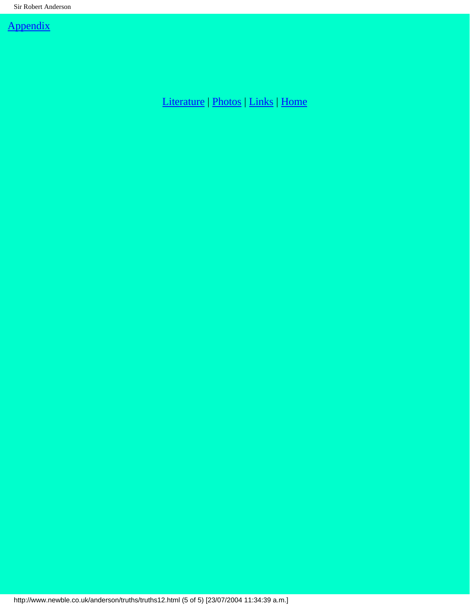[Appendix](#page-51-0)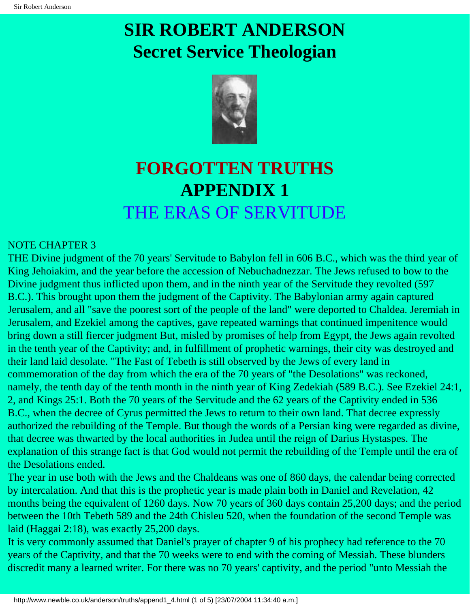

## <span id="page-51-0"></span>**FORGOTTEN TRUTHS APPENDIX 1** THE ERAS OF SERVITUDE

#### NOTE CHAPTER 3

THE Divine judgment of the 70 years' Servitude to Babylon fell in 606 B.C., which was the third year of King Jehoiakim, and the year before the accession of Nebuchadnezzar. The Jews refused to bow to the Divine judgment thus inflicted upon them, and in the ninth year of the Servitude they revolted (597 B.C.). This brought upon them the judgment of the Captivity. The Babylonian army again captured Jerusalem, and all "save the poorest sort of the people of the land" were deported to Chaldea. Jeremiah in Jerusalem, and Ezekiel among the captives, gave repeated warnings that continued impenitence would bring down a still fiercer judgment But, misled by promises of help from Egypt, the Jews again revolted in the tenth year of the Captivity; and, in fulfillment of prophetic warnings, their city was destroyed and their land laid desolate. "The Fast of Tebeth is still observed by the Jews of every land in commemoration of the day from which the era of the 70 years of "the Desolations" was reckoned, namely, the tenth day of the tenth month in the ninth year of King Zedekiah (589 B.C.). See Ezekiel 24:1, 2, and Kings 25:1. Both the 70 years of the Servitude and the 62 years of the Captivity ended in 536 B.C., when the decree of Cyrus permitted the Jews to return to their own land. That decree expressly authorized the rebuilding of the Temple. But though the words of a Persian king were regarded as divine, that decree was thwarted by the local authorities in Judea until the reign of Darius Hystaspes. The explanation of this strange fact is that God would not permit the rebuilding of the Temple until the era of the Desolations ended.

The year in use both with the Jews and the Chaldeans was one of 860 days, the calendar being corrected by intercalation. And that this is the prophetic year is made plain both in Daniel and Revelation, 42 months being the equivalent of 1260 days. Now 70 years of 360 days contain 25,200 days; and the period between the 10th Tebeth 589 and the 24th Chisleu 520, when the foundation of the second Temple was laid (Haggai 2:18), was exactly 25,200 days.

It is very commonly assumed that Daniel's prayer of chapter 9 of his prophecy had reference to the 70 years of the Captivity, and that the 70 weeks were to end with the coming of Messiah. These blunders discredit many a learned writer. For there was no 70 years' captivity, and the period "unto Messiah the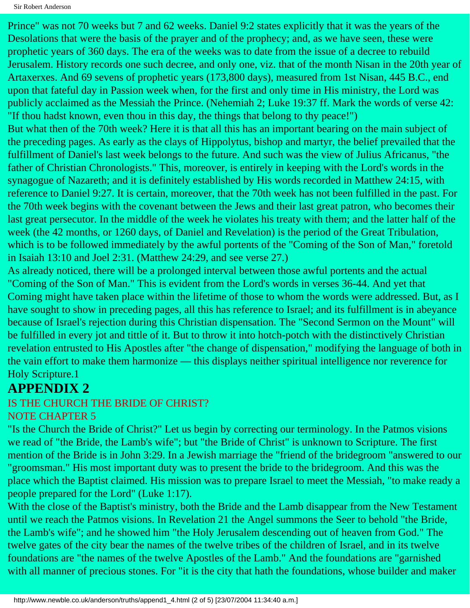```
Sir Robert Anderson
```
Prince" was not 70 weeks but 7 and 62 weeks. Daniel 9:2 states explicitly that it was the years of the Desolations that were the basis of the prayer and of the prophecy; and, as we have seen, these were prophetic years of 360 days. The era of the weeks was to date from the issue of a decree to rebuild Jerusalem. History records one such decree, and only one, viz. that of the month Nisan in the 20th year of Artaxerxes. And 69 sevens of prophetic years (173,800 days), measured from 1st Nisan, 445 B.C., end upon that fateful day in Passion week when, for the first and only time in His ministry, the Lord was publicly acclaimed as the Messiah the Prince. (Nehemiah 2; Luke 19:37 ff. Mark the words of verse 42: "If thou hadst known, even thou in this day, the things that belong to thy peace!")

But what then of the 70th week? Here it is that all this has an important bearing on the main subject of the preceding pages. As early as the clays of Hippolytus, bishop and martyr, the belief prevailed that the fulfillment of Daniel's last week belongs to the future. And such was the view of Julius Africanus, "the father of Christian Chronologists." This, moreover, is entirely in keeping with the Lord's words in the synagogue of Nazareth; and it is definitely established by His words recorded in Matthew 24:15, with reference to Daniel 9:27. It is certain, moreover, that the 70th week has not been fulfilled in the past. For the 70th week begins with the covenant between the Jews and their last great patron, who becomes their last great persecutor. In the middle of the week he violates his treaty with them; and the latter half of the week (the 42 months, or 1260 days, of Daniel and Revelation) is the period of the Great Tribulation, which is to be followed immediately by the awful portents of the "Coming of the Son of Man," foretold in Isaiah 13:10 and Joel 2:31. (Matthew 24:29, and see verse 27.)

As already noticed, there will be a prolonged interval between those awful portents and the actual "Coming of the Son of Man." This is evident from the Lord's words in verses 36-44. And yet that Coming might have taken place within the lifetime of those to whom the words were addressed. But, as I have sought to show in preceding pages, all this has reference to Israel; and its fulfillment is in abeyance because of Israel's rejection during this Christian dispensation. The "Second Sermon on the Mount" will be fulfilled in every jot and tittle of it. But to throw it into hotch-potch with the distinctively Christian revelation entrusted to His Apostles after "the change of dispensation," modifying the language of both in the vain effort to make them harmonize — this displays neither spiritual intelligence nor reverence for Holy Scripture.1

### **APPENDIX 2**

IS THE CHURCH THE BRIDE OF CHRIST? NOTE CHAPTER 5

"Is the Church the Bride of Christ?" Let us begin by correcting our terminology. In the Patmos visions we read of "the Bride, the Lamb's wife"; but "the Bride of Christ" is unknown to Scripture. The first mention of the Bride is in John 3:29. In a Jewish marriage the "friend of the bridegroom "answered to our "groomsman." His most important duty was to present the bride to the bridegroom. And this was the place which the Baptist claimed. His mission was to prepare Israel to meet the Messiah, "to make ready a people prepared for the Lord" (Luke 1:17).

With the close of the Baptist's ministry, both the Bride and the Lamb disappear from the New Testament until we reach the Patmos visions. In Revelation 21 the Angel summons the Seer to behold "the Bride, the Lamb's wife"; and he showed him "the Holy Jerusalem descending out of heaven from God." The twelve gates of the city bear the names of the twelve tribes of the children of Israel, and in its twelve foundations are "the names of the twelve Apostles of the Lamb." And the foundations are "garnished with all manner of precious stones. For "it is the city that hath the foundations, whose builder and maker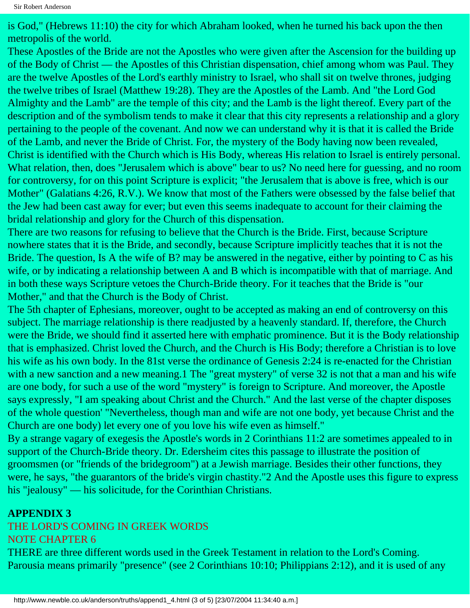is God," (Hebrews 11:10) the city for which Abraham looked, when he turned his back upon the then metropolis of the world.

These Apostles of the Bride are not the Apostles who were given after the Ascension for the building up of the Body of Christ — the Apostles of this Christian dispensation, chief among whom was Paul. They are the twelve Apostles of the Lord's earthly ministry to Israel, who shall sit on twelve thrones, judging the twelve tribes of Israel (Matthew 19:28). They are the Apostles of the Lamb. And "the Lord God Almighty and the Lamb" are the temple of this city; and the Lamb is the light thereof. Every part of the description and of the symbolism tends to make it clear that this city represents a relationship and a glory pertaining to the people of the covenant. And now we can understand why it is that it is called the Bride of the Lamb, and never the Bride of Christ. For, the mystery of the Body having now been revealed, Christ is identified with the Church which is His Body, whereas His relation to Israel is entirely personal. What relation, then, does "Jerusalem which is above" bear to us? No need here for guessing, and no room for controversy, for on this point Scripture is explicit; "the Jerusalem that is above is free, which is our Mother" (Galatians 4:26, R.V.). We know that most of the Fathers were obsessed by the false belief that the Jew had been cast away for ever; but even this seems inadequate to account for their claiming the bridal relationship and glory for the Church of this dispensation.

There are two reasons for refusing to believe that the Church is the Bride. First, because Scripture nowhere states that it is the Bride, and secondly, because Scripture implicitly teaches that it is not the Bride. The question, Is A the wife of B? may be answered in the negative, either by pointing to C as his wife, or by indicating a relationship between A and B which is incompatible with that of marriage. And in both these ways Scripture vetoes the Church-Bride theory. For it teaches that the Bride is "our Mother," and that the Church is the Body of Christ.

The 5th chapter of Ephesians, moreover, ought to be accepted as making an end of controversy on this subject. The marriage relationship is there readjusted by a heavenly standard. If, therefore, the Church were the Bride, we should find it asserted here with emphatic prominence. But it is the Body relationship that is emphasized. Christ loved the Church, and the Church is His Body; therefore a Christian is to love his wife as his own body. In the 81st verse the ordinance of Genesis 2:24 is re-enacted for the Christian with a new sanction and a new meaning.1 The "great mystery" of verse 32 is not that a man and his wife are one body, for such a use of the word "mystery" is foreign to Scripture. And moreover, the Apostle says expressly, "I am speaking about Christ and the Church." And the last verse of the chapter disposes of the whole question' "Nevertheless, though man and wife are not one body, yet because Christ and the Church are one body) let every one of you love his wife even as himself."

By a strange vagary of exegesis the Apostle's words in 2 Corinthians 11:2 are sometimes appealed to in support of the Church-Bride theory. Dr. Edersheim cites this passage to illustrate the position of groomsmen (or "friends of the bridegroom") at a Jewish marriage. Besides their other functions, they were, he says, "the guarantors of the bride's virgin chastity."2 And the Apostle uses this figure to express his "jealousy" — his solicitude, for the Corinthian Christians.

### **APPENDIX 3**

#### THE LORD'S COMING IN GREEK WORDS NOTE CHAPTER 6

THERE are three different words used in the Greek Testament in relation to the Lord's Coming. Parousia means primarily "presence" (see 2 Corinthians 10:10; Philippians 2:12), and it is used of any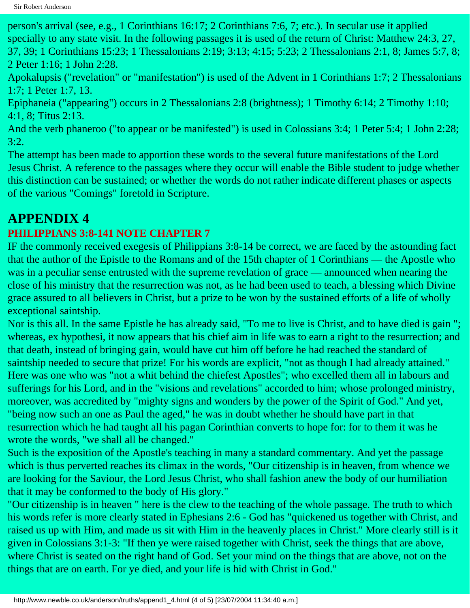person's arrival (see, e.g., 1 Corinthians 16:17; 2 Corinthians 7:6, 7; etc.). In secular use it applied specially to any state visit. In the following passages it is used of the return of Christ: Matthew 24:3, 27, 37, 39; 1 Corinthians 15:23; 1 Thessalonians 2:19; 3:13; 4:15; 5:23; 2 Thessalonians 2:1, 8; James 5:7, 8; 2 Peter 1:16; 1 John 2:28.

Apokalupsis ("revelation" or "manifestation") is used of the Advent in 1 Corinthians 1:7; 2 Thessalonians 1:7; 1 Peter 1:7, 13.

Epiphaneia ("appearing") occurs in 2 Thessalonians 2:8 (brightness); 1 Timothy 6:14; 2 Timothy 1:10; 4:1, 8; Titus 2:13.

And the verb phaneroo ("to appear or be manifested") is used in Colossians 3:4; 1 Peter 5:4; 1 John 2:28; 3:2.

The attempt has been made to apportion these words to the several future manifestations of the Lord Jesus Christ. A reference to the passages where they occur will enable the Bible student to judge whether this distinction can be sustained; or whether the words do not rather indicate different phases or aspects of the various "Comings" foretold in Scripture.

### **APPENDIX 4**

### **PHILIPPIANS 3:8-141 NOTE CHAPTER 7**

IF the commonly received exegesis of Philippians 3:8-14 be correct, we are faced by the astounding fact that the author of the Epistle to the Romans and of the 15th chapter of 1 Corinthians — the Apostle who was in a peculiar sense entrusted with the supreme revelation of grace — announced when nearing the close of his ministry that the resurrection was not, as he had been used to teach, a blessing which Divine grace assured to all believers in Christ, but a prize to be won by the sustained efforts of a life of wholly exceptional saintship.

Nor is this all. In the same Epistle he has already said, "To me to live is Christ, and to have died is gain "; whereas, ex hypothesi, it now appears that his chief aim in life was to earn a right to the resurrection; and that death, instead of bringing gain, would have cut him off before he had reached the standard of saintship needed to secure that prize! For his words are explicit, "not as though I had already attained." Here was one who was "not a whit behind the chiefest Apostles"; who excelled them all in labours and sufferings for his Lord, and in the "visions and revelations" accorded to him; whose prolonged ministry, moreover, was accredited by "mighty signs and wonders by the power of the Spirit of God." And yet, "being now such an one as Paul the aged," he was in doubt whether he should have part in that resurrection which he had taught all his pagan Corinthian converts to hope for: for to them it was he wrote the words, "we shall all be changed."

Such is the exposition of the Apostle's teaching in many a standard commentary. And yet the passage which is thus perverted reaches its climax in the words, "Our citizenship is in heaven, from whence we are looking for the Saviour, the Lord Jesus Christ, who shall fashion anew the body of our humiliation that it may be conformed to the body of His glory."

"Our citizenship is in heaven " here is the clew to the teaching of the whole passage. The truth to which his words refer is more clearly stated in Ephesians 2:6 - God has "quickened us together with Christ, and raised us up with Him, and made us sit with Him in the heavenly places in Christ." More clearly still is it given in Colossians 3:1-3: "If then ye were raised together with Christ, seek the things that are above, where Christ is seated on the right hand of God. Set your mind on the things that are above, not on the things that are on earth. For ye died, and your life is hid with Christ in God."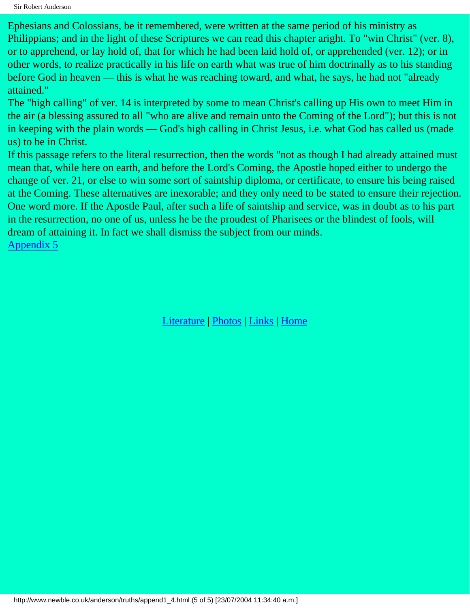Ephesians and Colossians, be it remembered, were written at the same period of his ministry as Philippians; and in the light of these Scriptures we can read this chapter aright. To "win Christ" (ver. 8), or to apprehend, or lay hold of, that for which he had been laid hold of, or apprehended (ver. 12); or in other words, to realize practically in his life on earth what was true of him doctrinally as to his standing before God in heaven — this is what he was reaching toward, and what, he says, he had not "already attained."

The "high calling" of ver. 14 is interpreted by some to mean Christ's calling up His own to meet Him in the air (a blessing assured to all "who are alive and remain unto the Coming of the Lord"); but this is not in keeping with the plain words — God's high calling in Christ Jesus, i.e. what God has called us (made us) to be in Christ.

If this passage refers to the literal resurrection, then the words "not as though I had already attained must mean that, while here on earth, and before the Lord's Coming, the Apostle hoped either to undergo the change of ver. 21, or else to win some sort of saintship diploma, or certificate, to ensure his being raised at the Coming. These alternatives are inexorable; and they only need to be stated to ensure their rejection. One word more. If the Apostle Paul, after such a life of saintship and service, was in doubt as to his part in the resurrection, no one of us, unless he be the proudest of Pharisees or the blindest of fools, will dream of attaining it. In fact we shall dismiss the subject from our minds. [Appendix 5](#page-56-0)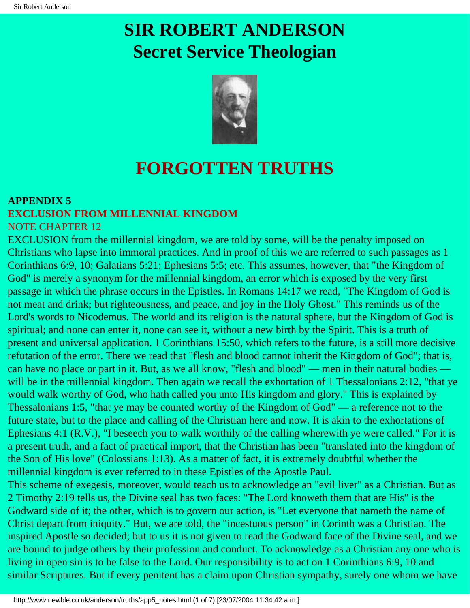

### **FORGOTTEN TRUTHS**

#### <span id="page-56-0"></span>**APPENDIX 5**

#### **EXCLUSION FROM MILLENNIAL KINGDOM**

#### NOTE CHAPTER 12

EXCLUSION from the millennial kingdom, we are told by some, will be the penalty imposed on Christians who lapse into immoral practices. And in proof of this we are referred to such passages as 1 Corinthians 6:9, 10; Galatians 5:21; Ephesians 5:5; etc. This assumes, however, that "the Kingdom of God" is merely a synonym for the millennial kingdom, an error which is exposed by the very first passage in which the phrase occurs in the Epistles. In Romans 14:17 we read, "The Kingdom of God is not meat and drink; but righteousness, and peace, and joy in the Holy Ghost." This reminds us of the Lord's words to Nicodemus. The world and its religion is the natural sphere, but the Kingdom of God is spiritual; and none can enter it, none can see it, without a new birth by the Spirit. This is a truth of present and universal application. 1 Corinthians 15:50, which refers to the future, is a still more decisive refutation of the error. There we read that "flesh and blood cannot inherit the Kingdom of God"; that is, can have no place or part in it. But, as we all know, "flesh and blood" — men in their natural bodies will be in the millennial kingdom. Then again we recall the exhortation of 1 Thessalonians 2:12, "that ye would walk worthy of God, who hath called you unto His kingdom and glory." This is explained by Thessalonians 1:5, "that ye may be counted worthy of the Kingdom of God" — a reference not to the future state, but to the place and calling of the Christian here and now. It is akin to the exhortations of Ephesians 4:1 (R.V.), "I beseech you to walk worthily of the calling wherewith ye were called." For it is a present truth, and a fact of practical import, that the Christian has been "translated into the kingdom of the Son of His love" (Colossians 1:13). As a matter of fact, it is extremely doubtful whether the millennial kingdom is ever referred to in these Epistles of the Apostle Paul.

This scheme of exegesis, moreover, would teach us to acknowledge an "evil liver" as a Christian. But as 2 Timothy 2:19 tells us, the Divine seal has two faces: "The Lord knoweth them that are His" is the Godward side of it; the other, which is to govern our action, is "Let everyone that nameth the name of Christ depart from iniquity." But, we are told, the "incestuous person" in Corinth was a Christian. The inspired Apostle so decided; but to us it is not given to read the Godward face of the Divine seal, and we are bound to judge others by their profession and conduct. To acknowledge as a Christian any one who is living in open sin is to be false to the Lord. Our responsibility is to act on 1 Corinthians 6:9, 10 and similar Scriptures. But if every penitent has a claim upon Christian sympathy, surely one whom we have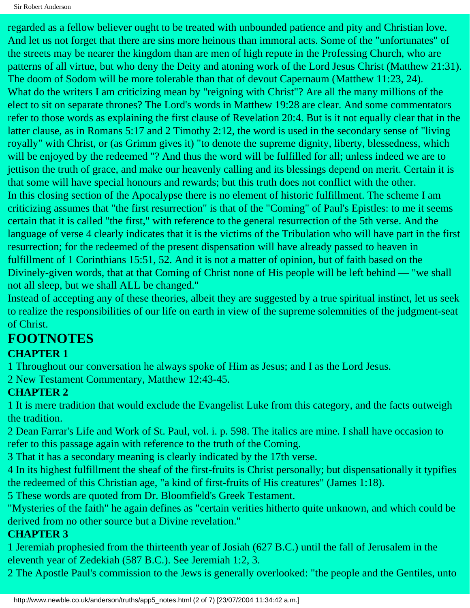regarded as a fellow believer ought to be treated with unbounded patience and pity and Christian love. And let us not forget that there are sins more heinous than immoral acts. Some of the "unfortunates" of the streets may be nearer the kingdom than are men of high repute in the Professing Church, who are patterns of all virtue, but who deny the Deity and atoning work of the Lord Jesus Christ (Matthew 21:31). The doom of Sodom will be more tolerable than that of devout Capernaum (Matthew 11:23, 24). What do the writers I am criticizing mean by "reigning with Christ"? Are all the many millions of the elect to sit on separate thrones? The Lord's words in Matthew 19:28 are clear. And some commentators refer to those words as explaining the first clause of Revelation 20:4. But is it not equally clear that in the latter clause, as in Romans 5:17 and 2 Timothy 2:12, the word is used in the secondary sense of "living royally" with Christ, or (as Grimm gives it) "to denote the supreme dignity, liberty, blessedness, which will be enjoyed by the redeemed "? And thus the word will be fulfilled for all; unless indeed we are to jettison the truth of grace, and make our heavenly calling and its blessings depend on merit. Certain it is that some will have special honours and rewards; but this truth does not conflict with the other. In this closing section of the Apocalypse there is no element of historic fulfillment. The scheme I am criticizing assumes that "the first resurrection" is that of the "Coming" of Paul's Epistles: to me it seems certain that it is called "the first," with reference to the general resurrection of the 5th verse. And the language of verse 4 clearly indicates that it is the victims of the Tribulation who will have part in the first resurrection; for the redeemed of the present dispensation will have already passed to heaven in fulfillment of 1 Corinthians 15:51, 52. And it is not a matter of opinion, but of faith based on the Divinely-given words, that at that Coming of Christ none of His people will be left behind — "we shall not all sleep, but we shall ALL be changed."

Instead of accepting any of these theories, albeit they are suggested by a true spiritual instinct, let us seek to realize the responsibilities of our life on earth in view of the supreme solemnities of the judgment-seat of Christ.

### **FOOTNOTES**

### **CHAPTER 1**

1 Throughout our conversation he always spoke of Him as Jesus; and I as the Lord Jesus.

2 New Testament Commentary, Matthew 12:43-45.

### **CHAPTER 2**

1 It is mere tradition that would exclude the Evangelist Luke from this category, and the facts outweigh the tradition.

2 Dean Farrar's Life and Work of St. Paul, vol. i. p. 598. The italics are mine. I shall have occasion to refer to this passage again with reference to the truth of the Coming.

3 That it has a secondary meaning is clearly indicated by the 17th verse.

4 In its highest fulfillment the sheaf of the first-fruits is Christ personally; but dispensationally it typifies the redeemed of this Christian age, "a kind of first-fruits of His creatures" (James 1:18).

5 These words are quoted from Dr. Bloomfield's Greek Testament.

"Mysteries of the faith" he again defines as "certain verities hitherto quite unknown, and which could be derived from no other source but a Divine revelation."

### **CHAPTER 3**

1 Jeremiah prophesied from the thirteenth year of Josiah (627 B.C.) until the fall of Jerusalem in the eleventh year of Zedekiah (587 B.C.). See Jeremiah 1:2, 3.

2 The Apostle Paul's commission to the Jews is generally overlooked: "the people and the Gentiles, unto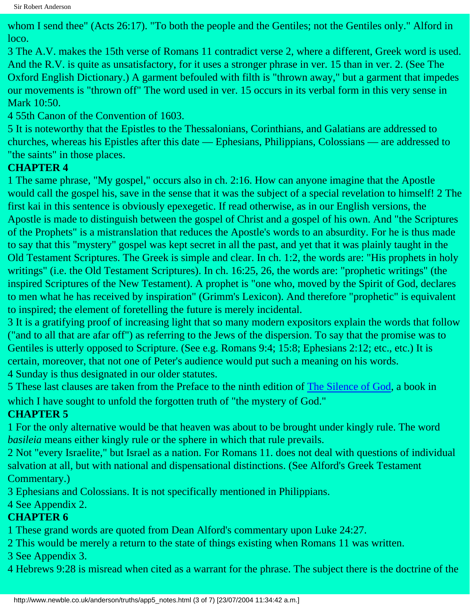whom I send thee" (Acts 26:17). "To both the people and the Gentiles; not the Gentiles only." Alford in loco.

3 The A.V. makes the 15th verse of Romans 11 contradict verse 2, where a different, Greek word is used. And the R.V. is quite as unsatisfactory, for it uses a stronger phrase in ver. 15 than in ver. 2. (See The Oxford English Dictionary.) A garment befouled with filth is "thrown away," but a garment that impedes our movements is "thrown off" The word used in ver. 15 occurs in its verbal form in this very sense in Mark 10:50.

4 55th Canon of the Convention of 1603.

5 It is noteworthy that the Epistles to the Thessalonians, Corinthians, and Galatians are addressed to churches, whereas his Epistles after this date — Ephesians, Philippians, Colossians — are addressed to "the saints" in those places.

### **CHAPTER 4**

1 The same phrase, "My gospel," occurs also in ch. 2:16. How can anyone imagine that the Apostle would call the gospel his, save in the sense that it was the subject of a special revelation to himself! 2 The first kai in this sentence is obviously epexegetic. If read otherwise, as in our English versions, the Apostle is made to distinguish between the gospel of Christ and a gospel of his own. And "the Scriptures of the Prophets" is a mistranslation that reduces the Apostle's words to an absurdity. For he is thus made to say that this "mystery" gospel was kept secret in all the past, and yet that it was plainly taught in the Old Testament Scriptures. The Greek is simple and clear. In ch. 1:2, the words are: "His prophets in holy writings" (i.e. the Old Testament Scriptures). In ch. 16:25, 26, the words are: "prophetic writings" (the inspired Scriptures of the New Testament). A prophet is "one who, moved by the Spirit of God, declares to men what he has received by inspiration" (Grimm's Lexicon). And therefore "prophetic" is equivalent to inspired; the element of foretelling the future is merely incidental.

3 It is a gratifying proof of increasing light that so many modern expositors explain the words that follow ("and to all that are afar off") as referring to the Jews of the dispersion. To say that the promise was to Gentiles is utterly opposed to Scripture. (See e.g. Romans 9:4; 15:8; Ephesians 2:12; etc., etc.) It is certain, moreover, that not one of Peter's audience would put such a meaning on his words. 4 Sunday is thus designated in our older statutes.

5 These last clauses are taken from the Preface to the ninth edition of [The Silence of God,](http://www.newble.co.uk/anderson/silence/preface.html) a book in which I have sought to unfold the forgotten truth of "the mystery of God."

### **CHAPTER 5**

1 For the only alternative would be that heaven was about to be brought under kingly rule. The word *basileia* means either kingly rule or the sphere in which that rule prevails.

2 Not "every Israelite," but Israel as a nation. For Romans 11. does not deal with questions of individual salvation at all, but with national and dispensational distinctions. (See Alford's Greek Testament Commentary.)

3 Ephesians and Colossians. It is not specifically mentioned in Philippians.

4 See Appendix 2.

### **CHAPTER 6**

1 These grand words are quoted from Dean Alford's commentary upon Luke 24:27.

2 This would be merely a return to the state of things existing when Romans 11 was written.

3 See Appendix 3.

4 Hebrews 9:28 is misread when cited as a warrant for the phrase. The subject there is the doctrine of the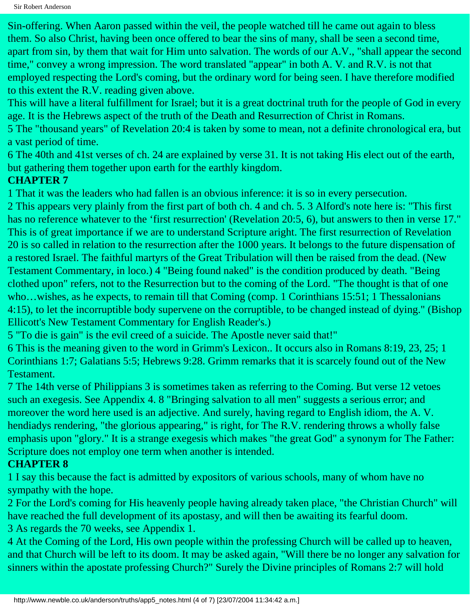Sin-offering. When Aaron passed within the veil, the people watched till he came out again to bless them. So also Christ, having been once offered to bear the sins of many, shall be seen a second time, apart from sin, by them that wait for Him unto salvation. The words of our A.V., "shall appear the second time," convey a wrong impression. The word translated "appear" in both A. V. and R.V. is not that employed respecting the Lord's coming, but the ordinary word for being seen. I have therefore modified to this extent the R.V. reading given above.

This will have a literal fulfillment for Israel; but it is a great doctrinal truth for the people of God in every age. It is the Hebrews aspect of the truth of the Death and Resurrection of Christ in Romans.

5 The "thousand years" of Revelation 20:4 is taken by some to mean, not a definite chronological era, but a vast period of time.

6 The 40th and 41st verses of ch. 24 are explained by verse 31. It is not taking His elect out of the earth, but gathering them together upon earth for the earthly kingdom.

### **CHAPTER 7**

1 That it was the leaders who had fallen is an obvious inference: it is so in every persecution.

2 This appears very plainly from the first part of both ch. 4 and ch. 5. 3 Alford's note here is: "This first has no reference whatever to the 'first resurrection' (Revelation 20:5, 6), but answers to then in verse 17." This is of great importance if we are to understand Scripture aright. The first resurrection of Revelation 20 is so called in relation to the resurrection after the 1000 years. It belongs to the future dispensation of a restored Israel. The faithful martyrs of the Great Tribulation will then be raised from the dead. (New Testament Commentary, in loco.) 4 "Being found naked" is the condition produced by death. "Being clothed upon" refers, not to the Resurrection but to the coming of the Lord. "The thought is that of one who…wishes, as he expects, to remain till that Coming (comp. 1 Corinthians 15:51; 1 Thessalonians 4:15), to let the incorruptible body supervene on the corruptible, to be changed instead of dying." (Bishop Ellicott's New Testament Commentary for English Reader's.)

5 "To die is gain" is the evil creed of a suicide. The Apostle never said that!"

6 This is the meaning given to the word in Grimm's Lexicon.. It occurs also in Romans 8:19, 23, 25; 1 Corinthians 1:7; Galatians 5:5; Hebrews 9:28. Grimm remarks that it is scarcely found out of the New Testament.

7 The 14th verse of Philippians 3 is sometimes taken as referring to the Coming. But verse 12 vetoes such an exegesis. See Appendix 4. 8 "Bringing salvation to all men" suggests a serious error; and moreover the word here used is an adjective. And surely, having regard to English idiom, the A. V. hendiadys rendering, "the glorious appearing," is right, for The R.V. rendering throws a wholly false emphasis upon "glory." It is a strange exegesis which makes "the great God" a synonym for The Father: Scripture does not employ one term when another is intended.

### **CHAPTER 8**

1 I say this because the fact is admitted by expositors of various schools, many of whom have no sympathy with the hope.

2 For the Lord's coming for His heavenly people having already taken place, "the Christian Church" will have reached the full development of its apostasy, and will then be awaiting its fearful doom.

3 As regards the 70 weeks, see Appendix 1.

4 At the Coming of the Lord, His own people within the professing Church will be called up to heaven, and that Church will be left to its doom. It may be asked again, "Will there be no longer any salvation for sinners within the apostate professing Church?" Surely the Divine principles of Romans 2:7 will hold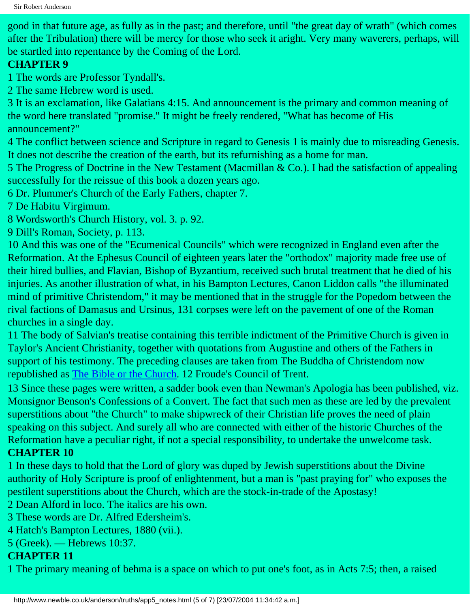good in that future age, as fully as in the past; and therefore, until "the great day of wrath" (which comes after the Tribulation) there will be mercy for those who seek it aright. Very many waverers, perhaps, will be startled into repentance by the Coming of the Lord.

### **CHAPTER 9**

1 The words are Professor Tyndall's.

2 The same Hebrew word is used.

3 It is an exclamation, like Galatians 4:15. And announcement is the primary and common meaning of the word here translated "promise." It might be freely rendered, "What has become of His announcement?"

4 The conflict between science and Scripture in regard to Genesis 1 is mainly due to misreading Genesis. It does not describe the creation of the earth, but its refurnishing as a home for man.

5 The Progress of Doctrine in the New Testament (Macmillan & Co.). I had the satisfaction of appealing successfully for the reissue of this book a dozen years ago.

6 Dr. Plummer's Church of the Early Fathers, chapter 7.

7 De Habitu Virgimum.

8 Wordsworth's Church History, vol. 3. p. 92.

9 Dill's Roman, Society, p. 113.

10 And this was one of the "Ecumenical Councils" which were recognized in England even after the Reformation. At the Ephesus Council of eighteen years later the "orthodox" majority made free use of their hired bullies, and Flavian, Bishop of Byzantium, received such brutal treatment that he died of his injuries. As another illustration of what, in his Bampton Lectures, Canon Liddon calls "the illuminated mind of primitive Christendom," it may be mentioned that in the struggle for the Popedom between the rival factions of Damasus and Ursinus, 131 corpses were left on the pavement of one of the Roman churches in a single day.

11 The body of Salvian's treatise containing this terrible indictment of the Primitive Church is given in Taylor's Ancient Christianity, together with quotations from Augustine and others of the Fathers in support of his testimony. The preceding clauses are taken from The Buddha of Christendom now republished as [The Bible or the Church](http://www.newble.co.uk/anderson/biblech/biblechpref.html). 12 Froude's Council of Trent.

13 Since these pages were written, a sadder book even than Newman's Apologia has been published, viz. Monsignor Benson's Confessions of a Convert. The fact that such men as these are led by the prevalent superstitions about "the Church" to make shipwreck of their Christian life proves the need of plain speaking on this subject. And surely all who are connected with either of the historic Churches of the Reformation have a peculiar right, if not a special responsibility, to undertake the unwelcome task.

### **CHAPTER 10**

1 In these days to hold that the Lord of glory was duped by Jewish superstitions about the Divine authority of Holy Scripture is proof of enlightenment, but a man is "past praying for" who exposes the pestilent superstitions about the Church, which are the stock-in-trade of the Apostasy!

2 Dean Alford in loco. The italics are his own.

3 These words are Dr. Alfred Edersheim's.

- 4 Hatch's Bampton Lectures, 1880 (vii.).
- 5 (Greek). Hebrews 10:37.

### **CHAPTER 11**

1 The primary meaning of behma is a space on which to put one's foot, as in Acts 7:5; then, a raised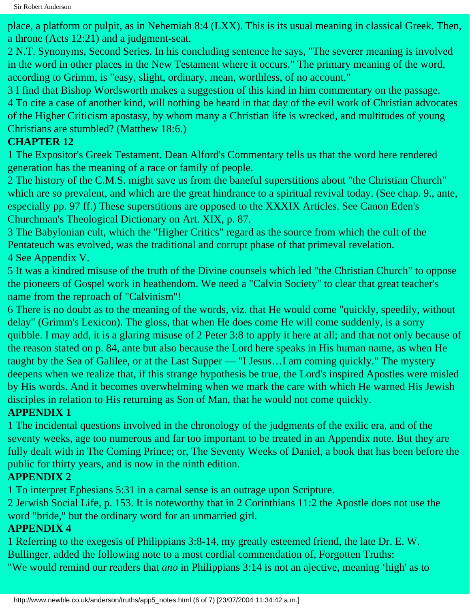place, a platform or pulpit, as in Nehemiah 8:4 (LXX). This is its usual meaning in classical Greek. Then, a throne (Acts 12:21) and a judgment-seat.

2 N.T. Synonyms, Second Series. In his concluding sentence he says, "The severer meaning is involved in the word in other places in the New Testament where it occurs." The primary meaning of the word, according to Grimm, is "easy, slight, ordinary, mean, worthless, of no account."

3 I find that Bishop Wordsworth makes a suggestion of this kind in him commentary on the passage. 4 To cite a case of another kind, will nothing be heard in that day of the evil work of Christian advocates of the Higher Criticism apostasy, by whom many a Christian life is wrecked, and multitudes of young Christians are stumbled? (Matthew 18:6.)

#### **CHAPTER 12**

1 The Expositor's Greek Testament. Dean Alford's Commentary tells us that the word here rendered generation has the meaning of a race or family of people.

2 The history of the C.M.S. might save us from the baneful superstitions about "the Christian Church" which are so prevalent, and which are the great hindrance to a spiritual revival today. (See chap. 9., ante, especially pp. 97 ff.) These superstitions are opposed to the XXXIX Articles. See Canon Eden's Churchman's Theological Dictionary on Art. XIX, p. 87.

3 The Babylonian cult, which the "Higher Critics" regard as the source from which the cult of the Pentateuch was evolved, was the traditional and corrupt phase of that primeval revelation. 4 See Appendix V.

5 It was a kindred misuse of the truth of the Divine counsels which led "the Christian Church" to oppose the pioneers of Gospel work in heathendom. We need a "Calvin Society" to clear that great teacher's name from the reproach of "Calvinism"!

6 There is no doubt as to the meaning of the words, viz. that He would come "quickly, speedily, without delay" (Grimm's Lexicon). The gloss, that when He does come He will come suddenly, is a sorry quibble. I may add, it is a glaring misuse of 2 Peter 3:8 to apply it here at all; and that not only because of the reason stated on p. 84, ante but also because the Lord here speaks in His human name, as when He taught by the Sea of Galilee, or at the Last Supper — "I Jesus…I am coming quickly." The mystery deepens when we realize that, if this strange hypothesis be true, the Lord's inspired Apostles were misled by His words. And it becomes overwhelming when we mark the care with which He warned His Jewish disciples in relation to His returning as Son of Man, that he would not come quickly.

### **APPENDIX 1**

1 The incidental questions involved in the chronology of the judgments of the exilic era, and of the seventy weeks, age too numerous and far too important to be treated in an Appendix note. But they are fully dealt with in The Coming Prince; or, The Seventy Weeks of Daniel, a book that has been before the public for thirty years, and is now in the ninth edition.

### **APPENDIX 2**

1 To interpret Ephesians 5:31 in a carnal sense is an outrage upon Scripture.

2 Jerwish Social Life, p. 153. It is noteworthy that in 2 Corinthians 11:2 the Apostle does not use the word "bride," but the ordinary word for an unmarried girl.

### **APPENDIX 4**

1 Referring to the exegesis of Philippians 3:8-14, my greatly esteemed friend, the late Dr. E. W. Bullinger, added the following note to a most cordial commendation of, Forgotten Truths: "We would remind our readers that *ano* in Philippians 3:14 is not an ajective, meaning 'high' as to